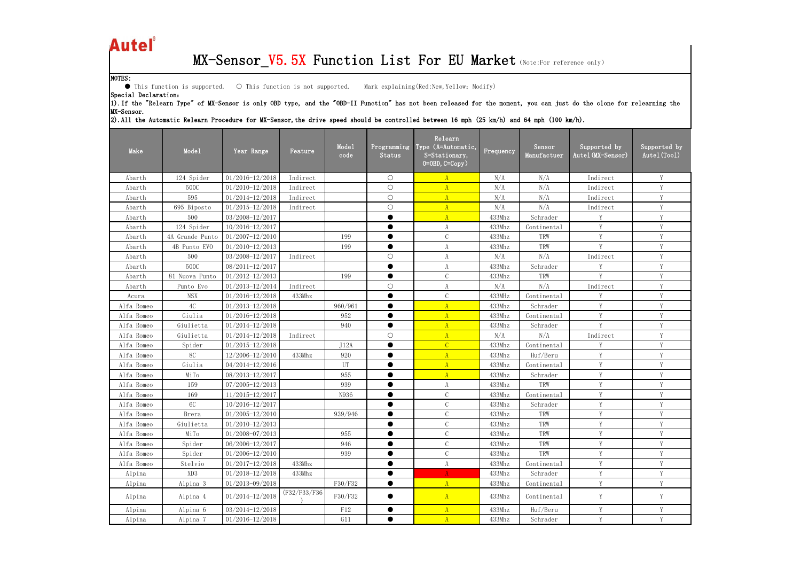## Autel®

## MX-Sensor\_V5.5X Function List For EU Market (Note:For reference only)

| Autel                |                               |                                   |              |               |                       | MX-Sensor_V5.5X Function List For EU Market (Note:For reference only)                                                                                                 |           |                                                             |                                   |                              |
|----------------------|-------------------------------|-----------------------------------|--------------|---------------|-----------------------|-----------------------------------------------------------------------------------------------------------------------------------------------------------------------|-----------|-------------------------------------------------------------|-----------------------------------|------------------------------|
| NOTES:               | ● This function is supported. | O This function is not supported. |              |               |                       | Mark explaining (Red:New, Yellow: Modify)                                                                                                                             |           |                                                             |                                   |                              |
| Special Declaration: |                               |                                   |              |               |                       | 1). If the "Relearn Type" of MX-Sensor is only OBD type, and the "OBD-II Function" has not been released for the moment, you can just do the clone for relearning the |           |                                                             |                                   |                              |
| MX-Sensor.           |                               |                                   |              |               |                       |                                                                                                                                                                       |           |                                                             |                                   |                              |
|                      |                               |                                   |              |               |                       | 2).All the Automatic Relearn Procedure for MX-Sensor, the drive speed should be controlled between 16 mph (25 km/h) and 64 mph (100 km/h).                            |           |                                                             |                                   |                              |
| Make                 | Mode1                         | Year Range                        | Feature      | Mode1<br>code | Programming<br>Status | Relearn<br>Type (A=Automatic,<br>S=Stationary,<br>$0 = 0$ BD, $C = Copy$ )                                                                                            | Frequency | Sensor<br>Manufactuer                                       | Supported by<br>Autel (MX-Sensor) | Supported by<br>Autel (Tool) |
| Abarth               | 124 Spider                    | $01/2016 - 12/2018$               | Indirect     |               | $\bigcirc$            | A                                                                                                                                                                     | N/A       | N/A                                                         | Indirect                          | Y                            |
| Abarth               | 500C                          | $01/2010 - 12/2018$               | Indirect     |               | $\bigcirc$            | A                                                                                                                                                                     | N/A       | N/A                                                         | Indirect                          | Y                            |
| Abarth               | 595                           | $01/2014 - 12/2018$               | Indirect     |               | $\bigcirc$            | A                                                                                                                                                                     | N/A       | N/A                                                         | Indirect                          | Y                            |
| Abarth               | 695 Biposto                   | $01/2015 - 12/2018$               | Indirect     |               | $\bigcirc$            | $\mathbf{A}$                                                                                                                                                          | N/A       | N/A                                                         | Indirect                          | Y                            |
| Abarth               | 500                           | 03/2008-12/2017                   |              |               | $\bullet$             | $\mathbf{A}$                                                                                                                                                          | 433Mhz    | Schrader                                                    |                                   | Y                            |
| Abarth               | 124 Spider                    | 10/2016-12/2017                   |              |               | $\bullet$             | A                                                                                                                                                                     | 433Mhz    | Continental                                                 | Y                                 | Y                            |
| Abarth               | 4A Grande Punto               | $01/2007 - 12/2010$               |              | 199           | $\bullet$             | $\mathcal{C}$                                                                                                                                                         | 433Mhz    | TRW                                                         | Y                                 | Y                            |
| Abarth               | 4B Punto EVO                  | $01/2010 - 12/2013$               |              | 199           | $\bullet$             | A                                                                                                                                                                     | 433Mhz    | TRW                                                         | Y                                 | Y                            |
| Abarth               | 500                           | 03/2008-12/2017                   | Indirect     |               | $\bigcirc$            | A                                                                                                                                                                     | N/A       | N/A                                                         | Indirect                          | Y                            |
| Abarth               | 500C                          | $08/2011 - 12/2017$               |              |               | $\bullet$             | A                                                                                                                                                                     | 433Mhz    | Schrader                                                    | Y                                 | Y                            |
| Abarth               | 81 Nuova Punto                | $01/2012 - 12/2013$               |              | 199           | $\bullet$             | $\mathcal{C}$                                                                                                                                                         | 433Mhz    | TRW                                                         | V                                 | Y                            |
| Abarth               | Punto Evo                     | $01/2013 - 12/2014$               | Indirect     |               | $\bigcirc$            | A                                                                                                                                                                     | N/A       | N/A                                                         | Indirect                          | Y                            |
| Acura                | <b>NSX</b>                    | $01/2016 - 12/2018$               | 433Mhz       |               | $\bullet$             | $\mathcal{C}$                                                                                                                                                         | 433MHz    | Continental                                                 |                                   | Y                            |
| Alfa Romeo           | 4C                            | $01/2013 - 12/2018$               |              | 960/961       | $\bullet$             | A                                                                                                                                                                     | 433Mhz    | Schrader                                                    |                                   | Y                            |
| Alfa Romeo           | Giulia                        | 01/2016-12/2018                   |              | 952           | $\bullet$             | A                                                                                                                                                                     | 433Mhz    | Continental                                                 | Y                                 | Y                            |
| Alfa Romeo           | Giulietta                     | $01/2014 - 12/2018$               |              | 940           | $\bullet$             | A                                                                                                                                                                     | 433Mhz    | Schrader                                                    | Y                                 | Y                            |
| Alfa Romeo           | Giulietta                     | $01/2014 - 12/2018$               | Indirect     |               | $\bigcirc$            | A                                                                                                                                                                     | N/A       | N/A                                                         | Indirect                          | Y                            |
| Alfa Romeo           | Spider                        | $01/2015 - 12/2018$               |              | J12A          |                       | $\mathcal{C}$                                                                                                                                                         | 433Mhz    | $\begin{minipage}{.4\linewidth} Continental \end{minipage}$ |                                   | Y                            |
| Alfa Romeo           | <b>8C</b>                     | 12/2006-12/2010                   | 433Mhz       | 920           | $\bullet$             | A                                                                                                                                                                     | 433Mhz    | Huf/Beru                                                    | Y                                 | Y                            |
| Alfa Romeo           | Giulia                        | $04/2014 - 12/2016$               |              | UT            | $\bullet$             | A                                                                                                                                                                     | 433Mhz    | Continental                                                 | V                                 | Y                            |
| Alfa Romeo           | MiTo                          | 08/2013-12/2017                   |              | 955           |                       | $\mathbf{A}$                                                                                                                                                          | 433Mhz    | Schrader                                                    |                                   | Y                            |
| Alfa Romeo           | 159                           | $07/2005 - 12/2013$               |              | 939           | $\bullet$             | $\boldsymbol{A}$                                                                                                                                                      | 433Mhz    | TRW                                                         | Y                                 | Y                            |
| Alfa Romeo           | 169                           | $11/2015 - 12/2017$               |              | N936          |                       | $\mathsf C$                                                                                                                                                           | 433Mhz    | Continental                                                 | Y                                 | Y                            |
| Alfa Romeo           | 6C                            | $10/2016 - 12/2017$               |              |               | $\bullet$             | $\mathcal{C}$                                                                                                                                                         | 433Mhz    | Schrader                                                    | Y                                 | Y                            |
| Alfa Romeo           | Brera                         | $01/2005 - 12/2010$               |              | 939/946       | $\bullet$             | $\mathcal{C}$                                                                                                                                                         | 433Mhz    | TRW                                                         | Y                                 | Y                            |
| Alfa Romeo           | Giulietta                     | $01/2010 - 12/2013$               |              |               | $\bullet$             | $\mathcal{C}$                                                                                                                                                         | 433Mhz    | TRW                                                         | Y                                 | Y                            |
| Alfa Romeo           | MiTo                          | $01/2008 - 07/2013$               |              | 955           | $\bullet$             | $\mathcal{C}$                                                                                                                                                         | 433Mhz    | TRW                                                         | Y                                 | $\mathbf Y$                  |
| Alfa Romeo           | Spider                        | 06/2006-12/2017                   |              | 946           | $\bullet$             | $\mathcal{C}$                                                                                                                                                         | 433Mhz    | TRW                                                         | Y                                 | Y                            |
| Alfa Romeo           | Spider                        | $01/2006 - 12/2010$               |              | 939           | $\bullet$             | $\mathcal{C}$                                                                                                                                                         | 433Mhz    | TRW                                                         | $\mathbf{V}$                      | Y                            |
| Alfa Romeo           | Stelvio                       | $01/2017 - 12/2018$               | 433Mhz       |               | $\bullet$             | $\boldsymbol{A}$                                                                                                                                                      | 433Mhz    | Continental                                                 | V                                 | Y                            |
| Alpina               | XD3                           | $01/2018 - 12/2018$               | 433Mhz       |               | $\bullet$             | $\mathbf{A}$                                                                                                                                                          | 433Mhz    | Schrader                                                    | Y                                 | Y                            |
| Alpina               | Alpina 3                      | $01/2013 - 09/2018$               |              | F30/F32       | $\bullet$             | A                                                                                                                                                                     | 433Mhz    | Continental                                                 | Y                                 | Y                            |
| Alpina               | Alpina 4                      | 01/2014-12/2018                   | (F32/F33/F36 | F30/F32       |                       | A                                                                                                                                                                     | 433Mhz    | Continental                                                 | Y                                 | Y                            |
| Alpina               | Alpina 6                      | $03/2014 - 12/2018$               |              | F12           | $\bullet$             | A                                                                                                                                                                     | 433Mhz    | Huf/Beru                                                    | Y                                 | Y                            |
| Alpina               | Alpina 7                      | $01/2016 - 12/2018$               |              | G11           |                       | A                                                                                                                                                                     | 433Mhz    | Schrader                                                    | Y                                 | Y                            |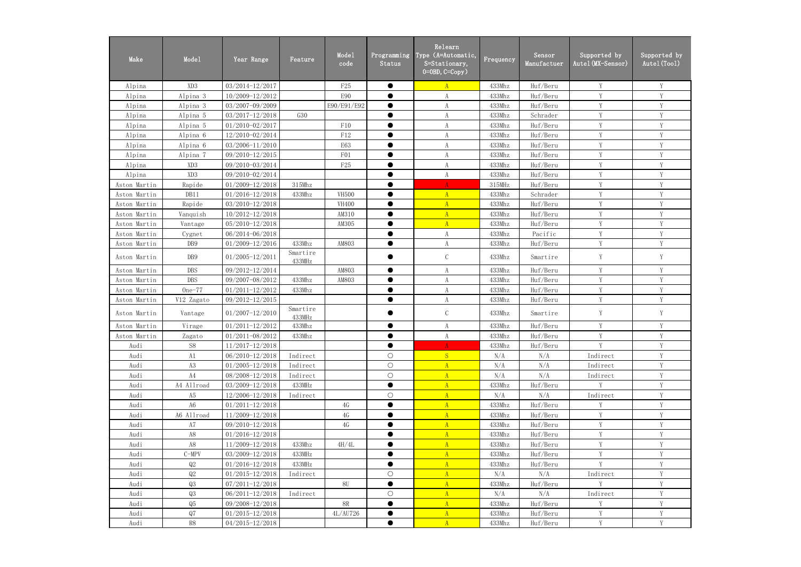| Make         | Mode1           | Year Range          | Feature            | Mode1<br>code   | Programming<br>Status | Relearn<br>Type (A=Automatic,<br>S=Stationary,<br>$0=0$ BD, $C=Copy$ ) | Frequency | Sensor<br>Manufactuer | Supported by<br>Autel (MX-Sensor) | Supported by<br>Autel (Tool) |
|--------------|-----------------|---------------------|--------------------|-----------------|-----------------------|------------------------------------------------------------------------|-----------|-----------------------|-----------------------------------|------------------------------|
| Alpina       | XD <sub>3</sub> | 03/2014-12/2017     |                    | F <sub>25</sub> | $\bullet$             | $\mathbf{A}$                                                           | 433Mhz    | Huf/Beru              | Y                                 | Y                            |
| Alpina       | Alpina 3        | 10/2009-12/2012     |                    | <b>E90</b>      | $\bullet$             | $\boldsymbol{\mathrm{A}}$                                              | 433Mhz    | Huf/Beru              | V                                 | Y                            |
| Alpina       | Alpina 3        | 03/2007-09/2009     |                    | E90/E91/E92     | $\bullet$             | A                                                                      | 433Mhz    | Huf/Beru              | Y                                 | Y                            |
| Alpina       | Alpina 5        | 03/2017-12/2018     | G30                |                 | ●                     | A                                                                      | 433Mhz    | Schrader              | $\mathbf{V}$                      | V                            |
| Alpina       | Alpina 5        | $01/2010 - 02/2017$ |                    | F10             | $\bullet$             | A                                                                      | 433Mhz    | Huf/Beru              | V                                 | V                            |
| Alpina       | Alpina 6        | 12/2010-02/2014     |                    | ${\rm F}12$     | $\bullet$             | A                                                                      | 433Mhz    | Huf/Beru              | Y                                 | Y                            |
| Alpina       | Alpina 6        | 03/2006-11/2010     |                    | E63             |                       | A                                                                      | 433Mhz    | Huf/Beru              | Y                                 | Y                            |
| Alpina       | Alpina 7        | 09/2010-12/2015     |                    | F <sub>01</sub> | $\bullet$             | A                                                                      | 433Mhz    | Huf/Beru              | Y                                 | Y                            |
| Alpina       | XD <sub>3</sub> | 09/2010-03/2014     |                    | F25             | $\bullet$             | A                                                                      | 433Mhz    | Huf/Beru              | Y                                 | Y                            |
| Alpina       | XD <sub>3</sub> | 09/2010-02/2014     |                    |                 | $\bullet$             | A                                                                      | 433Mhz    | Huf/Beru              | Y                                 | Y                            |
| Aston Martin | Rapide          | $01/2009 - 12/2018$ | 315Mhz             |                 | $\bullet$             | $\Lambda$                                                              | 315MHz    | Huf/Beru              | Y                                 | Y                            |
| Aston Martin | DB11            | $01/2016 - 12/2018$ | 433Mhz             | <b>VH500</b>    |                       | $\mathbf{A}$                                                           | 433Mhz    | Schrader              | V                                 | Y                            |
| Aston Martin | Rapide          | 03/2010-12/2018     |                    | <b>VH400</b>    | ●                     | $\mathbf{A}$                                                           | 433Mhz    | Huf/Beru              | V                                 | V                            |
| Aston Martin | Vanquish        | $10/2012 - 12/2018$ |                    | AM310           | ●                     | $\mathbf{A}$                                                           | 433Mhz    | Huf/Beru              | Y                                 | Y                            |
| Aston Martin | Vantage         | $05/2010 - 12/2018$ |                    | AM305           | $\bullet$             | $\overline{A}$                                                         | 433Mhz    | Huf/Beru              | Y                                 | Y                            |
| Aston Martin | Cygnet          | 06/2014-06/2018     |                    |                 |                       | A                                                                      | 433Mhz    | Pacific               | Y                                 | Y                            |
| Aston Martin | DB9             | 01/2009-12/2016     | 433Mhz             | AM803           | $\bullet$             | A                                                                      | 433Mhz    | Huf/Beru              | Y                                 | Y                            |
| Aston Martin | DB9             | $01/2005 - 12/2011$ | Smartire<br>433MHz |                 |                       | $\mathsf C$                                                            | 433Mhz    | Smartire              | Y                                 | $\mathbf Y$                  |
| Aston Martin | <b>DBS</b>      | 09/2012-12/2014     |                    | AM803           | $\bullet$             | A                                                                      | 433Mhz    | Huf/Beru              | Y                                 | Y                            |
| Aston Martin | <b>DBS</b>      | 09/2007-08/2012     | 433Mhz             | AM803           | $\bullet$             | A                                                                      | 433Mhz    | Huf/Beru              | Y                                 | Y                            |
| Aston Martin | $One-77$        | $01/2011 - 12/2012$ | 433Mhz             |                 | $\bullet$             | $\boldsymbol{\mathrm{A}}$                                              | 433Mhz    | Huf/Beru              | Y                                 | Y                            |
| Aston Martin | V12 Zagato      | 09/2012-12/2015     |                    |                 | $\bullet$             | A                                                                      | 433Mhz    | Huf/Beru              | Y                                 | Y                            |
| Aston Martin | Vantage         | $01/2007 - 12/2010$ | Smartire<br>433MHz |                 |                       | $\mathsf C$                                                            | 433Mhz    | Smartire              | Y                                 | Y                            |
| Aston Martin | Virage          | $01/2011 - 12/2012$ | 433Mhz             |                 |                       | $\boldsymbol{\mathrm{A}}$                                              | 433Mhz    | Huf/Beru              | Y                                 | Y                            |
| Aston Martin | Zagato          | $01/2011 - 08/2012$ | 433Mhz             |                 |                       | A                                                                      | 433Mhz    | Huf/Beru              | V                                 | Y                            |
| Audi         | S8              | $11/2017 - 12/2018$ |                    |                 | $\bullet$             | $A -$                                                                  | 433Mhz    | Huf/Beru              | V                                 | V                            |
| Audi         | A1              | 06/2010-12/2018     | Indirect           |                 | $\bigcirc$            | S                                                                      | N/A       | N/A                   | Indirect                          |                              |
| Audi         | A3              | $01/2005 - 12/2018$ | Indirect           |                 | $\bigcirc$            | A                                                                      | N/A       | N/A                   | Indirect                          | Y                            |
| Audi         | A4              | 08/2008-12/2018     | Indirect           |                 | $\bigcirc$            | $\mathbf{A}$                                                           | N/A       | N/A                   | Indirect                          | Y                            |
| Audi         | A4 Allroad      | 03/2009-12/2018     | 433MHz             |                 | $\bullet$             | A                                                                      | 433Mhz    | Huf/Beru              | Y                                 | Y                            |
| Audi         | A <sub>5</sub>  | 12/2006-12/2018     | Indirect           |                 | $\bigcirc$            | $\mathbf{A}$                                                           | N/A       | N/A                   | Indirect                          | Y                            |
| Audi         | A <sub>6</sub>  | $01/2011 - 12/2018$ |                    | 4G              | $\bullet$             | A                                                                      | 433Mhz    | Huf/Beru              | Y                                 | Y                            |
| Audi         | A6 Allroad      | 11/2009-12/2018     |                    | 4G              | $\bullet$             | A                                                                      | 433Mhz    | Huf/Beru              | Y                                 | Y                            |
| Audi         | A7              | 09/2010-12/2018     |                    | 4G              |                       | $\mathbf{A}$                                                           | 433Mhz    | Huf/Beru              | Y                                 | Y                            |
| Audi         | A8              | $01/2016 - 12/2018$ |                    |                 | $\bullet$             | $\mathbf{A}$                                                           | 433Mhz    | Huf/Beru              | Y                                 | V                            |
| Audi         | A8              | 11/2009-12/2018     | 433Mhz             | 4H/4L           | $\bullet$             | $\mathbf{A}$                                                           | 433Mhz    | Huf/Beru              | Y                                 | Y                            |
| Audi         | $C-MPV$         | 03/2009-12/2018     | 433MHz             |                 | $\bullet$             | A                                                                      | 433Mhz    | Huf/Beru              | Y                                 | Y                            |
| Audi         | Q2              | $01/2016 - 12/2018$ | 433MHz             |                 |                       | $\mathbf{A}$                                                           | 433Mhz    | Huf/Beru              | Y                                 | Y                            |
| Audi         | Q2              | $01/2015 - 12/2018$ | Indirect           |                 | $\bigcirc$            | $\mathbf{A}$                                                           | N/A       | N/A                   | Indirect                          | Y                            |
| Audi         | Q3              | $07/2011 - 12/2018$ |                    | 8U              | $\bullet$             | $\mathbf{A}$                                                           | 433Mhz    | Huf/Beru              | Y                                 | $\mathbf Y$                  |
| Audi         | Q3              | $06/2011 - 12/2018$ | Indirect           |                 | $\bigcirc$            | A                                                                      | N/A       | N/A                   | Indirect                          | Y                            |
| Audi         | Q5              | 09/2008-12/2018     |                    | 8R              | $\bullet$             | $\mathbf{A}$                                                           | 433Mhz    | Huf/Beru              | Y                                 | Y                            |
| Audi         | Q7              | $01/2015 - 12/2018$ |                    | 4L/AU726        | $\bullet$             | A                                                                      | 433Mhz    | Huf/Beru              | Y                                 | Y                            |
| Audi         | R8              | $04/2015 - 12/2018$ |                    |                 | $\bullet$             | $\mathbf{A}$                                                           | 433Mhz    | Huf/Beru              | Y                                 | Y                            |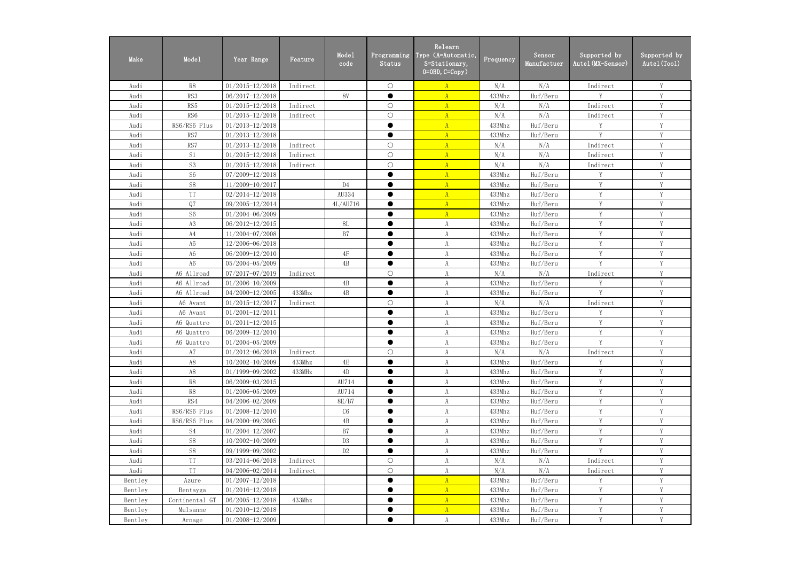| Make    | Mode1           | Year Range          | Feature  | Mode1<br>code  | Programming<br>Status | Relearn<br>Type (A=Automatic,<br>S=Stationary,<br>$0=0$ BD, $C=Copy$ ) | Frequency | Sensor<br>Manufactuer | Supported by<br>Autel (MX-Sensor) | Supported by<br>Autel (Tool) |
|---------|-----------------|---------------------|----------|----------------|-----------------------|------------------------------------------------------------------------|-----------|-----------------------|-----------------------------------|------------------------------|
| Audi    | R8              | $01/2015 - 12/2018$ | Indirect |                | $\bigcirc$            | $\mathbf{A}$                                                           | N/A       | N/A                   | Indirect                          | Y                            |
| Audi    | RS3             | $06/2017 - 12/2018$ |          | <b>8V</b>      | $\bullet$             | $\overline{A}$                                                         | 433Mhz    | Huf/Beru              | V                                 | Y                            |
| Audi    | RS5             | $01/2015 - 12/2018$ | Indirect |                | $\bigcirc$            | A                                                                      | N/A       | N/A                   | Indirect                          | Y                            |
| Audi    | RS <sub>6</sub> | $01/2015 - 12/2018$ | Indirect |                | $\bigcirc$            | $\mathbf{A}$                                                           | N/A       | N/A                   | Indirect                          | Y                            |
| Audi    | RS6/RS6 Plus    | $01/2013 - 12/2018$ |          |                | $\bullet$             | $\mathbf{A}$                                                           | 433Mhz    | Huf/Beru              | Y                                 | Y                            |
| Audi    | RS7             | $01/2013 - 12/2018$ |          |                | $\bullet$             | $\mathbf{A}$                                                           | 433Mhz    | Huf/Beru              | $\mathbf{V}$                      | V                            |
| Audi    | RS7             | $01/2013 - 12/2018$ | Indirect |                | $\bigcirc$            | A                                                                      | N/A       | N/A                   | Indirect                          | Y                            |
| Audi    | S1              | $01/2015 - 12/2018$ | Indirect |                | $\bigcirc$            | $\mathbf{A}$                                                           | N/A       | N/A                   | Indirect                          | Y                            |
| Audi    | S <sub>3</sub>  | $01/2015 - 12/2018$ | Indirect |                | $\bigcirc$            | $\mathbf{A}$                                                           | N/A       | N/A                   | Indirect                          | $\mathbf Y$                  |
| Audi    | S <sub>6</sub>  | 07/2009-12/2018     |          |                | $\bullet$             | $\mathbf{A}$                                                           | 433Mhz    | Huf/Beru              | Y                                 | Y                            |
| Audi    | S8              | 11/2009-10/2017     |          | D <sub>4</sub> | $\bullet$             | $\mathbf{A}$                                                           | 433Mhz    | Huf/Beru              | Y                                 | Y                            |
| Audi    | <b>TT</b>       | $02/2014 - 12/2018$ |          | AU334          | $\bullet$             | $\mathbf{A}$                                                           | 433Mhz    | Huf/Beru              | Y                                 | Y                            |
| Audi    | Q7              | 09/2005-12/2014     |          | 4L/AU716       | $\bullet$             | $\mathbf{A}$                                                           | 433Mhz    | Huf/Beru              | $\mathbf{V}$                      | V                            |
| Audi    | S <sub>6</sub>  | $01/2004 - 06/2009$ |          |                | ●                     | $\overline{A}$                                                         | 433Mhz    | Huf/Beru              | Y                                 | Y                            |
| Audi    | A3              | 06/2012-12/2015     |          | 8L             | $\bullet$             | $\boldsymbol{\mathrm{A}}$                                              | 433Mhz    | Huf/Beru              | Y                                 | Y                            |
| Audi    | A4              | 11/2004-07/2008     |          | B7             | $\bullet$             | $\boldsymbol{\mathrm{A}}$                                              | 433Mhz    | Huf/Beru              | V                                 | Y                            |
| Audi    | A5              | 12/2006-06/2018     |          |                | $\bullet$             | $\boldsymbol{\mathrm{A}}$                                              | 433Mhz    | Huf/Beru              | Y                                 | Y                            |
| Audi    | A6              | 06/2009-12/2010     |          | $4\mathrm{F}$  | $\bullet$             | A                                                                      | 433Mhz    | Huf/Beru              | V                                 | Y                            |
| Audi    | A <sub>6</sub>  | 05/2004-05/2009     |          | 4B             | $\bullet$             | $\boldsymbol{\mathrm{A}}$                                              | 433Mhz    | Huf/Beru              | Y                                 | Y                            |
| Audi    | A6 Allroad      | 07/2017-07/2019     | Indirect |                | $\bigcirc$            | $\boldsymbol{\mathrm{A}}$                                              | N/A       | N/A                   | Indirect                          | Y                            |
| Audi    | A6 Allroad      | 01/2006-10/2009     |          | 4B             | $\bullet$             | A                                                                      | 433Mhz    | Huf/Beru              | Y                                 | Y                            |
| Audi    | A6 Allroad      | 04/2000-12/2005     | 433Mhz   | 4B             | $\bullet$             | A                                                                      | 433Mhz    | Huf/Beru              | $\mathbf{V}$                      | Y                            |
| Audi    | A6 Avant        | $01/2015 - 12/2017$ | Indirect |                | $\bigcirc$            | A                                                                      | N/A       | N/A                   | Indirect                          | Y                            |
| Audi    | A6 Avant        | $01/2001 - 12/2011$ |          |                | $\bullet$             | $\boldsymbol{\mathrm{A}}$                                              | 433Mhz    | Huf/Beru              | V                                 | Y                            |
| Audi    | A6 Quattro      | $01/2011 - 12/2015$ |          |                |                       | $\rm A$                                                                | 433Mhz    | Huf/Beru              | Y                                 | Y                            |
| Audi    | A6 Quattro      | 06/2009-12/2010     |          |                | $\bullet$             | A                                                                      | 433Mhz    | Huf/Beru              | Y                                 | $\mathbf Y$                  |
| Audi    | A6 Quattro      | $01/2004 - 05/2009$ |          |                |                       | A                                                                      | 433Mhz    | Huf/Beru              | Y                                 | $\mathbf Y$                  |
| Audi    | A7              | $01/2012 - 06/2018$ | Indirect |                | $\bigcirc$            | A                                                                      | N/A       | N/A                   | Indirect                          | Y                            |
| Audi    | A8              | $10/2002 - 10/2009$ | 433Mhz   | 4E             | $\bullet$             | A                                                                      | 433Mhz    | Huf/Beru              | Y                                 | Y                            |
| Audi    | A8              | 01/1999-09/2002     | 433MHz   | 4D             | $\bullet$             | A                                                                      | 433Mhz    | Huf/Beru              | Y                                 | Y                            |
| Audi    | R8              | 06/2009-03/2015     |          | AU714          | $\bullet$             | A                                                                      | 433Mhz    | Huf/Beru              | Y                                 | Y                            |
| Audi    | R8              | $01/2006 - 05/2009$ |          | AU714          | $\bullet$             | A                                                                      | 433Mhz    | Huf/Beru              | Y                                 | Y                            |
| Audi    | RS4             | 04/2006-02/2009     |          | 8E/B7          | $\bullet$             | A                                                                      | 433Mhz    | Huf/Beru              | $\mathbf Y$                       | Y                            |
| Audi    | RS6/RS6 Plus    | $01/2008 - 12/2010$ |          | C6             |                       | A                                                                      | 433Mhz    | Huf/Beru              | Y                                 | Y                            |
| Audi    | RS6/RS6 Plus    | 04/2000-09/2005     |          | 4B             | $\bullet$             | A                                                                      | 433Mhz    | Huf/Beru              | Y                                 | Y                            |
| Audi    | S <sub>4</sub>  | $01/2004 - 12/2007$ |          | B7             |                       | A                                                                      | 433Mhz    | Huf/Beru              | Y                                 | Y                            |
| Audi    | S8              | $10/2002 - 10/2009$ |          | D <sub>3</sub> | $\bullet$             | A                                                                      | 433Mhz    | Huf/Beru              | Y                                 | Y                            |
| Audi    | S8              | 09/1999-09/2002     |          | D2             | $\bullet$             | A                                                                      | 433Mhz    | Huf/Beru              | Y                                 | Y                            |
| Audi    | TT              | $03/2014 - 06/2018$ | Indirect |                | $\bigcirc$            | A                                                                      | N/A       | N/A                   | Indirect                          | Y                            |
| Audi    | TT              | 04/2006-02/2014     | Indirect |                | $\bigcirc$            | A                                                                      | N/A       | N/A                   | Indirect                          | Y                            |
| Bentley | Azure           | $01/2007 - 12/2018$ |          |                | $\bullet$             | $\mathbf{A}$                                                           | 433Mhz    | Huf/Beru              | Y                                 | Y                            |
| Bentley | Bentayga        | $01/2016 - 12/2018$ |          |                | $\bullet$             | $\mathbf{A}$                                                           | 433Mhz    | Huf/Beru              | Y                                 | Y                            |
| Bentley | Continental GT  | $06/2005 - 12/2018$ | 433Mhz   |                | $\bullet$             | A                                                                      | 433Mhz    | Huf/Beru              | Y                                 | $\mathbf Y$                  |
| Bentley | Mulsanne        | $01/2010 - 12/2018$ |          |                | $\bullet$             | $\mathbf{A}$                                                           | 433Mhz    | Huf/Beru              | Y                                 | Y                            |
| Bentley | Arnage          | $01/2008 - 12/2009$ |          |                | $\bullet$             | A                                                                      | 433Mhz    | Huf/Beru              | Y                                 | Y                            |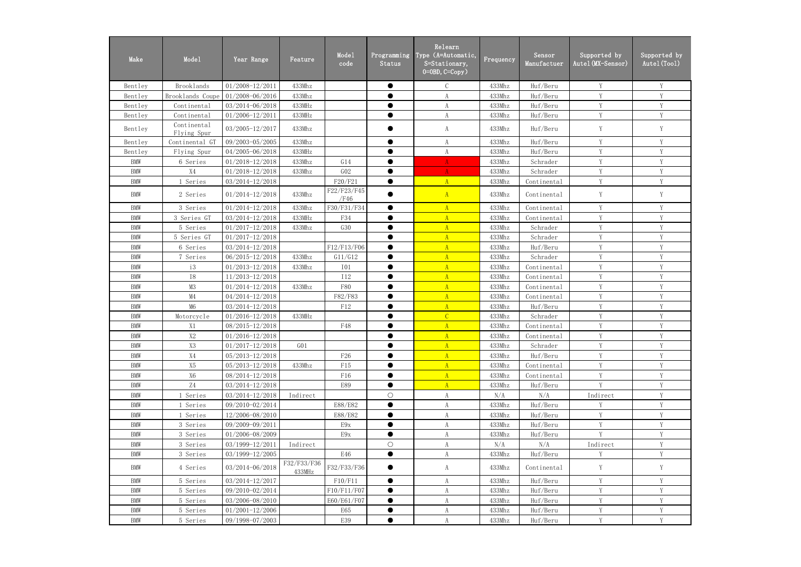| Make       | Mode1                      | Year Range          | Feature               | Mode1<br>code       | Programming<br>Status | Relearn<br>Type (A=Automatic,<br>S=Stationary,<br>$0=0$ BD, $C=Copy$ ) | Frequency | Sensor<br>Manufactuer | Supported by<br>Autel (MX-Sensor) | Supported by<br>Autel (Tool) |
|------------|----------------------------|---------------------|-----------------------|---------------------|-----------------------|------------------------------------------------------------------------|-----------|-----------------------|-----------------------------------|------------------------------|
| Bentley    | Brooklands                 | 01/2008-12/2011     | 433Mhz                |                     | $\bullet$             | $\mathcal{C}$                                                          | 433Mhz    | Huf/Beru              | Y                                 | Y                            |
| Bentley    | Brooklands Coupe           | 01/2008-06/2016     | 433Mhz                |                     |                       | A                                                                      | 433Mhz    | Huf/Beru              | Y                                 | Y                            |
| Bentley    | Continental                | 03/2014-06/2018     | 433MHz                |                     | $\bullet$             | $\boldsymbol{A}$                                                       | 433Mhz    | Huf/Beru              | Y                                 | Y                            |
| Bentley    | Continental                | $01/2006 - 12/2011$ | 433MHz                |                     | $\bullet$             | $\boldsymbol{A}$                                                       | 433Mhz    | Huf/Beru              | V                                 | Y                            |
| Bentley    | Continental<br>Flying Spur | $03/2005 - 12/2017$ | 433Mhz                |                     |                       | A                                                                      | 433Mhz    | Huf/Beru              | Y                                 | Y                            |
| Bentley    | Continental GT             | 09/2003-05/2005     | 433Mhz                |                     | $\bullet$             | A                                                                      | 433Mhz    | Huf/Beru              | Y                                 | Y                            |
| Bentley    | Flying Spur                | 04/2005-06/2018     | 433MHz                |                     | $\bullet$             | $\boldsymbol{A}$                                                       | 433Mhz    | Huf/Beru              | $\mathbf{V}$                      | V                            |
| <b>BMW</b> | 6 Series                   | $01/2018 - 12/2018$ | 433Mhz                | G14                 | $\bullet$             | $\mathbf{A}$                                                           | 433Mhz    | Schrader              | $\mathbf{V}$                      | $\overline{V}$               |
| <b>BMW</b> | X4                         | 01/2018-12/2018     | 433Mhz                | GO2                 | $\bullet$             | A                                                                      | 433Mhz    | Schrader              | $\mathbf{V}$                      | V                            |
| <b>BMW</b> | 1 Series                   | 03/2014-12/2018     |                       | F20/F21             | $\bullet$             | A                                                                      | 433Mhz    | Continental           | Y                                 | Y                            |
| <b>BMW</b> | 2 Series                   | $01/2014 - 12/2018$ | 433Mhz                | F22/F23/F45<br>/F46 |                       | A                                                                      | 433Mhz    | Continental           | Y                                 | Y                            |
| <b>BMW</b> | 3 Series                   | $01/2014 - 12/2018$ | 433Mhz                | F30/F31/F34         | $\bullet$             | $\overline{A}$                                                         | 433Mhz    | Continental           | Y                                 | Y                            |
| <b>BMW</b> | 3 Series GT                | 03/2014-12/2018     | 433MHz                | F34                 |                       | A                                                                      | 433Mhz    | Continental           | Y                                 | Y                            |
| <b>BMW</b> | 5 Series                   | $01/2017 - 12/2018$ | 433Mhz                | G30                 | $\bullet$             | $\mathbf{A}$                                                           | 433Mhz    | Schrader              | Y                                 | Y                            |
| <b>BMW</b> | 5 Series GT                | $01/2017 - 12/2018$ |                       |                     |                       | $\mathbf{A}$                                                           | 433Mhz    | Schrader              | Y                                 | Y                            |
| <b>BMW</b> | 6 Series                   | 03/2014-12/2018     |                       | F12/F13/F06         | $\bullet$             | $\overline{A}$                                                         | 433Mhz    | Huf/Beru              | Y                                 | Y                            |
| <b>BMW</b> | 7 Series                   | 06/2015-12/2018     | 433Mhz                | G11/G12             |                       | $\Lambda$                                                              | 433Mhz    | Schrader              | Y                                 | Y                            |
| <b>BMW</b> | i3                         | $01/2013 - 12/2018$ | 433Mhz                | <b>I01</b>          | $\bullet$             | A                                                                      | 433Mhz    | Continental           | Y                                 | Y                            |
| <b>BMW</b> | <b>I8</b>                  | 11/2013-12/2018     |                       | <b>I12</b>          | $\bullet$             | $\mathbf{A}$                                                           | 433Mhz    | Continental           | $\mathbf{V}$                      | V                            |
| <b>BMW</b> | M3                         | $01/2014 - 12/2018$ | 433Mhz                | F80                 | $\bullet$             | A                                                                      | 433Mhz    | Continental           | V                                 | Y                            |
| <b>BMW</b> | $\mathsf{M}4$              | $04/2014 - 12/2018$ |                       | F82/F83             | $\bullet$             | $\overline{A}$                                                         | 433Mhz    | Continental           | V                                 | Y                            |
| <b>BMW</b> | M6                         | 03/2014-12/2018     |                       | F12                 |                       | $\mathbf{A}$                                                           | 433Mhz    | Huf/Beru              | Y                                 | Y                            |
| <b>BMW</b> | Motorcycle                 | $01/2016 - 12/2018$ | 433MHz                |                     | $\bullet$             | $\overline{C}$                                                         | 433Mhz    | Schrader              | Y                                 | Y                            |
| <b>BMW</b> | X1                         | 08/2015-12/2018     |                       | F48                 |                       | $\overline{A}$                                                         | 433Mhz    | Continental           | Y                                 | Y                            |
| <b>BMW</b> | X2                         | $01/2016 - 12/2018$ |                       |                     |                       | $\mathbf{u}$                                                           | 433Mhz    | Continental           | Y                                 | $\mathbf Y$                  |
| <b>BMW</b> | X <sub>3</sub>             | $01/2017 - 12/2018$ | $G_{01}$              |                     | $\bullet$             | A                                                                      | 433Mhz    | Schrader              | Y                                 | Y                            |
| <b>BMW</b> | X4                         | $05/2013 - 12/2018$ |                       | F <sub>26</sub>     | ●                     | $\mathbf{A}$                                                           | 433Mhz    | Huf/Beru              | Y                                 | Y                            |
| <b>BMW</b> | X5                         | 05/2013-12/2018     | 433Mhz                | F15                 |                       | $\mathbf{A}$                                                           | 433Mhz    | Continental           | Y                                 | V                            |
| <b>BMW</b> | X6                         | 08/2014-12/2018     |                       | F16                 |                       | A                                                                      | 433Mhz    | Continental           | Y                                 | Y                            |
| <b>BMW</b> | Z4                         | 03/2014-12/2018     |                       | E89                 | $\bullet$             | A                                                                      | 433Mhz    | Huf/Beru              | Y                                 | Y                            |
| <b>BMW</b> | 1 Series                   | 03/2014-12/2018     | Indirect              |                     | $\bigcirc$            | A                                                                      | N/A       | N/A                   | Indirect                          | Y                            |
| <b>BMW</b> | 1 Series                   | 09/2010-02/2014     |                       | E88/E82             | $\bullet$             | A                                                                      | 433Mhz    | Huf/Beru              | Y                                 | Y                            |
| <b>BMW</b> | 1 Series                   | 12/2006-08/2010     |                       | E88/E82             |                       | $\mathbf{A}$                                                           | 433Mhz    | Huf/Beru              | Y                                 | Y                            |
| <b>BMW</b> | 3 Series                   | 09/2009-09/2011     |                       | E9x                 | $\bullet$             | A                                                                      | 433Mhz    | Huf/Beru              | Y                                 | Y                            |
| <b>BMW</b> | 3 Series                   | 01/2006-08/2009     |                       | E9x                 | $\bullet$             | $\boldsymbol{A}$                                                       | 433Mhz    | Huf/Beru              | V                                 | Y                            |
| <b>BMW</b> | 3 Series                   | 03/1999-12/2011     | Indirect              |                     | $\bigcirc$            | A                                                                      | N/A       | N/A                   | Indirect                          | Y                            |
| <b>BMW</b> | 3 Series                   | 03/1999-12/2005     |                       | E46                 | $\bullet$             | $\boldsymbol{A}$                                                       | 433Mhz    | Huf/Beru              | V                                 | V                            |
| <b>BMW</b> | 4 Series                   | 03/2014-06/2018     | F32/F33/F36<br>433MHz | F32/F33/F36         | $\bullet$             | A                                                                      | 433Mhz    | Continental           | Y                                 | Y                            |
| <b>BMW</b> | 5 Series                   | $03/2014 - 12/2017$ |                       | F10/F11             | $\bullet$             | A                                                                      | 433Mhz    | Huf/Beru              | V                                 |                              |
| <b>BMW</b> | 5 Series                   | 09/2010-02/2014     |                       | F10/F11/F07         | $\bullet$             | $\boldsymbol{A}$                                                       | 433Mhz    | Huf/Beru              | Y                                 | Y                            |
| <b>BMW</b> | 5 Series                   | 03/2006-08/2010     |                       | E60/E61/F07         | $\bullet$             | A                                                                      | 433Mhz    | Huf/Beru              | Y                                 | $\mathbf Y$                  |
| <b>BMW</b> | 5 Series                   | $01/2001 - 12/2006$ |                       | E65                 | $\bullet$             | $\boldsymbol{A}$                                                       | 433Mhz    | Huf/Beru              | Y                                 | Y                            |
| BMW        | 5 Series                   | 09/1998-07/2003     |                       | E39                 |                       | A                                                                      | 433Mhz    | Huf/Beru              | Y                                 | Y                            |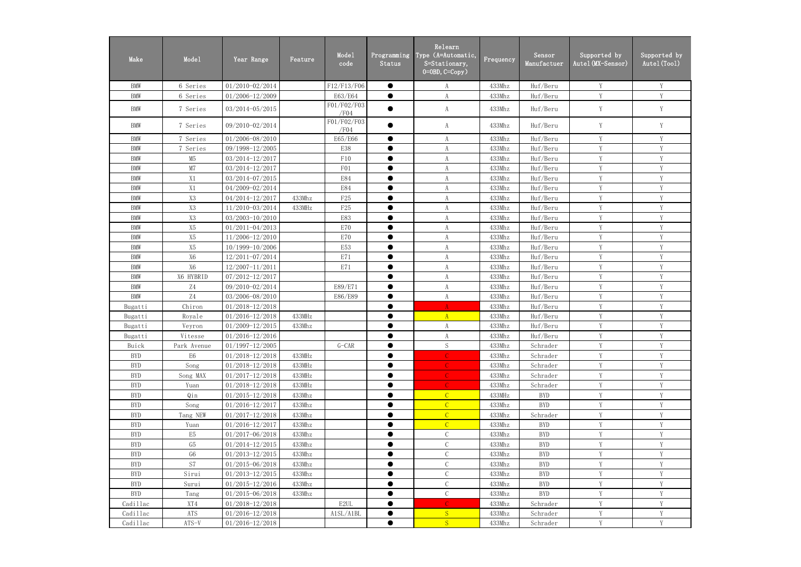| Make       | Mode1                    | Year Range          | Feature | Mode1<br>code       | Programming<br>Status | Relearn<br>Type (A=Automatic,<br>S=Stationary,<br>$0=0$ BD, $C=Copy$ ) | Frequency | Sensor<br>Manufactuer | Supported by<br>Autel(MX-Sensor) | Supported by<br>Autel (Tool) |
|------------|--------------------------|---------------------|---------|---------------------|-----------------------|------------------------------------------------------------------------|-----------|-----------------------|----------------------------------|------------------------------|
| <b>BMW</b> | 6 Series                 | 01/2010-02/2014     |         | F12/F13/F06         | $\bullet$             | A                                                                      | 433Mhz    | Huf/Beru              | Y                                | V                            |
| <b>BMW</b> | 6 Series                 | 01/2006-12/2009     |         | E63/E64             | $\bullet$             | $\rm A$                                                                | 433Mhz    | Huf/Beru              | Y                                | Y                            |
| <b>BMW</b> | 7 Series                 | $03/2014 - 05/2015$ |         | F01/F02/F03<br>/F04 |                       | A                                                                      | 433Mhz    | Huf/Beru              | Y                                | Y                            |
| <b>BMW</b> | 7 Series                 | 09/2010-02/2014     |         | F01/F02/F03<br>/F04 |                       | A                                                                      | 433Mhz    | Huf/Beru              | Y                                | Y                            |
| <b>BMW</b> | 7 Series                 | 01/2006-08/2010     |         | E65/E66             | $\bullet$             | A                                                                      | 433Mhz    | Huf/Beru              | Y                                | Y                            |
| <b>BMW</b> | 7 Series                 | 09/1998-12/2005     |         | E38                 | $\bullet$             | $\rm A$                                                                | 433Mhz    | Huf/Beru              | Y                                | Y                            |
| <b>BMW</b> | M5                       | 03/2014-12/2017     |         | F10                 | $\bullet$             | A                                                                      | 433Mhz    | Huf/Beru              | Y                                | Y                            |
| <b>BMW</b> | M7                       | 03/2014-12/2017     |         | F01                 | $\bullet$             | $\boldsymbol{\mathrm{A}}$                                              | 433Mhz    | Huf/Beru              | Y                                | V                            |
| <b>BMW</b> | X1                       | 03/2014-07/2015     |         | <b>E84</b>          | $\bullet$             | A                                                                      | 433Mhz    | Huf/Beru              | Y                                | Y                            |
| <b>BMW</b> | X1                       | 04/2009-02/2014     |         | <b>E84</b>          | $\bullet$             | A                                                                      | 433Mhz    | Huf/Beru              | Y                                | $\mathbf{V}$                 |
| <b>BMW</b> | X3                       | 04/2014-12/2017     | 433Mhz  | F25                 | ●                     | A                                                                      | 433Mhz    | Huf/Beru              | Y                                | V                            |
| <b>BMW</b> | <b>X3</b>                | 11/2010-03/2014     | 433MHz  | F <sub>25</sub>     | $\bullet$             | A                                                                      | 433Mhz    | Huf/Beru              | Y                                | $\mathbf{V}$                 |
| <b>BMW</b> | X <sub>3</sub>           | $03/2003 - 10/2010$ |         | E83                 |                       | $\boldsymbol{\mathrm{A}}$                                              | 433Mhz    | Huf/Beru              | Y                                | Y                            |
| <b>BMW</b> | X5                       | $01/2011 - 04/2013$ |         | E70                 | $\bullet$             | $\boldsymbol{\mathrm{A}}$                                              | 433Mhz    | Huf/Beru              | Y                                | V                            |
| <b>BMW</b> | X5                       | 11/2006-12/2010     |         | E70                 |                       | A                                                                      | 433Mhz    | Huf/Beru              | Y                                | V                            |
| <b>BMW</b> | X5                       | $10/1999 - 10/2006$ |         | E53                 | $\bullet$             | A                                                                      | 433Mhz    | Huf/Beru              | Y                                | Y                            |
| <b>BMW</b> | X <sub>6</sub>           | 12/2011-07/2014     |         | E71                 | $\bullet$             | $\boldsymbol{\mathrm{A}}$                                              | 433Mhz    | Huf/Beru              | Y                                | V                            |
| <b>BMW</b> | X6                       | 12/2007-11/2011     |         | E71                 | $\bullet$             | A                                                                      | 433Mhz    | Huf/Beru              | Y                                | Y                            |
| <b>BMW</b> | X6 HYBRID                | 07/2012-12/2017     |         |                     | $\bullet$             | A                                                                      | 433Mhz    | Huf/Beru              | Y                                | $\mathbf{V}$                 |
| <b>BMW</b> | Z4                       | 09/2010-02/2014     |         | E89/E71             | $\bullet$             | A                                                                      | 433Mhz    | Huf/Beru              | Y                                | V                            |
| <b>BMW</b> | $\ensuremath{\text{Z}}4$ | 03/2006-08/2010     |         | E86/E89             | $\bullet$             | A                                                                      | 433Mhz    | Huf/Beru              | Y                                | V                            |
| Bugatti    | Chiron                   | 01/2018-12/2018     |         |                     |                       | A                                                                      | 433Mhz    | Huf/Beru              | Y                                | V                            |
| Bugatti    | Royale                   | $01/2016 - 12/2018$ | 433MHz  |                     | $\bullet$             | $\mathbf{A}$                                                           | 433Mhz    | Huf/Beru              | Y                                | Y                            |
| Bugatti    | Veyron                   | $01/2009 - 12/2015$ | 433Mhz  |                     |                       | A                                                                      | 433Mhz    | Huf/Beru              | Y                                | Y                            |
| Bugatti    | Vitesse                  | $01/2016 - 12/2016$ |         |                     |                       | A                                                                      | 433Mhz    | Huf/Beru              | Y                                | $\mathbf Y$                  |
| Buick      | Park Avenue              | $01/1997 - 12/2005$ |         | $G-CAR$             | $\bullet$             | S.                                                                     | 433Mhz    | Schrader              | Y                                | Y                            |
| <b>BYD</b> | E6                       | $01/2018 - 12/2018$ | 433MHz  |                     | ●                     | $\mathbb{C}$                                                           | 433Mhz    | Schrader              | Y                                | Y                            |
| <b>BYD</b> | Song                     | $01/2018 - 12/2018$ | 433MHz  |                     | ●                     | $\mathbb{C}$                                                           | 433Mhz    | Schrader              | Y                                | $\mathbf{V}$                 |
| <b>BYD</b> | Song MAX                 | $01/2017 - 12/2018$ | 433MHz  |                     | $\bullet$             | $\mathbb{C}$                                                           | 433Mhz    | Schrader              | Y                                | Y                            |
| <b>BYD</b> | Yuan                     | $01/2018 - 12/2018$ | 433MHz  |                     | $\bullet$             | $\mathbb{C}$                                                           | 433Mhz    | Schrader              | $\mathbf Y$                      | Y                            |
| <b>BYD</b> | Qin                      | $01/2015 - 12/2018$ | 433Mhz  |                     | $\bullet$             | $\mathcal{C}$                                                          | 433MHz    | <b>BYD</b>            | Y                                | Y                            |
| <b>BYD</b> | Song                     | $01/2016 - 12/2017$ | 433Mhz  |                     | $\bullet$             | $\mathcal{C}$                                                          | 433Mhz    | <b>BYD</b>            | Y                                | Y                            |
| <b>BYD</b> | Tang NEW                 | $01/2017 - 12/2018$ | 433Mhz  |                     |                       | $\overline{C}$                                                         | 433Mhz    | Schrader              | Y                                | Y                            |
| <b>BYD</b> | Yuan                     | $01/2016 - 12/2017$ | 433Mhz  |                     | $\bullet$             | $\mathcal{C}$                                                          | 433Mhz    | <b>BYD</b>            | Y                                | Y                            |
| <b>BYD</b> | E <sub>5</sub>           | $01/2017 - 06/2018$ | 433Mhz  |                     | $\bullet$             | $\mathcal{C}$                                                          | 433Mhz    | <b>BYD</b>            | Y                                | Y                            |
| <b>BYD</b> | G5                       | $01/2014 - 12/2015$ | 433Mhz  |                     | $\bullet$             | $\mathcal{C}$                                                          | 433Mhz    | <b>BYD</b>            | Y                                | Y                            |
| <b>BYD</b> | G6                       | $01/2013 - 12/2015$ | 433Mhz  |                     | $\bullet$             | $\mathcal{C}$                                                          | 433Mhz    | <b>BYD</b>            | Y                                | V                            |
| <b>BYD</b> | S7                       | $01/2015 - 06/2018$ | 433Mhz  |                     | $\bullet$             | $\mathcal{C}$                                                          | 433Mhz    | <b>BYD</b>            | Y                                | Y                            |
| <b>BYD</b> | Sirui                    | $01/2013 - 12/2015$ | 433Mhz  |                     | $\bullet$             | $\mathcal{C}$                                                          | 433Mhz    | <b>BYD</b>            | Y                                | Y                            |
| <b>BYD</b> | Surui                    | $01/2015 - 12/2016$ | 433Mhz  |                     | $\bullet$             | $\mathbf C$                                                            | 433Mhz    | <b>BYD</b>            | Y                                | Y                            |
| <b>BYD</b> | Tang                     | $01/2015 - 06/2018$ | 433Mhz  |                     | $\bullet$             | $\mathcal{C}$                                                          | 433Mhz    | <b>BYD</b>            | Y                                | Y                            |
| Cadillac   | XT4                      | $01/2018 - 12/2018$ |         | E2UL                | $\bullet$             | $\mathcal{C}$                                                          | 433Mhz    | Schrader              | Y                                | Y                            |
| Cadillac   | ATS                      | $01/2016 - 12/2018$ |         | A1SL/A1BL           | $\bullet$             | S                                                                      | 433Mhz    | Schrader              | Y                                | Y                            |
| Cadillac   | $ATS-V$                  | $01/2016 - 12/2018$ |         |                     | $\bullet$             | S                                                                      | 433Mhz    | Schrader              | Y                                | Y                            |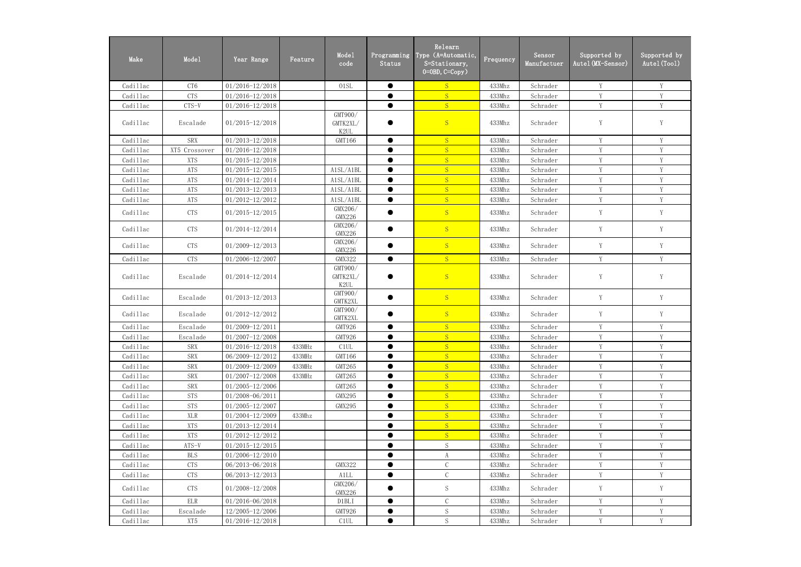| Make     | Model           | Year Range          | Feature | Mode1<br>code               | Programming<br>Status | Relearn<br>Type (A=Automatic,<br>S=Stationary,<br>$0=0$ BD, $C=Copy$ ) | Frequency | Sensor<br>Manufactuer | Supported by<br>Autel(MX-Sensor) | Supported by<br>Autel (Tool) |
|----------|-----------------|---------------------|---------|-----------------------------|-----------------------|------------------------------------------------------------------------|-----------|-----------------------|----------------------------------|------------------------------|
| Cadillac | CT <sub>6</sub> | $01/2016 - 12/2018$ |         | 01SL                        | $\bullet$             | S                                                                      | 433Mhz    | Schrader              | Y                                | Y                            |
| Cadillac | <b>CTS</b>      | $01/2016 - 12/2018$ |         |                             | $\bullet$             | S                                                                      | 433Mhz    | Schrader              | Y                                | $\mathbf{V}$                 |
| Cadillac | CTS-V           | $01/2016 - 12/2018$ |         |                             | $\bullet$             | S                                                                      | 433Mhz    | Schrader              | Y                                | Y                            |
| Cadillac | Escalade        | $01/2015 - 12/2018$ |         | GMT900/<br>GMTK2XL/<br>K2UL |                       | S                                                                      | 433Mhz    | Schrader              | Y                                | Y                            |
| Cadillac | <b>SRX</b>      | $01/2013 - 12/2018$ |         | GMT166                      | $\bullet$             | S                                                                      | 433Mhz    | Schrader              | Y                                | Y                            |
| Cadillac | XT5 Crossover   | $01/2016 - 12/2018$ |         |                             | $\bullet$             | S                                                                      | 433Mhz    | Schrader              | Y                                | Y                            |
| Cadillac | <b>XTS</b>      | $01/2015 - 12/2018$ |         |                             | ●                     | S                                                                      | 433Mhz    | Schrader              | Y                                | $\mathbf{V}$                 |
| Cadillac | ATS             | $01/2015 - 12/2015$ |         | A1SL/A1BL                   | $\bullet$             | S                                                                      | 433Mhz    | Schrader              | Y                                | V                            |
| Cadillac | ATS             | 01/2014-12/2014     |         | A1SL/A1BL                   | $\bullet$             | S                                                                      | 433Mhz    | Schrader              | Y                                | V                            |
| Cadillac | ATS             | $01/2013 - 12/2013$ |         | A1SL/A1BL                   |                       | S                                                                      | 433Mhz    | Schrader              | Y                                | Y                            |
| Cadillac | ATS             | $01/2012 - 12/2012$ |         | A1SL/A1BL                   | $\bullet$             | S                                                                      | 433Mhz    | Schrader              | Y                                | Y                            |
| Cadillac | <b>CTS</b>      | $01/2015 - 12/2015$ |         | GMX206/<br><b>GMX226</b>    |                       | S                                                                      | 433Mhz    | Schrader              | $\mathbf Y$                      | Y                            |
| Cadillac | <b>CTS</b>      | 01/2014-12/2014     |         | GMX206/<br><b>GMX226</b>    | $\bullet$             | S                                                                      | 433Mhz    | Schrader              | Y                                | Y                            |
| Cadillac | <b>CTS</b>      | $01/2009 - 12/2013$ |         | GMX206/<br><b>GMX226</b>    |                       | S                                                                      | 433Mhz    | Schrader              | Y                                | Y                            |
| Cadillac | <b>CTS</b>      | $01/2006 - 12/2007$ |         | <b>GMX322</b>               | $\bullet$             | S                                                                      | 433Mhz    | Schrader              | Y                                | Y                            |
| Cadillac | Escalade        | 01/2014-12/2014     |         | GMT900/<br>GMTK2XL/<br>K2UL |                       | S                                                                      | 433Mhz    | Schrader              | Y                                | Y                            |
| Cadillac | Escalade        | $01/2013 - 12/2013$ |         | GMT900/<br>GMTK2XL          | $\bullet$             | S                                                                      | 433Mhz    | Schrader              | Y                                | Y                            |
| Cadillac | Escalade        | $01/2012 - 12/2012$ |         | GMT900/<br>GMTK2XL          | $\bullet$             | S                                                                      | 433Mhz    | Schrader              | Y                                | Y                            |
| Cadillac | Escalade        | 01/2009-12/2011     |         | GMT926                      | $\bullet$             | S                                                                      | 433Mhz    | Schrader              | Y                                | Y                            |
| Cadillac | Escalade        | $01/2007 - 12/2008$ |         | GMT926                      | ▲                     | S                                                                      | 433Mhz    | Schrader              | Y                                | $\mathbf Y$                  |
| Cadillac | <b>SRX</b>      | $01/2016 - 12/2018$ | 433MHz  | C <sub>1</sub> UL           |                       | S                                                                      | 433Mhz    | Schrader              | Y                                | V                            |
| Cadillac | SRX             | 06/2009-12/2012     | 433MHz  | GMT166                      | $\bullet$             | S                                                                      | 433Mhz    | Schrader              | Y                                | Y                            |
| Cadillac | SRX             | $01/2009 - 12/2009$ | 433MHz  | GMT265                      |                       | S                                                                      | 433Mhz    | Schrader              | Y                                | V                            |
| Cadillac | SRX             | $01/2007 - 12/2008$ | 433MHz  | GMT265                      |                       | S                                                                      | 433Mhz    | Schrader              | Y                                | V                            |
| Cadillac | SRX             | $01/2005 - 12/2006$ |         | GMT265                      | ●                     | S                                                                      | 433Mhz    | Schrader              | Y                                | V                            |
| Cadillac | <b>STS</b>      | 01/2008-06/2011     |         | <b>GMX295</b>               | $\bullet$             | S                                                                      | 433Mhz    | Schrader              | $\mathbf Y$                      | Y                            |
| Cadillac | <b>STS</b>      | 01/2005-12/2007     |         | <b>GMX295</b>               | $\bullet$             | S                                                                      | 433Mhz    | Schrader              | Y                                | Y                            |
| Cadillac | XLR             | $01/2004 - 12/2009$ | 433Mhz  |                             |                       | S                                                                      | 433Mhz    | Schrader              | Y                                | Y                            |
| Cadillac | <b>XTS</b>      | $01/2013 - 12/2014$ |         |                             | $\bullet$             | S                                                                      | 433Mhz    | Schrader              | Y                                | Y                            |
| Cadillac | <b>XTS</b>      | $01/2012 - 12/2012$ |         |                             | $\bullet$             | S                                                                      | 433Mhz    | Schrader              | $\mathbf Y$                      | Y                            |
| Cadillac | $ATS-V$         | $01/2015 - 12/2015$ |         |                             | $\bullet$             | S                                                                      | 433Mhz    | Schrader              | Y                                | Y                            |
| Cadillac | <b>BLS</b>      | $01/2006 - 12/2010$ |         |                             | $\bullet$             | A                                                                      | 433Mhz    | Schrader              | Y                                | V                            |
| Cadillac | <b>CTS</b>      | 06/2013-06/2018     |         | <b>GMX322</b>               |                       | $\mathcal{C}$                                                          | 433Mhz    | Schrader              | Y                                |                              |
| Cadillac | <b>CTS</b>      | 06/2013-12/2013     |         | A1LL                        | $\bullet$             | $\mathcal{C}$                                                          | 433Mhz    | Schrader              | Y                                | V                            |
| Cadillac | <b>CTS</b>      | $01/2008 - 12/2008$ |         | GMX206/<br><b>GMX226</b>    |                       | $\mathbf S$                                                            | 433Mhz    | Schrader              | Y                                | Y                            |
| Cadillac | ELR             | $01/2016 - 06/2018$ |         | D1BLI                       | $\bullet$             | $\mathcal{C}$                                                          | 433Mhz    | Schrader              | Y                                |                              |
| Cadillac | Escalade        | 12/2005-12/2006     |         | GMT926                      | $\bullet$             | S                                                                      | 433Mhz    | Schrader              | $\mathbf Y$                      | Y                            |
| Cadillac | XT5             | $01/2016 - 12/2018$ |         | C1UL                        |                       | $\mathbf S$                                                            | 433Mhz    | Schrader              | Y                                | Y                            |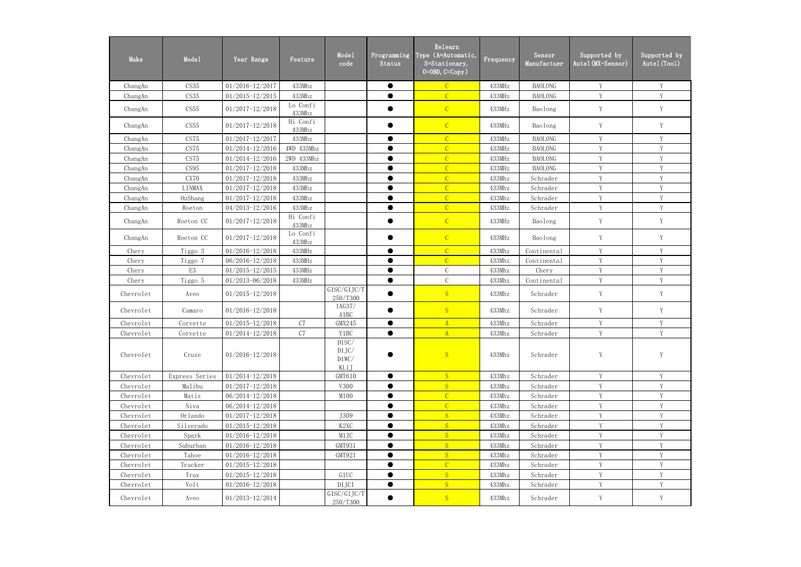| Make      | Mode1          | Year Range          | Feature            | Mode1<br>code                   | Programming<br>Status | Relearn<br>Type (A=Automatic,<br>S=Stationary,<br>$0=0$ BD, $C=Copy$ ) | Frequency | Sensor<br>Manufactuer | Supported by<br>Autel (MX-Sensor) | Supported by<br>Autel (Tool) |
|-----------|----------------|---------------------|--------------------|---------------------------------|-----------------------|------------------------------------------------------------------------|-----------|-----------------------|-----------------------------------|------------------------------|
| ChangAn   | CS35           | $01/2016 - 12/2017$ | 433Mhz             |                                 | $\bullet$             | $\mathcal{C}$                                                          | 433MHz    | <b>BAOLONG</b>        | Y                                 | Y                            |
| ChangAn   | CS35           | $01/2015 - 12/2015$ | 433Mhz             |                                 | $\bullet$             | $\overline{C}$                                                         | 433MHz    | <b>BAOLONG</b>        | Y                                 | Y                            |
| ChangAn   | CS55           | $01/2017 - 12/2018$ | Lo Confi<br>433Mhz |                                 |                       | $\mathcal{C}$                                                          | 433MHz    | Baolong               | Y                                 | Y                            |
| ChangAn   | CS55           | $01/2017 - 12/2018$ | Hi Confi<br>433Mhz |                                 |                       | $\overline{C}$                                                         | 433MHz    | Baolong               | Y                                 | Y                            |
| ChangAn   | CS75           | 01/2017-12/2017     | 433Mhz             |                                 | $\bullet$             | $\mathcal{C}$                                                          | 433MHz    | <b>BAOLONG</b>        | Y                                 | Y                            |
| ChangAn   | CS75           | $01/2014 - 12/2016$ | 4WD 433Mhz         |                                 | $\bullet$             | $\overline{C}$                                                         | 433MHz    | <b>BAOLONG</b>        | Y                                 | Y                            |
| ChangAn   | CS75           | $01/2014 - 12/2016$ | 2WD 433Mhz         |                                 | $\bullet$             | $\mathcal{C}$                                                          | 433MHz    | <b>BAOLONG</b>        | Y                                 | Y                            |
| ChangAn   | CS95           | $01/2017 - 12/2018$ | 433Mhz             |                                 | $\bullet$             | $\overline{C}$                                                         | 433MHz    | <b>BAOLONG</b>        | Y                                 | Y                            |
| ChangAn   | CX70           | $01/2017 - 12/2018$ | 433Mhz             |                                 | $\bullet$             | $\mathcal{C}$                                                          | 433Mhz    | Schrader              | Y                                 | Y                            |
| ChangAn   | <b>LINMAX</b>  | $01/2017 - 12/2018$ | 433Mhz             |                                 | $\bullet$             | $\overline{C}$                                                         | 433Mhz    | Schrader              | Y                                 | Y                            |
| ChangAn   | <b>OuShang</b> | $01/2017 - 12/2018$ | 433Mhz             |                                 | $\bullet$             | $\overline{C}$                                                         | 433Mhz    | Schrader              | Y                                 | Y                            |
| ChangAn   | Roeton         | 04/2013-12/2016     | 433Mhz             |                                 | $\bullet$             | $\overline{C}$                                                         | 433MHz    | Schrader              | Y                                 | Y                            |
| ChangAn   | Roeton CC      | $01/2017 - 12/2018$ | Hi Confi<br>433Mhz |                                 | $\bullet$             | $\mathcal{C}$                                                          | 433MHz    | Baolong               | Y                                 | $\mathbf Y$                  |
| ChangAn   | Roeton CC      | $01/2017 - 12/2018$ | Lo Confi<br>433Mhz |                                 | 0                     | $\overline{C}$                                                         | 433MHz    | Baolong               | Y                                 | Y                            |
| Chery     | Tiggo 3        | $01/2016 - 12/2018$ | 433MHz             |                                 | $\bullet$             | $\overline{C}$                                                         | 433Mhz    | Continental           | Y                                 | Y                            |
| Chery     | Tiggo 7        | 06/2016-12/2018     | 433MHz             |                                 | $\bullet$             | $\overline{C}$                                                         | 433Mhz    | Continental           | Y                                 | Y                            |
| Chery     | E <sub>3</sub> | $01/2015 - 12/2015$ | 433MHz             |                                 | $\bullet$             | $\mathcal{C}$                                                          | 433Mhz    | Chery                 | Y                                 | Y                            |
| Chery     | Tiggo 5        | 01/2013-06/2018     | 433MHz             |                                 | $\bullet$             | $\mathbf C$                                                            | 433Mhz    | Continental           | Y                                 | Y                            |
| Chevrolet | Aveo           | $01/2015 - 12/2018$ |                    | G1SC/G1JC/T<br>250/T300         | $\bullet$             | S                                                                      | 433Mhz    | Schrader              | Y                                 | Y                            |
| Chevrolet | Camaro         | 01/2016-12/2018     |                    | 1AG37/<br>A1BC                  |                       | S                                                                      | 433Mhz    | Schrader              | Y                                 | Y                            |
| Chevrolet | Corvette       | 01/2015-12/2018     | C7                 | GMX245                          | $\bullet$             | $\mathbf{A}$                                                           | 433Mhz    | Schrader              | Y                                 | Y                            |
| Chevrolet | Corvette       | 01/2014-12/2018     | C7                 | Y1BC                            | $\bullet$             | $\mathbf{A}$                                                           | 433Mhz    | Schrader              | Y                                 | $\mathbf Y$                  |
| Chevrolet | Cruze          | $01/2016 - 12/2018$ |                    | D1SC/<br>D1JC/<br>D1WC/<br>KL1J |                       | S                                                                      | 433Mhz    | Schrader              | Y                                 | Y                            |
| Chevrolet | Express Series | $01/2014 - 12/2018$ |                    | GMT610                          | $\bullet$             | S                                                                      | 433Mhz    | Schrader              | Y                                 | Y                            |
| Chevrolet | Malibu         | $01/2017 - 12/2018$ |                    | V300                            | $\bullet$             | S                                                                      | 433Mhz    | Schrader              | Y                                 | Y                            |
| Chevrolet | Matiz          | 06/2014-12/2018     |                    | M100                            | ●                     | $\overline{C}$                                                         | 433Mhz    | Schrader              | Y                                 | Y                            |
| Chevrolet | Niva           | $06/2014 - 12/2018$ |                    |                                 | $\bullet$             | $\overline{C}$                                                         | 433Mhz    | Schrader              | Y                                 | Y                            |
| Chevrolet | Orlando        | $01/2017 - 12/2018$ |                    | J309                            |                       | S                                                                      | 433Mhz    | Schrader              | Y                                 | Y                            |
| Chevrolet | Silverado      | $01/2015 - 12/2018$ |                    | K <sub>2</sub> XC               | $\bullet$             | S                                                                      | 433Mhz    | Schrader              | Y                                 | Y                            |
| Chevrolet | Spark          | $01/2016 - 12/2018$ |                    | M1JC                            | ●                     | S                                                                      | 433Mhz    | Schrader              | Y                                 | Y                            |
| Chevrolet | Suburban       | $01/2016 - 12/2018$ |                    | GMT931                          | $\bullet$             | S                                                                      | 433Mhz    | Schrader              | Y                                 | Y                            |
| Chevrolet | Tahoe          | $01/2016 - 12/2018$ |                    | GMT921                          | $\bullet$             | S                                                                      | 433Mhz    | Schrader              | Y                                 | Y                            |
| Chevrolet | Tracker        | $01/2015 - 12/2018$ |                    |                                 | $\bullet$             | $\overline{C}$                                                         | 433Mhz    | Schrader              | Y                                 | Y                            |
| Chevrolet | Trax           | $01/2015 - 12/2018$ |                    | G1UC                            | $\bullet$             | S                                                                      | 433Mhz    | Schrader              | Y                                 | V                            |
| Chevrolet | Volt           | $01/2016 - 12/2018$ |                    | D1JCI                           | $\bullet$             | S                                                                      | 433Mhz    | Schrader              | Y                                 | Y                            |
| Chevrolet | Aveo           | $01/2013 - 12/2014$ |                    | G1SC/G1JC/T<br>250/T300         | $\bullet$             | S                                                                      | 433Mhz    | Schrader              | Y                                 | Y                            |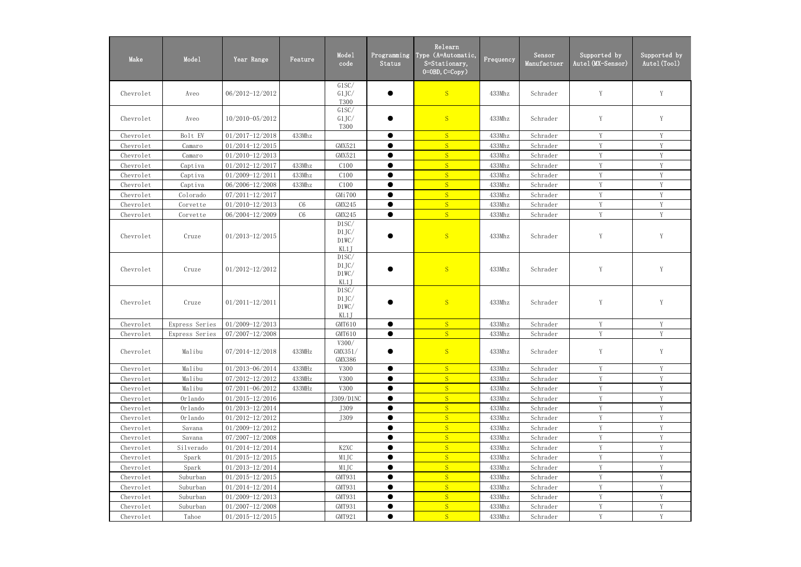| Make      | Mode1          | Year Range          | Feature | Mode1<br>code                   | Programming<br>Status | Relearn<br>Type (A=Automatic,<br>S=Stationary,<br>$0=0$ BD, $C=Copy$ ) | Frequency | Sensor<br>Manufactuer | Supported by<br>Autel (MX-Sensor) | Supported by<br>Autel (Tool) |
|-----------|----------------|---------------------|---------|---------------------------------|-----------------------|------------------------------------------------------------------------|-----------|-----------------------|-----------------------------------|------------------------------|
| Chevrolet | Aveo           | 06/2012-12/2012     |         | G1SC/<br>G1JC/<br><b>T300</b>   |                       | S                                                                      | 433Mhz    | Schrader              | Y                                 | Y                            |
| Chevrolet | Aveo           | $10/2010 - 05/2012$ |         | G1SC/<br>G1JC/<br><b>T300</b>   |                       | S                                                                      | 433Mhz    | Schrader              | Y                                 | $\mathbf Y$                  |
| Chevrolet | Bolt EV        | $01/2017 - 12/2018$ | 433Mhz  |                                 | $\bullet$             | S                                                                      | 433Mhz    | Schrader              | Y                                 | Y                            |
| Chevrolet | Camaro         | $01/2014 - 12/2015$ |         | GMX521                          |                       | S                                                                      | 433Mhz    | Schrader              | Y                                 | Y                            |
| Chevrolet | Camaro         | $01/2010 - 12/2013$ |         | GMX521                          | $\bullet$             | S                                                                      | 433Mhz    | Schrader              | Y                                 | Y                            |
| Chevrolet | Captiva        | $01/2012 - 12/2017$ | 433Mhz  | C100                            | $\bullet$             | S                                                                      | 433Mhz    | Schrader              | Y                                 | $\mathbf Y$                  |
| Chevrolet | Captiva        | $01/2009 - 12/2011$ | 433Mhz  | C100                            | $\bullet$             | S                                                                      | 433Mhz    | Schrader              | Y                                 | Y                            |
| Chevrolet | Captiva        | 06/2006-12/2008     | 433Mhz  | C100                            |                       | S                                                                      | 433Mhz    | Schrader              | Y                                 | Y                            |
| Chevrolet | Colorado       | 07/2011-12/2017     |         | GMi700                          | $\bullet$             | S                                                                      | 433Mhz    | Schrader              | Y                                 | Y                            |
| Chevrolet | Corvette       | $01/2010 - 12/2013$ | C6      | GMX245                          | $\bullet$             | S                                                                      | 433Mhz    | Schrader              | Y                                 | Y                            |
| Chevrolet | Corvette       | 06/2004-12/2009     | C6      | GMX245                          | $\bullet$             | S                                                                      | 433Mhz    | Schrader              | Y                                 | Y                            |
| Chevrolet | Cruze          | $01/2013 - 12/2015$ |         | D1SC/<br>D1JC/<br>D1WC/<br>KL1J |                       | S                                                                      | 433Mhz    | Schrader              | $\mathbf Y$                       | $\mathbf Y$                  |
| Chevrolet | Cruze          | $01/2012 - 12/2012$ |         | D1SC/<br>D1JC/<br>D1WC/<br>KL1J |                       | S                                                                      | 433Mhz    | Schrader              | $\mathbf Y$                       | $\mathbf Y$                  |
| Chevrolet | Cruze          | $01/2011 - 12/2011$ |         | D1SC/<br>D1JC/<br>D1WC/<br>KL1J |                       | S                                                                      | 433Mhz    | Schrader              | Y                                 | Y                            |
| Chevrolet | Express Series | $01/2009 - 12/2013$ |         | GMT610                          | $\bullet$             | S                                                                      | 433Mhz    | Schrader              | Y                                 | $\mathbf Y$                  |
| Chevrolet | Express Series | $07/2007 - 12/2008$ |         | GMT610                          | $\bullet$             | <sub>S</sub>                                                           | 433Mhz    | Schrader              | Y                                 | Y                            |
| Chevrolet | Malibu         | 07/2014-12/2018     | 433MHz  | V300/<br>GMX351/<br>GMX386      |                       | S                                                                      | 433Mhz    | Schrader              | Y                                 | Y                            |
| Chevrolet | Malibu         | 01/2013-06/2014     | 433MHz  | V300                            | $\bullet$             | S                                                                      | 433Mhz    | Schrader              | Y                                 | Y                            |
| Chevrolet | Malibu         | 07/2012-12/2012     | 433MHz  | V300                            | $\bullet$             | S                                                                      | 433Mhz    | Schrader              | Y                                 | $\mathbf Y$                  |
| Chevrolet | Malibu         | $07/2011 - 06/2012$ | 433MHz  | V300                            | ●                     | S                                                                      | 433Mhz    | Schrader              | Y                                 | Y                            |
| Chevrolet | Orlando        | $01/2015 - 12/2016$ |         | J309/D1NC                       |                       | S                                                                      | 433Mhz    | Schrader              | Y                                 | Y                            |
| Chevrolet | Orlando        | $01/2013 - 12/2014$ |         | J309                            |                       | S                                                                      | 433Mhz    | Schrader              | Y                                 | Y                            |
| Chevrolet | Orlando        | $01/2012 - 12/2012$ |         | J309                            | $\bullet$             | S                                                                      | 433Mhz    | Schrader              | Y                                 | Y                            |
| Chevrolet | Savana         | 01/2009-12/2012     |         |                                 |                       | S                                                                      | 433Mhz    | Schrader              | Y                                 | Y                            |
| Chevrolet | Savana         | 07/2007-12/2008     |         |                                 | ●                     | S                                                                      | 433Mhz    | Schrader              | Y                                 | $\mathbf Y$                  |
| Chevrolet | Silverado      | $01/2014 - 12/2014$ |         | K <sub>2</sub> XC               |                       | S                                                                      | 433Mhz    | Schrader              | Y                                 | Y                            |
| Chevrolet | Spark          | $01/2015 - 12/2015$ |         | M1JC                            | $\bullet$             | S                                                                      | 433Mhz    | Schrader              | Y                                 | Y                            |
| Chevrolet | Spark          | $01/2013 - 12/2014$ |         | M1JC                            | $\bullet$             | S                                                                      | 433Mhz    | Schrader              | Y                                 | Y                            |
| Chevrolet | Suburban       | $01/2015 - 12/2015$ |         | GMT931                          | ●                     | S                                                                      | 433Mhz    | Schrader              | Y                                 | Y                            |
| Chevrolet | Suburban       | $01/2014 - 12/2014$ |         | GMT931                          |                       | S                                                                      | 433Mhz    | Schrader              | Y                                 | V                            |
| Chevrolet | Suburban       | $01/2009 - 12/2013$ |         | GMT931                          | ●                     | S                                                                      | 433Mhz    | Schrader              | Y                                 | Y                            |
| Chevrolet | Suburban       | $01/2007 - 12/2008$ |         | GMT931                          | $\bullet$             | S                                                                      | 433Mhz    | Schrader              | Y                                 | Y                            |
| Chevrolet | Tahoe          | $01/2015 - 12/2015$ |         | GMT921                          | $\bullet$             | S                                                                      | 433Mhz    | Schrader              | Y                                 | Y                            |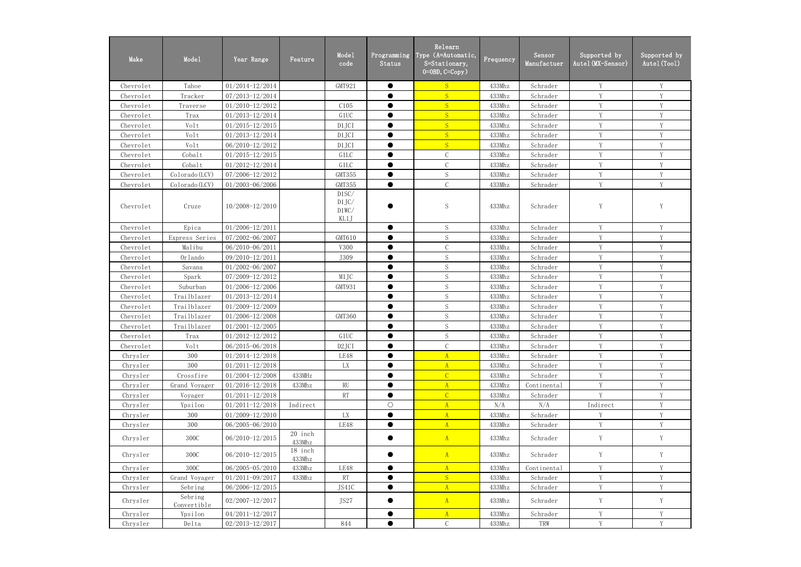| Make      | Mode1                  | Year Range          | Feature           | Mode1<br>code                   | Programming<br>Status | Relearn<br>Type (A=Automatic,<br>S=Stationary,<br>$0=0$ BD, $C=Copy$ ) | Frequency | Sensor<br>Manufactuer | Supported by<br>Autel (MX-Sensor) | Supported by<br>Autel (Tool) |
|-----------|------------------------|---------------------|-------------------|---------------------------------|-----------------------|------------------------------------------------------------------------|-----------|-----------------------|-----------------------------------|------------------------------|
| Chevrolet | Tahoe                  | 01/2014-12/2014     |                   | GMT921                          | $\bullet$             | S                                                                      | 433Mhz    | Schrader              | Y                                 | Y                            |
| Chevrolet | Tracker                | 07/2013-12/2014     |                   |                                 |                       | S                                                                      | 433Mhz    | Schrader              | Y                                 | Y                            |
| Chevrolet | Traverse               | $01/2010 - 12/2012$ |                   | C105                            | $\bullet$             | S                                                                      | 433Mhz    | Schrader              | Y                                 | Y                            |
| Chevrolet | Trax                   | 01/2013-12/2014     |                   | G1UC                            | $\bullet$             | S                                                                      | 433Mhz    | Schrader              | Y                                 | Y                            |
| Chevrolet | Volt                   | $01/2015 - 12/2015$ |                   | D1JCI                           | $\bullet$             | S                                                                      | 433Mhz    | Schrader              | V                                 | Y                            |
| Chevrolet | Volt                   | 01/2013-12/2014     |                   | D1JCI                           | ●                     | S                                                                      | 433Mhz    | Schrader              | $\mathbf{V}$                      | V                            |
| Chevrolet | Volt                   | 06/2010-12/2012     |                   | D1JCI                           | $\bullet$             | S                                                                      | 433Mhz    | Schrader              | Y                                 | Y                            |
| Chevrolet | Cobalt                 | $01/2015 - 12/2015$ |                   | G1LC                            | $\bullet$             | $\mathcal{C}$                                                          | 433Mhz    | Schrader              | Y                                 | Y                            |
| Chevrolet | Cobalt                 | 01/2012-12/2014     |                   | G1LC                            | $\bullet$             | $\mathcal{C}$                                                          | 433Mhz    | Schrader              | Y                                 | Y                            |
| Chevrolet | Colorado (LCV)         | 07/2006-12/2012     |                   | GMT355                          | $\bullet$             | S                                                                      | 433Mhz    | Schrader              | Y                                 | Y                            |
| Chevrolet | Colorado (LCV)         | 01/2003-06/2006     |                   | GMT355                          | $\bullet$             | $\mathcal{C}$                                                          | 433Mhz    | Schrader              | Y                                 | Y                            |
| Chevrolet | Cruze                  | 10/2008-12/2010     |                   | D1SC/<br>D1JC/<br>D1WC/<br>KL1J |                       | S                                                                      | 433Mhz    | Schrader              | Y                                 | Y                            |
| Chevrolet | Epica                  | $01/2006 - 12/2011$ |                   |                                 | $\bullet$             | S                                                                      | 433Mhz    | Schrader              | Y                                 | Y                            |
| Chevrolet | Express Series         | 07/2002-06/2007     |                   | GMT610                          | $\bullet$             | $\mathbf S$                                                            | 433Mhz    | Schrader              | Y                                 | Y                            |
| Chevrolet | Malibu                 | 06/2010-06/2011     |                   | V300                            | $\bullet$             | $\mathcal{C}$                                                          | 433Mhz    | Schrader              | Y                                 | Y                            |
| Chevrolet | Orlando                | 09/2010-12/2011     |                   | J309                            | $\bullet$             | S                                                                      | 433Mhz    | Schrader              | Y                                 | Y                            |
| Chevrolet | Savana                 | 01/2002-06/2007     |                   |                                 | ●                     | S                                                                      | 433Mhz    | Schrader              | Y                                 | Y                            |
| Chevrolet | Spark                  | 07/2009-12/2012     |                   | M1JC                            | $\bullet$             | $\mathbf S$                                                            | 433Mhz    | Schrader              | $\mathbf{V}$                      | $\mathbf{V}$                 |
| Chevrolet | Suburban               | $01/2006 - 12/2006$ |                   | GMT931                          | $\bullet$             | $\mathbf S$                                                            | 433Mhz    | Schrader              | V                                 | V                            |
| Chevrolet | Trailblazer            | 01/2013-12/2014     |                   |                                 | ●                     | S                                                                      | 433Mhz    | Schrader              | Y                                 | Y                            |
| Chevrolet | Trailblazer            | 01/2009-12/2009     |                   |                                 |                       | S                                                                      | 433Mhz    | Schrader              | Y                                 | Y                            |
| Chevrolet | Trailblazer            | 01/2006-12/2008     |                   | GMT360                          | $\bullet$             | S                                                                      | 433Mhz    | Schrader              | Y                                 | Y                            |
| Chevrolet | Trailblazer            | $01/2001 - 12/2005$ |                   |                                 |                       | $\mathbf S$                                                            | 433Mhz    | Schrader              | Y                                 | Y                            |
| Chevrolet | Trax                   | $01/2012 - 12/2012$ |                   | G1UC                            |                       | ${\mathcal S}$                                                         | 433Mhz    | Schrader              | Y                                 | Y                            |
| Chevrolet | Volt                   | 06/2015-06/2018     |                   | D <sub>2</sub> JCI              | $\bullet$             | $\mathcal{C}$                                                          | 433Mhz    | Schrader              | Y                                 | Y                            |
| Chrysler  | 300                    | $01/2014 - 12/2018$ |                   | LE48                            | $\bullet$             | $\mathbf{A}$                                                           | 433Mhz    | Schrader              | Y                                 | Y                            |
| Chrysler  | 300                    | $01/2011 - 12/2018$ |                   | LX                              | $\bullet$             | A                                                                      | 433Mhz    | Schrader              | Y                                 | V                            |
| Chrysler  | Crossfire              | 01/2004-12/2008     | 433MHz            |                                 |                       | $\mathcal{C}$                                                          | 433Mhz    | Schrader              | Y                                 | Y                            |
| Chrysler  | Grand Voyager          | $01/2016 - 12/2018$ | 433Mhz            | RU                              | $\bullet$             | A                                                                      | 433Mhz    | Continental           | Y                                 | Y                            |
| Chrysler  | Voyager                | $01/2011 - 12/2018$ |                   | <b>RT</b>                       | $\bullet$             | $\overline{C}$                                                         | 433Mhz    | Schrader              | Y                                 | Y                            |
| Chrysler  | Ypsilon                | $01/2011 - 12/2018$ | Indirect          |                                 | $\bigcirc$            | $\mathbf{A}$                                                           | N/A       | N/A                   | Indirect                          | Y                            |
| Chrysler  | 300                    | $01/2009 - 12/2010$ |                   | LX                              |                       | $\mathbf{A}$                                                           | 433Mhz    | Schrader              | Y                                 | Y                            |
| Chrysler  | 300                    | 06/2005-06/2010     |                   | LE48                            | $\bullet$             | A                                                                      | 433Mhz    | Schrader              | Y                                 | Y                            |
| Chrysler  | 300C                   | $06/2010 - 12/2015$ | 20 inch<br>433Mhz |                                 |                       | A                                                                      | 433Mhz    | Schrader              | Y                                 | Y                            |
| Chrysler  | 300C                   | $06/2010 - 12/2015$ | 18 inch<br>433Mhz |                                 |                       | A                                                                      | 433Mhz    | Schrader              | Y                                 | Y                            |
| Chrysler  | 300C                   | 06/2005-05/2010     | 433Mhz            | LE48                            | $\bullet$             | A                                                                      | 433Mhz    | Continental           | Y                                 | $\mathbf Y$                  |
| Chrysler  | Grand Voyager          | 01/2011-09/2017     | 433Mhz            | RT                              | $\bullet$             | S                                                                      | 433Mhz    | Schrader              | Y                                 | Y                            |
| Chrysler  | Sebring                | 06/2006-12/2015     |                   | JS41C                           |                       | $\overline{A}$                                                         | 433Mhz    | Schrader              | Y                                 | Y                            |
| Chrysler  | Sebring<br>Convertible | $02/2007 - 12/2017$ |                   | JS27                            |                       | A                                                                      | 433Mhz    | Schrader              | Y                                 | Y                            |
| Chrysler  | Ypsilon                | 04/2011-12/2017     |                   |                                 | $\bullet$             | A                                                                      | 433Mhz    | Schrader              | Y                                 | Y                            |
| Chrysler  | Delta                  | $02/2013 - 12/2017$ |                   | 844                             | $\bullet$             | $\mathcal{C}$                                                          | 433Mhz    | TRW                   | Y                                 | $\mathbf Y$                  |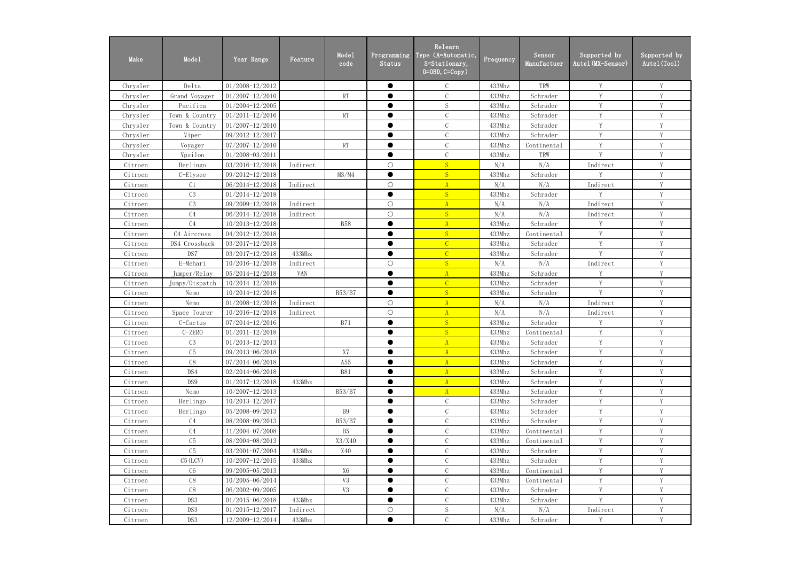| Make     | Mode1          | Year Range          | Feature    | Mode1<br>code  | Programming<br>Status | Relearn<br>Type (A=Automatic,<br>S=Stationary,<br>$0=0$ BD, $C=Copy$ ) | Frequency | Sensor<br>Manufactuer | Supported by<br>Autel (MX-Sensor) | Supported by<br>Autel (Tool) |
|----------|----------------|---------------------|------------|----------------|-----------------------|------------------------------------------------------------------------|-----------|-----------------------|-----------------------------------|------------------------------|
| Chrysler | Delta          | 01/2008-12/2012     |            |                | $\bullet$             | $\mathcal{C}$                                                          | 433Mhz    | TRW                   | Y                                 | Y                            |
| Chrysler | Grand Voyager  | $01/2007 - 12/2010$ |            | <b>RT</b>      | ●                     | $\mathcal{C}$                                                          | 433Mhz    | Schrader              | $\mathbf{V}$                      | V                            |
| Chrysler | Pacifica       | 01/2004-12/2005     |            |                | $\bullet$             | S                                                                      | 433Mhz    | Schrader              | V                                 | Y                            |
| Chrysler | Town & Country | $01/2011 - 12/2016$ |            | RT             | $\bullet$             | $\mathcal{C}$                                                          | 433Mhz    | Schrader              | V                                 | Y                            |
| Chrysler | Town & Country | $01/2007 - 12/2010$ |            |                | $\bullet$             | $\mathcal{C}$                                                          | 433Mhz    | Schrader              | Y                                 | Y                            |
| Chrysler | Viper          | 09/2012-12/2017     |            |                | $\bullet$             | $\mathcal{C}$                                                          | 433Mhz    | Schrader              | Y                                 | Y                            |
| Chrysler | Voyager        | 07/2007-12/2010     |            | RT             | $\bullet$             | $\mathcal{C}$                                                          | 433Mhz    | Continental           | Y                                 | Y                            |
| Chrysler | Ypsilon        | 01/2008-03/2011     |            |                | $\bullet$             | $\mathcal{C}$                                                          | 433Mhz    | TRW                   | Y                                 | Y                            |
| Citroen  | Berlingo       | 03/2016-12/2018     | Indirect   |                | $\bigcirc$            | S                                                                      | N/A       | N/A                   | Indirect                          | Y                            |
| Citroen  | C-Elysee       | 09/2012-12/2018     |            | M3/M4          | $\bullet$             | S                                                                      | 433Mhz    | Schrader              | V                                 | Y                            |
| Citroen  | C <sub>1</sub> | 06/2014-12/2018     | Indirect   |                | $\bigcirc$            | $\mathbf{A}$                                                           | N/A       | N/A                   | Indirect                          | V                            |
| Citroen  | C3             | $01/2014 - 12/2018$ |            |                | $\bullet$             | S                                                                      | 433Mhz    | Schrader              | V                                 | Y                            |
| Citroen  | C <sub>3</sub> | 09/2009-12/2018     | Indirect   |                | $\bigcirc$            | A                                                                      | N/A       | N/A                   | Indirect                          | Y                            |
| Citroen  | C <sub>4</sub> | 06/2014-12/2018     | Indirect   |                | $\bigcirc$            | S                                                                      | N/A       | N/A                   | Indirect                          | Y                            |
| Citroen  | C <sub>4</sub> | 10/2013-12/2018     |            | <b>B58</b>     | $\bullet$             | $\overline{A}$                                                         | 433Mhz    | Schrader              | Y                                 | Y                            |
| Citroen  | C4 Aircross    | 04/2012-12/2018     |            |                | ●                     | S                                                                      | 433Mhz    | Continental           | Y                                 | Y                            |
| Citroen  | DS4 Crossback  | 03/2017-12/2018     |            |                | $\bullet$             | $\overline{C}$                                                         | 433Mhz    | Schrader              | Y                                 | Y                            |
| Citroen  | DS7            | 03/2017-12/2018     | 433Mhz     |                | $\bullet$             | $\overline{C}$                                                         | 433Mhz    | Schrader              | V                                 | Y                            |
| Citroen  | E-Mehari       | 10/2016-12/2018     | Indirect   |                | $\bigcirc$            | S                                                                      | N/A       | N/A                   | Indirect                          | Y                            |
| Citroen  | Jumper/Relay   | 05/2014-12/2018     | <b>VAN</b> |                | ●                     | $\mathbf{A}$                                                           | 433Mhz    | Schrader              | $\mathbf{V}$                      | $\mathbf{V}$                 |
| Citroen  | Jumpy/Dispatch | 10/2014-12/2018     |            |                | ●                     | $\overline{C}$                                                         | 433Mhz    | Schrader              | V                                 | V                            |
| Citroen  | Nemo           | 10/2014-12/2018     |            | B53/B7         | $\bullet$             | S                                                                      | 433Mhz    | Schrader              | Y                                 | Y                            |
| Citroen  | Nemo           | 01/2008-12/2018     | Indirect   |                | $\bigcirc$            | $\mathbf{A}$                                                           | N/A       | N/A                   | Indirect                          | Y                            |
| Citroen  | Space Tourer   | 10/2016-12/2018     | Indirect   |                | $\bigcirc$            | $\mathbf{A}$                                                           | N/A       | N/A                   | Indirect                          | Y                            |
| Citroen  | C-Cactus       | 07/2014-12/2016     |            | <b>B71</b>     | $\bullet$             | S                                                                      | 433Mhz    | Schrader              | Y                                 | Y                            |
| Citroen  | C-ZERO         | $01/2011 - 12/2018$ |            |                | $\bullet$             | S                                                                      | 433Mhz    | Continental           | Y                                 | $\mathbf Y$                  |
| Citroen  | C3             | $01/2013 - 12/2013$ |            |                |                       | $\mathbf{A}$                                                           | 433Mhz    | Schrader              | Y                                 | Y                            |
| Citroen  | C5             | 09/2013-06/2018     |            | X7             |                       | $\mathbf{A}$                                                           | 433Mhz    | Schrader              | V                                 | Y                            |
| Citroen  | C8             | 07/2014-06/2018     |            | A55            |                       | $\mathbf{A}$                                                           | 433Mhz    | Schrader              | Y                                 | V                            |
| Citroen  | DS4            | $02/2014 - 06/2018$ |            | <b>B81</b>     | $\bullet$             | A                                                                      | 433Mhz    | Schrader              | Y                                 | Y                            |
| Citroen  | DS9            | $01/2017 - 12/2018$ | 433Mhz     |                | $\bullet$             | $\mathbf{A}$                                                           | 433Mhz    | Schrader              | Y                                 | Y                            |
| Citroen  | Nemo           | $10/2007 - 12/2013$ |            | B53/B7         |                       | $\mathbf{A}$                                                           | 433Mhz    | Schrader              | Y                                 | Y                            |
| Citroen  | Berlingo       | $10/2013 - 12/2017$ |            |                | $\bullet$             | $\mathcal{C}$                                                          | 433Mhz    | Schrader              | Y                                 | Y                            |
| Citroen  | Berlingo       | 05/2008-09/2013     |            | <b>B9</b>      |                       | $\mathcal{C}$                                                          | 433Mhz    | Schrader              | Y                                 | $\mathbf Y$                  |
| Citroen  | C <sub>4</sub> | 08/2008-09/2013     |            | B53/B7         | $\bullet$             | $\mathcal{C}$                                                          | 433Mhz    | Schrader              | Y                                 | Y                            |
| Citroen  | C <sub>4</sub> | 11/2004-07/2008     |            | B <sub>5</sub> | $\bullet$             | $\mathcal{C}$                                                          | 433Mhz    | Continental           | Y                                 | Y                            |
| Citroen  | C5             | 08/2004-08/2013     |            | X3/X40         | $\bullet$             | $\mathcal{C}$                                                          | 433Mhz    | Continental           | Y                                 | Y                            |
| Citroen  | C5             | 03/2001-07/2004     | 433Mhz     | X40            |                       | $\mathcal{C}$                                                          | 433Mhz    | Schrader              | Y                                 | V                            |
| Citroen  | $C5$ (LCV)     | $10/2007 - 12/2015$ | 433Mhz     |                | $\bullet$             | $\mathcal{C}$                                                          | 433Mhz    | Schrader              | Y                                 | Y                            |
| Citroen  | C6             | 09/2005-05/2013     |            | <b>X6</b>      | $\bullet$             | $\mathsf C$                                                            | 433Mhz    | Continental           | Y                                 | Y                            |
| Citroen  | C8             | 10/2005-06/2014     |            | V3             |                       | $\mathcal{C}$                                                          | 433Mhz    | Continental           | Y                                 | Y                            |
| Citroen  | C8             | 06/2002-09/2005     |            | V3             | $\bullet$             | $\mathcal{C}$                                                          | 433Mhz    | Schrader              | Y                                 | Y                            |
| Citroen  | DS3            | $01/2015 - 06/2018$ | 433Mhz     |                | $\bullet$             | $\mathcal{C}$                                                          | 433Mhz    | Schrader              | Y                                 | Y                            |
| Citroen  | DS3            | $01/2015 - 12/2017$ | Indirect   |                | $\bigcirc$            | $S_{\rm}$                                                              | N/A       | N/A                   | Indirect                          | Y                            |
| Citroen  | DS3            | 12/2009-12/2014     | 433Mhz     |                | $\bullet$             | $\mathcal{C}$                                                          | 433Mhz    | Schrader              | V                                 | V                            |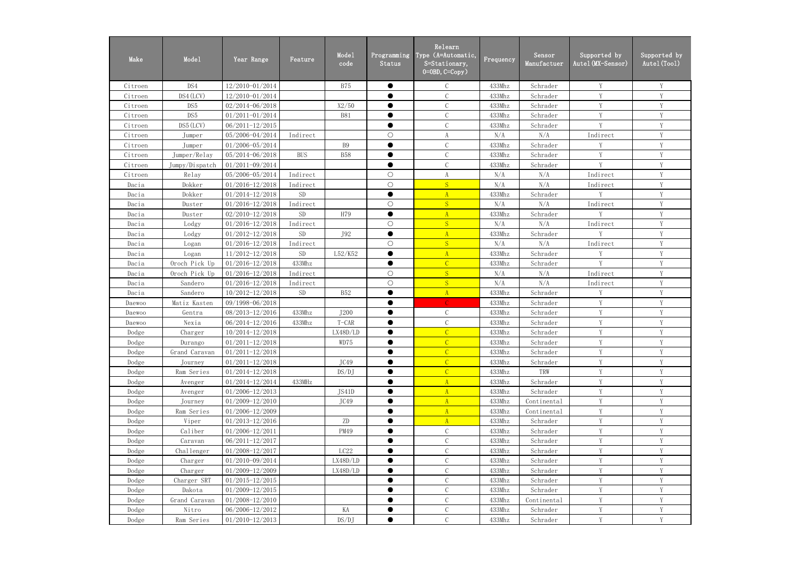| Make    | Mode1          | Year Range          | Feature    | Mode1<br>code | Programming<br>Status | Relearn<br>Type (A=Automatic,<br>S=Stationary,<br>$0=0$ BD, $C=Copy$ ) | $F$ requency | Sensor<br>Manufactuer | Supported by<br>Autel (MX-Sensor) | Supported by<br>Autel (Tool) |
|---------|----------------|---------------------|------------|---------------|-----------------------|------------------------------------------------------------------------|--------------|-----------------------|-----------------------------------|------------------------------|
| Citroen | DS4            | 12/2010-01/2014     |            | <b>B75</b>    | $\bullet$             | $\mathcal{C}$                                                          | 433Mhz       | Schrader              | Y                                 | Y                            |
| Citroen | DS4 (LCV)      | 12/2010-01/2014     |            |               | $\bullet$             | $\mathcal{C}$                                                          | 433Mhz       | Schrader              | Y                                 | Y                            |
| Citroen | DS5            | $02/2014 - 06/2018$ |            | X2/50         | $\bullet$             | $\mathbf C$                                                            | 433Mhz       | Schrader              | Y                                 | Y                            |
| Citroen | DS5            | $01/2011 - 01/2014$ |            | <b>B81</b>    | $\bullet$             | $\mathbf C$                                                            | 433Mhz       | Schrader              | $\mathbf{V}$                      | Y                            |
| Citroen | DS5 (LCV)      | $06/2011 - 12/2015$ |            |               | $\bullet$             | $\mathcal{C}$                                                          | 433Mhz       | Schrader              | V                                 | Y                            |
| Citroen | Jumper         | 05/2006-04/2014     | Indirect   |               | $\bigcirc$            | A                                                                      | N/A          | N/A                   | Indirect                          | Y                            |
| Citroen | Jumper         | 01/2006-05/2014     |            | <b>B9</b>     | $\bullet$             | $\mathcal{C}$                                                          | 433Mhz       | Schrader              | Y                                 | Y                            |
| Citroen | Jumper/Relay   | 05/2014-06/2018     | <b>BUS</b> | <b>B58</b>    | $\bullet$             | $\mathcal{C}$                                                          | 433Mhz       | Schrader              | Y                                 | Y                            |
| Citroen | Jumpy/Dispatch | 01/2011-09/2014     |            |               | $\bullet$             | $\mathcal{C}$                                                          | 433Mhz       | Schrader              | Y                                 | Y                            |
| Citroen | Relay          | 05/2006-05/2014     | Indirect   |               | $\bigcirc$            | $\rm A$                                                                | N/A          | N/A                   | Indirect                          | Y                            |
| Dacia   | Dokker         | $01/2016 - 12/2018$ | Indirect   |               | $\bigcirc$            | S                                                                      | N/A          | N/A                   | Indirect                          | Y                            |
| Dacia   | Dokker         | $01/2014 - 12/2018$ | <b>SD</b>  |               | $\bullet$             | $\mathbf{A}$                                                           | 433Mhz       | Schrader              | V                                 | Y                            |
| Dacia   | Duster         | $01/2016 - 12/2018$ | Indirect   |               | $\bigcirc$            | S                                                                      | N/A          | N/A                   | Indirect                          | Y                            |
| Dacia   | Duster         | $02/2010 - 12/2018$ | <b>SD</b>  | H79           | $\bullet$             | $\mathbf{A}$                                                           | 433Mhz       | Schrader              | Y                                 | Y                            |
| Dacia   | Lodgy          | $01/2016 - 12/2018$ | Indirect   |               | $\bigcirc$            | S                                                                      | N/A          | N/A                   | Indirect                          | Y                            |
| Dacia   | Lodgy          | $01/2012 - 12/2018$ | <b>SD</b>  | J92           | $\bullet$             | $\mathbf{A}$                                                           | 433Mhz       | Schrader              | V                                 | Y                            |
| Dacia   | Logan          | 01/2016-12/2018     | Indirect   |               | $\bigcirc$            | S                                                                      | N/A          | N/A                   | Indirect                          | Y                            |
| Dacia   | Logan          | 11/2012-12/2018     | <b>SD</b>  | L52/K52       | $\bullet$             | $\overline{A}$                                                         | 433Mhz       | Schrader              | Y                                 | Y                            |
| Dacia   | Oroch Pick Up  | 01/2016-12/2018     | 433Mhz     |               | $\bullet$             | $\overline{C}$                                                         | 433Mhz       | Schrader              | Y                                 | Y                            |
| Dacia   | Oroch Pick Up  | $01/2016 - 12/2018$ | Indirect   |               | $\bigcirc$            | S                                                                      | N/A          | N/A                   | Indirect                          | Y                            |
| Dacia   | Sandero        | $01/2016 - 12/2018$ | Indirect   |               | $\bigcirc$            | S                                                                      | N/A          | N/A                   | Indirect                          | Y                            |
| Dacia   | Sandero        | 10/2012-12/2018     | <b>SD</b>  | <b>B52</b>    | $\bullet$             | A                                                                      | 433Mhz       | Schrader              | V                                 | Y                            |
| Daewoo  | Matiz Kasten   | 09/1998-06/2018     |            |               | $\bullet$             | $\mathcal{C}$                                                          | 433Mhz       | Schrader              | Y                                 | Y                            |
| Daewoo  | Gentra         | 08/2013-12/2016     | 433Mhz     | J200          | $\bullet$             | $\mathcal{C}$                                                          | 433Mhz       | Schrader              | Y                                 | Y                            |
| Daewoo  | Nexia          | 06/2014-12/2016     | 433Mhz     | $T-CAR$       | $\bullet$             | $\mathbf C$                                                            | 433Mhz       | Schrader              | Y                                 | Y                            |
| Dodge   | Charger        | 10/2014-12/2018     |            | LX48D/LD      | $\bullet$             | $\overline{C}$                                                         | 433Mhz       | Schrader              | Y                                 | Y                            |
| Dodge   | Durango        | $01/2011 - 12/2018$ |            | WD75          |                       | $\mathcal{C}$                                                          | 433Mhz       | Schrader              | Y                                 | Y                            |
| Dodge   | Grand Caravan  | $01/2011 - 12/2018$ |            |               |                       | $\mathcal{C}$                                                          | 433Mhz       | Schrader              | Y                                 | Y                            |
| Dodge   | Journey        | $01/2011 - 12/2018$ |            | JC49          | ●                     | $\mathcal{C}$                                                          | 433Mhz       | Schrader              | Y                                 | Y                            |
| Dodge   | Ram Series     | $01/2014 - 12/2018$ |            | DS/DJ         | $\bullet$             | $\mathcal{C}$                                                          | 433Mhz       | TRW                   | Y                                 | Y                            |
| Dodge   | Avenger        | 01/2014-12/2014     | 433MHz     |               | $\bullet$             | $\mathbf{A}$                                                           | 433Mhz       | Schrader              | Y                                 | Y                            |
| Dodge   | Avenger        | $01/2006 - 12/2013$ |            | JS41D         |                       | $\mathbf{A}$                                                           | 433Mhz       | Schrader              | Y                                 | Y                            |
| Dodge   | Journey        | $01/2009 - 12/2010$ |            | JC49          | $\bullet$             | A                                                                      | 433Mhz       | Continental           | Y                                 | Y                            |
| Dodge   | Ram Series     | $01/2006 - 12/2009$ |            |               |                       | $\mathbf{A}$                                                           | 433Mhz       | Continental           | Y                                 | Y                            |
| Dodge   | Viper          | $01/2013 - 12/2016$ |            | ZD            | $\bullet$             | A                                                                      | 433Mhz       | Schrader              | Y                                 | Y                            |
| Dodge   | Caliber        | 01/2006-12/2011     |            | PM49          | $\bullet$             | $\mathcal{C}$                                                          | 433Mhz       | Schrader              | Y                                 | Y                            |
| Dodge   | Caravan        | $06/2011 - 12/2017$ |            |               |                       | $\mathcal{C}$                                                          | 433Mhz       | Schrader              | Y                                 | Y                            |
| Dodge   | Challenger     | 01/2008-12/2017     |            | LC22          | $\bullet$             | $\mathsf C$                                                            | 433Mhz       | Schrader              | Y                                 | Y                            |
| Dodge   | Charger        | 01/2010-09/2014     |            | LX48D/LD      | $\bullet$             | $\mathsf C$                                                            | 433Mhz       | Schrader              | Y                                 | Y                            |
| Dodge   | Charger        | $01/2009 - 12/2009$ |            | LX48D/LD      | $\bullet$             | $\mathcal{C}$                                                          | 433Mhz       | Schrader              | Y                                 | Y                            |
| Dodge   | Charger SRT    | $01/2015 - 12/2015$ |            |               |                       | $\mathcal{C}$                                                          | 433Mhz       | Schrader              | Y                                 | Y                            |
| Dodge   | Dakota         | $01/2009 - 12/2015$ |            |               | $\bullet$             | $\mathbf C$                                                            | 433Mhz       | Schrader              | Y                                 | Y                            |
| Dodge   | Grand Caravan  | $01/2008 - 12/2010$ |            |               | $\bullet$             | $\mathbf C$                                                            | 433Mhz       | Continental           | Y                                 | $\mathbf Y$                  |
| Dodge   | Nitro          | 06/2006-12/2012     |            | KA            | $\bullet$             | $\mathcal{C}$                                                          | 433Mhz       | Schrader              | Y                                 | Y                            |
| Dodge   | Ram Series     | $01/2010 - 12/2013$ |            | DS/DJ         | $\bullet$             | $\mathcal{C}$                                                          | 433Mhz       | Schrader              | Y                                 | Y                            |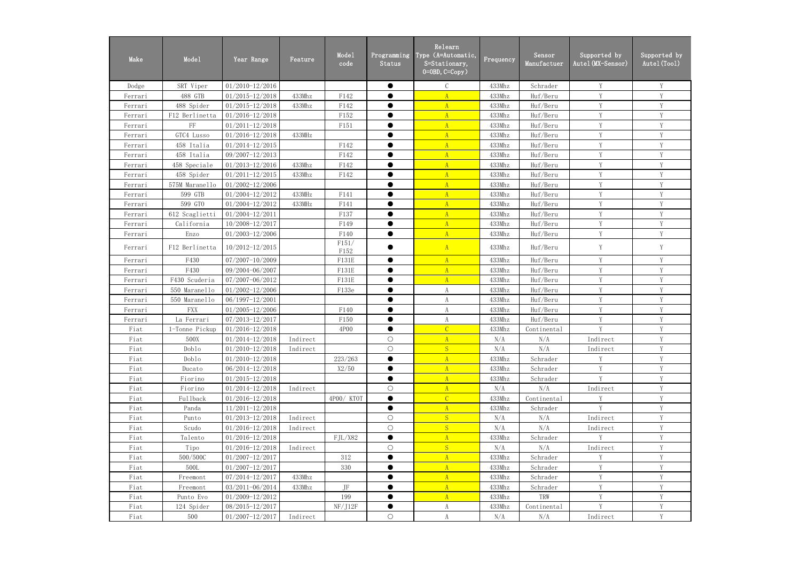| Make    | Mode1          | Year Range          | Feature  | Mode1<br>code | Programming<br>Status | Relearn<br>Type (A=Automatic,<br>S=Stationary,<br>$0 = 0$ BD, $C = Copy$ ) | Frequency | Sensor<br>Manufactuer | Supported by<br>Autel (MX-Sensor) | Supported by<br>Autel (Tool) |
|---------|----------------|---------------------|----------|---------------|-----------------------|----------------------------------------------------------------------------|-----------|-----------------------|-----------------------------------|------------------------------|
| Dodge   | SRT Viper      | $01/2010 - 12/2016$ |          |               | $\bullet$             | $\mathcal{C}$                                                              | 433Mhz    | Schrader              | Y                                 | Y                            |
| Ferrari | 488 GTB        | $01/2015 - 12/2018$ | 433Mhz   | F142          |                       |                                                                            | 433Mhz    | Huf/Beru              | Y                                 | Y                            |
| Ferrari | 488 Spider     | $01/2015 - 12/2018$ | 433Mhz   | F142          | $\bullet$             | $\Lambda$                                                                  | 433Mhz    | Huf/Beru              | Y                                 | Y                            |
| Ferrari | F12 Berlinetta | $01/2016 - 12/2018$ |          | F152          | $\bullet$             | $\Lambda$                                                                  | 433Mhz    | Huf/Beru              | V                                 | Y                            |
| Ferrari | $\rm FF$       | $01/2011 - 12/2018$ |          | F151          | $\bullet$             | $\mathbf{A}$                                                               | 433Mhz    | Huf/Beru              | V                                 | Y                            |
| Ferrari | GTC4 Lusso     | 01/2016-12/2018     | 433MHz   |               |                       | $\Lambda$                                                                  | 433Mhz    | Huf/Beru              | $\mathbf{V}$                      | V                            |
| Ferrari | 458 Italia     | $01/2014 - 12/2015$ |          | F142          |                       | A                                                                          | 433Mhz    | Huf/Beru              | V                                 | Y                            |
| Ferrari | 458 Italia     | 09/2007-12/2013     |          | F142          | $\bullet$             | $\mathbf{A}$                                                               | 433Mhz    | Huf/Beru              | Y                                 | Y                            |
| Ferrari | 458 Speciale   | $01/2013 - 12/2016$ | 433Mhz   | F142          | $\bullet$             | $\mathbf{A}$                                                               | 433Mhz    | Huf/Beru              | Y                                 | Y                            |
| Ferrari | 458 Spider     | $01/2011 - 12/2015$ | 433Mhz   | F142          | $\bullet$             | $\Lambda$                                                                  | 433Mhz    | Huf/Beru              | Y                                 | Y                            |
| Ferrari | 575M Maranello | 01/2002-12/2006     |          |               | $\bullet$             | $\Lambda$                                                                  | 433Mhz    | Huf/Beru              | V                                 | Y                            |
| Ferrari | 599 GTB        | 01/2004-12/2012     | 433MHz   | F141          | $\bullet$             | $\mathbf{A}$                                                               | 433Mhz    | Huf/Beru              | Y                                 | Y                            |
| Ferrari | 599 GTO        | 01/2004-12/2012     | 433MHz   | F141          | $\bullet$             | $\mathbf{A}$                                                               | 433Mhz    | Huf/Beru              | V                                 | V                            |
| Ferrari | 612 Scaglietti | $01/2004 - 12/2011$ |          | F137          | ●                     | $\mathbf{A}$                                                               | 433Mhz    | Huf/Beru              | V                                 | V                            |
| Ferrari | California     | 10/2008-12/2017     |          | F149          | ●                     | A                                                                          | 433Mhz    | Huf/Beru              | V                                 | Y                            |
| Ferrari | Enzo           | 01/2003-12/2006     |          | F140          |                       | A                                                                          | 433Mhz    | Huf/Beru              | Y                                 | Y                            |
| Ferrari | F12 Berlinetta | 10/2012-12/2015     |          | F151/<br>F152 |                       | A                                                                          | 433Mhz    | Huf/Beru              | Y                                 | Y                            |
| Ferrari | F430           | 07/2007-10/2009     |          | F131E         | $\bullet$             | A                                                                          | 433Mhz    | Huf/Beru              | Y                                 | Y                            |
| Ferrari | F430           | 09/2004-06/2007     |          | F131E         |                       | A                                                                          | 433Mhz    | Huf/Beru              | Y                                 | Y                            |
| Ferrari | F430 Scuderia  | 07/2007-06/2012     |          | <b>F131E</b>  | $\bullet$             | A                                                                          | 433Mhz    | Huf/Beru              | Y                                 | Y                            |
| Ferrari | 550 Maranello  | 01/2002-12/2006     |          | F133e         |                       | $\boldsymbol{A}$                                                           | 433Mhz    | Huf/Beru              | Y                                 | Y                            |
| Ferrari | 550 Maranello  | 06/1997-12/2001     |          |               | $\bullet$             | A                                                                          | 433Mhz    | Huf/Beru              | Y                                 | Y                            |
| Ferrari | <b>FXX</b>     | 01/2005-12/2006     |          | F140          | $\bullet$             | $\boldsymbol{A}$                                                           | 433Mhz    | Huf/Beru              | Y                                 | Y                            |
| Ferrari | La Ferrari     | 07/2013-12/2017     |          | F150          | $\bullet$             | A                                                                          | 433Mhz    | Huf/Beru              | V                                 | Y                            |
| Fiat    | 1-Tonne Pickup | $01/2016 - 12/2018$ |          | 4P00          | $\bullet$             | $\overline{C}$                                                             | 433Mhz    | Continental           | V                                 | V                            |
| Fiat    | 500X           | $01/2014 - 12/2018$ | Indirect |               | $\circ$               | A                                                                          | N/A       | N/A                   | Indirect                          |                              |
| Fiat    | Doblo          | $01/2010 - 12/2018$ | Indirect |               | $\bigcirc$            | S                                                                          | N/A       | N/A                   | Indirect                          | Y                            |
| Fiat    | Doblo          | $01/2010 - 12/2018$ |          | 223/263       |                       | $\mathbf{A}$                                                               | 433Mhz    | Schrader              | Y                                 | Y                            |
| Fiat    | Ducato         | 06/2014-12/2018     |          | X2/50         | $\bullet$             | A                                                                          | 433Mhz    | Schrader              | Y                                 | Y                            |
| Fiat    | Fiorino        | $01/2015 - 12/2018$ |          |               | $\bullet$             | $\mathbf{A}$                                                               | 433Mhz    | Schrader              | Y                                 | Y                            |
| Fiat    | Fiorino        | $01/2014 - 12/2018$ | Indirect |               | $\bigcirc$            | A                                                                          | N/A       | N/A                   | Indirect                          | Y                            |
| Fiat    | Fullback       | $01/2016 - 12/2018$ |          | 4P00/KTOT     | $\bullet$             | $\mathcal{C}$                                                              | 433Mhz    | Continental           | V                                 | Y                            |
| Fiat    | Panda          | $11/2011 - 12/2018$ |          |               | $\bullet$             | $\mathbf{A}$                                                               | 433Mhz    | Schrader              | V                                 | V                            |
| Fiat    | Punto          | $01/2013 - 12/2018$ | Indirect |               | $\bigcirc$            | S                                                                          | N/A       | N/A                   | Indirect                          | V                            |
| Fiat    | Scudo          | $01/2016 - 12/2018$ | Indirect |               | $\bigcirc$            | S                                                                          | N/A       | N/A                   | Indirect                          | Y                            |
| Fiat    | Talento        | $01/2016 - 12/2018$ |          | FJL/X82       | $\bullet$             | A                                                                          | 433Mhz    | Schrader              | Y                                 | Y                            |
| Fiat    | Tipo           | $01/2016 - 12/2018$ | Indirect |               | $\bigcirc$            | S                                                                          | N/A       | N/A                   | Indirect                          | Y                            |
| Fiat    | 500/500C       | $01/2007 - 12/2017$ |          | 312           | $\bullet$             | $\mathbf{A}$                                                               | 433Mhz    | Schrader              | Y                                 | Y                            |
| Fiat    | 500L           | $01/2007 - 12/2017$ |          | 330           | $\bullet$             | $\mathbf{A}$                                                               | 433Mhz    | Schrader              | Y                                 | Y                            |
| Fiat    | Freemont       | 07/2014-12/2017     | 433Mhz   |               | $\bullet$             | $\mathbf{A}$                                                               | 433Mhz    | Schrader              | Y                                 | Y                            |
| Fiat    | Freemont       | 03/2011-06/2014     | 433Mhz   | JF            |                       | $\mathbf{A}$                                                               | 433Mhz    | Schrader              | V                                 | V                            |
| Fiat    | Punto Evo      | $01/2009 - 12/2012$ |          | 199           |                       | A                                                                          | 433Mhz    | TRW                   | V                                 |                              |
| Fiat    | 124 Spider     | 08/2015-12/2017     |          | NF/J12F       | $\bullet$             | $\rm A$                                                                    | 433Mhz    | Continental           | V                                 | V                            |
| Fiat    | 500            | $01/2007 - 12/2017$ | Indirect |               | $\bigcirc$            | A                                                                          | N/A       | N/A                   | Indirect                          | Y                            |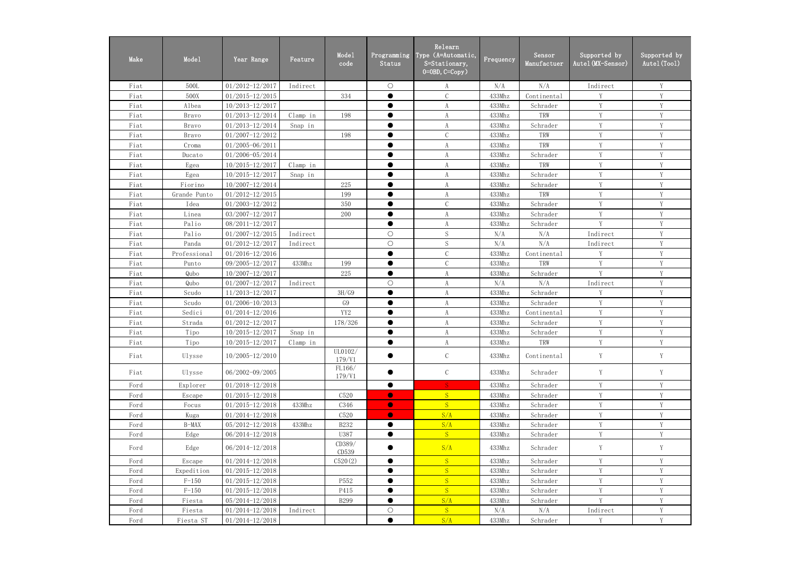| Make | Mode1        | Year Range          | Feature  | Mode1<br>code     | Programming<br><b>Status</b> | Relearn<br>Type (A=Automatic,<br>S=Stationary,<br>$0=0$ BD, $C=Copy$ ) | Frequency | Sensor<br>Manufactuer | Supported by<br>Autel (MX-Sensor) | Supported by<br>Autel (Tool) |
|------|--------------|---------------------|----------|-------------------|------------------------------|------------------------------------------------------------------------|-----------|-----------------------|-----------------------------------|------------------------------|
| Fiat | 500L         | $01/2012 - 12/2017$ | Indirect |                   | $\bigcirc$                   | A                                                                      | N/A       | N/A                   | Indirect                          | Y                            |
| Fiat | 500X         | $01/2015 - 12/2015$ |          | 334               | $\bullet$                    | $\mathcal{C}$                                                          | 433Mhz    | Continental           | V                                 | Y                            |
| Fiat | Albea        | $10/2013 - 12/2017$ |          |                   | $\bullet$                    | A                                                                      | 433Mhz    | Schrader              | V                                 | Y                            |
| Fiat | Bravo        | 01/2013-12/2014     | Clamp in | 198               | $\bullet$                    | A                                                                      | 433Mhz    | TRW                   | V                                 | V                            |
| Fiat | Bravo        | 01/2013-12/2014     | Snap in  |                   | $\bullet$                    | A                                                                      | 433Mhz    | Schrader              | V                                 | V                            |
| Fiat | Bravo        | $01/2007 - 12/2012$ |          | 198               | $\bullet$                    | $\mathcal{C}$                                                          | 433Mhz    | TRW                   | V                                 | Y                            |
| Fiat | Croma        | 01/2005-06/2011     |          |                   |                              | $\boldsymbol{A}$                                                       | 433Mhz    | TRW                   | Y                                 | Y                            |
| Fiat | Ducato       | 01/2006-05/2014     |          |                   | $\bullet$                    | $\boldsymbol{A}$                                                       | 433Mhz    | Schrader              | Y                                 | Y                            |
| Fiat | Egea         | 10/2015-12/2017     | Clamp in |                   | $\bullet$                    | $\boldsymbol{A}$                                                       | 433Mhz    | TRW                   | Y                                 | Y                            |
| Fiat | Egea         | 10/2015-12/2017     | Snap in  |                   | $\bullet$                    | A                                                                      | 433Mhz    | Schrader              | Y                                 | Y                            |
| Fiat | Fiorino      | 10/2007-12/2014     |          | 225               | $\bullet$                    | $\boldsymbol{A}$                                                       | 433Mhz    | Schrader              | V                                 | V                            |
| Fiat | Grande Punto | $01/2012 - 12/2015$ |          | 199               | $\bullet$                    | A                                                                      | 433Mhz    | TRW                   | V                                 | V                            |
| Fiat | Idea         | 01/2003-12/2012     |          | 350               | $\bullet$                    | $\mathcal{C}$                                                          | 433Mhz    | Schrader              | V                                 | V                            |
| Fiat | Linea        | 03/2007-12/2017     |          | 200               | $\bullet$                    | $\boldsymbol{A}$                                                       | 433Mhz    | Schrader              | Y                                 | Y                            |
| Fiat | Palio        | 08/2011-12/2017     |          |                   | $\bullet$                    | $\boldsymbol{A}$                                                       | 433Mhz    | Schrader              | Y                                 | Y                            |
| Fiat | Palio        | 01/2007-12/2015     | Indirect |                   | $\bigcirc$                   | S                                                                      | N/A       | N/A                   | Indirect                          | Y                            |
| Fiat | Panda        | $01/2012 - 12/2017$ | Indirect |                   | $\bigcirc$                   | S                                                                      | N/A       | N/A                   | Indirect                          | Y                            |
| Fiat | Professional | $01/2016 - 12/2016$ |          |                   | $\bullet$                    | $\mathcal{C}$                                                          | 433Mhz    | Continental           | Y                                 | Y                            |
| Fiat | Punto        | 09/2005-12/2017     | 433Mhz   | 199               | $\bullet$                    | $\mathcal{C}$                                                          | 433Mhz    | TRW                   | Y                                 | Y                            |
| Fiat | Qubo         | 10/2007-12/2017     |          | 225               | $\bullet$                    | $\boldsymbol{A}$                                                       | 433Mhz    | Schrader              | $\mathbf{V}$                      | V                            |
| Fiat | Qubo         | $01/2007 - 12/2017$ | Indirect |                   | $\bigcirc$                   | A                                                                      | N/A       | N/A                   | Indirect                          | V                            |
| Fiat | Scudo        | 11/2013-12/2017     |          | 3H/G9             | $\bullet$                    | A                                                                      | 433Mhz    | Schrader              | V                                 | V                            |
| Fiat | Scudo        | $01/2006 - 10/2013$ |          | G9                | $\bullet$                    | $\boldsymbol{A}$                                                       | 433Mhz    | Schrader              | Y                                 | Y                            |
| Fiat | Sedici       | $01/2014 - 12/2016$ |          | YY <sub>2</sub>   | $\bullet$                    | $\boldsymbol{A}$                                                       | 433Mhz    | Continental           | Y                                 | Y                            |
| Fiat | Strada       | $01/2012 - 12/2017$ |          | 178/326           | $\bullet$                    | A                                                                      | 433Mhz    | Schrader              | Y                                 | Y                            |
| Fiat | Tipo         | 10/2015-12/2017     | Snap in  |                   | $\bullet$                    | $\boldsymbol{A}$                                                       | 433Mhz    | Schrader              | Y                                 | Y                            |
| Fiat | Tipo         | 10/2015-12/2017     | Clamp in |                   |                              | $\mathbf{A}$                                                           | 433Mhz    | TRW                   | Y                                 | Y                            |
| Fiat | Ulysse       | $10/2005 - 12/2010$ |          | UL0102/<br>179/V1 |                              | $\mathcal{C}$                                                          | 433Mhz    | Continental           | Y                                 | Y                            |
| Fiat | Ulysse       | 06/2002-09/2005     |          | FL166/<br>179/V1  |                              | $\mathcal{C}$                                                          | 433Mhz    | Schrader              | Y                                 | Y                            |
| Ford | Explorer     | $01/2018 - 12/2018$ |          |                   | $\bullet$                    | $S_{-}$                                                                | 433Mhz    | Schrader              | Y                                 | $\mathbf Y$                  |
| Ford | Escape       | $01/2015 - 12/2018$ |          | C520              | $\bullet$                    | S                                                                      | 433Mhz    | Schrader              | Y                                 | Y                            |
| Ford | Focus        | $01/2015 - 12/2018$ | 433Mhz   | C346              | $\bullet$                    | S                                                                      | 433Mhz    | Schrader              | Y                                 | Y                            |
| Ford | Kuga         | $01/2014 - 12/2018$ |          | C <sub>520</sub>  | $\bullet$                    | S/A                                                                    | 433Mhz    | Schrader              | Y                                 | Y                            |
| Ford | B-MAX        | 05/2012-12/2018     | 433Mhz   | <b>B232</b>       |                              | S/A                                                                    | 433Mhz    | Schrader              | Y                                 | Y                            |
| Ford | Edge         | 06/2014-12/2018     |          | U387              | $\bullet$                    | S                                                                      | 433Mhz    | Schrader              | Y                                 | Y                            |
| Ford | Edge         | 06/2014-12/2018     |          | CD389/<br>CD539   |                              | S/A                                                                    | 433Mhz    | Schrader              | Y                                 | Y                            |
| Ford | Escape       | $01/2014 - 12/2018$ |          | C520(2)           | $\bullet$                    | S                                                                      | 433Mhz    | Schrader              | Y                                 | Y                            |
| Ford | Expedition   | $01/2015 - 12/2018$ |          |                   |                              | S                                                                      | 433Mhz    | Schrader              | $\mathbf{V}$                      | $\mathbf{V}$                 |
| Ford | $F-150$      | $01/2015 - 12/2018$ |          | P552              |                              | S                                                                      | 433Mhz    | Schrader              | Y                                 | Y                            |
| Ford | $F-150$      | $01/2015 - 12/2018$ |          | P415              | $\bullet$                    | S                                                                      | 433Mhz    | Schrader              | Y                                 | Y                            |
| Ford | Fiesta       | 05/2014-12/2018     |          | <b>B299</b>       |                              | S/A                                                                    | 433Mhz    | Schrader              | Y                                 | Y                            |
| Ford | Fiesta       | $01/2014 - 12/2018$ | Indirect |                   | $\bigcirc$                   | S                                                                      | N/A       | N/A                   | Indirect                          | Y                            |
| Ford | Fiesta ST    | $01/2014 - 12/2018$ |          |                   | $\bullet$                    | S/A                                                                    | 433Mhz    | Schrader              | Y                                 | Y                            |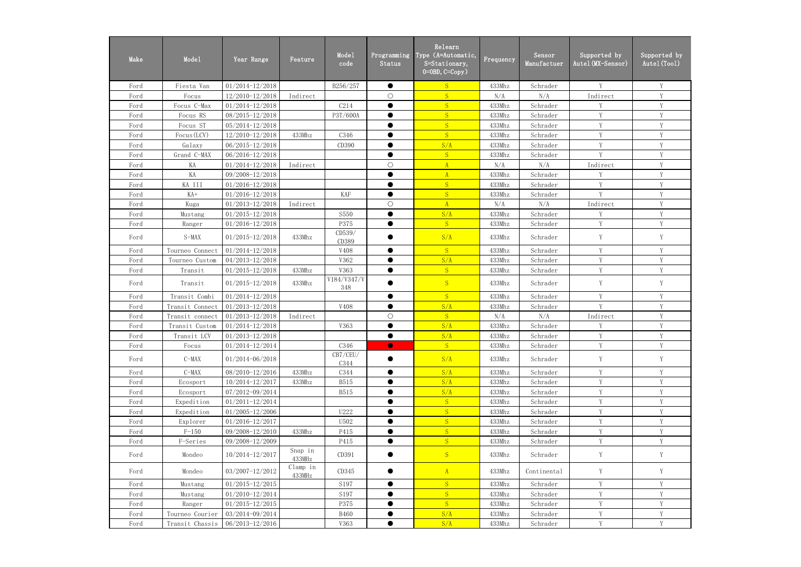| Make | Mode1           | Year Range          | Feature            | Mode1<br>code      | Programming<br>Status | Relearn<br>Type (A=Automatic,<br>S=Stationary,<br>$0=0$ BD, $C=Copy$ ) | Frequency | Sensor<br>Manufactuer | Supported by<br>Autel (MX-Sensor) | Supported by<br>Autel (Tool) |
|------|-----------------|---------------------|--------------------|--------------------|-----------------------|------------------------------------------------------------------------|-----------|-----------------------|-----------------------------------|------------------------------|
| Ford | Fiesta Van      | $01/2014 - 12/2018$ |                    | B256/257           | $\bullet$             | S                                                                      | 433Mhz    | Schrader              | Y                                 | Y                            |
| Ford | Focus           | 12/2010-12/2018     | Indirect           |                    | $\bigcirc$            | S                                                                      | N/A       | N/A                   | Indirect                          | Y                            |
| Ford | Focus C-Max     | $01/2014 - 12/2018$ |                    | C214               | $\bullet$             | S                                                                      | 433Mhz    | Schrader              | V                                 | Y                            |
| Ford | Focus RS        | 08/2015-12/2018     |                    | P3T/600A           | $\bullet$             | S                                                                      | 433Mhz    | Schrader              | V                                 | V                            |
| Ford | Focus ST        | 05/2014-12/2018     |                    |                    |                       | S                                                                      | 433Mhz    | Schrader              | V                                 | V                            |
| Ford | Focus (LCV)     | 12/2010-12/2018     | 433Mhz             | C346               | $\bullet$             | S                                                                      | 433Mhz    | Schrader              | V                                 | Y                            |
| Ford | Galaxy          | 06/2015-12/2018     |                    | CD390              |                       | S/A                                                                    | 433Mhz    | Schrader              | Y                                 | Y                            |
| Ford | Grand C-MAX     | 06/2016-12/2018     |                    |                    | $\bullet$             | S                                                                      | 433Mhz    | Schrader              | Y                                 | Y                            |
| Ford | KA              | 01/2014-12/2018     | Indirect           |                    | $\bigcirc$            | $\mathbf{A}$                                                           | N/A       | N/A                   | Indirect                          | Y                            |
| Ford | KA              | 09/2008-12/2018     |                    |                    | $\bullet$             | $\Lambda$                                                              | 433Mhz    | Schrader              | Y                                 | Y                            |
| Ford | KA III          | $01/2016 - 12/2018$ |                    |                    |                       | S                                                                      | 433Mhz    | Schrader              | V                                 | V                            |
| Ford | $KA+$           | $01/2016 - 12/2018$ |                    | <b>KAF</b>         | $\bullet$             | S                                                                      | 433Mhz    | Schrader              | V                                 | V                            |
| Ford | Kuga            | $01/2013 - 12/2018$ | Indirect           |                    | $\bigcirc$            | A                                                                      | N/A       | N/A                   | Indirect                          | V                            |
| Ford | Mustang         | $01/2015 - 12/2018$ |                    | S550               | $\bullet$             | S/A                                                                    | 433Mhz    | Schrader              | Y                                 | Y                            |
| Ford | Ranger          | 01/2016-12/2018     |                    | P375               | $\bullet$             | S                                                                      | 433Mhz    | Schrader              | Y                                 | Y                            |
| Ford | $S-MAX$         | $01/2015 - 12/2018$ | 433Mhz             | CD539/<br>CD389    |                       | S/A                                                                    | 433Mhz    | Schrader              | Y                                 | Y                            |
| Ford | Tourneo Connect | $01/2014 - 12/2018$ |                    | V408               | $\bullet$             | S                                                                      | 433Mhz    | Schrader              | Y                                 | Y                            |
| Ford | Tourneo Custom  | 04/2013-12/2018     |                    | V362               | $\bullet$             | S/A                                                                    | 433Mhz    | Schrader              | Y                                 | Y                            |
| Ford | Transit         | $01/2015 - 12/2018$ | 433Mhz             | V363               | $\bullet$             | S                                                                      | 433Mhz    | Schrader              | Y                                 | Y                            |
| Ford | Transit         | $01/2015 - 12/2018$ | 433Mhz             | V184/V347/V<br>348 |                       | S                                                                      | 433Mhz    | Schrader              | Y                                 | Y                            |
| Ford | Transit Combi   | $01/2014 - 12/2018$ |                    |                    | $\bullet$             | S                                                                      | 433Mhz    | Schrader              | Y                                 | Y                            |
| Ford | Transit Connect | $01/2013 - 12/2018$ |                    | V408               | $\bullet$             | S/A                                                                    | 433Mhz    | Schrader              | Y                                 | Y                            |
| Ford | Transit connect | 01/2013-12/2018     | Indirect           |                    | $\bigcirc$            | S                                                                      | N/A       | N/A                   | Indirect                          | Y                            |
| Ford | Transit Custom  | 01/2014-12/2018     |                    | V363               |                       | S/A                                                                    | 433Mhz    | Schrader              | Y                                 | $\mathbf Y$                  |
| Ford | Transit LCV     | $01/2013 - 12/2018$ |                    |                    |                       | S/A                                                                    | 433Mhz    | Schrader              | Y                                 | Y                            |
| Ford | Focus           | 01/2014-12/2014     |                    | C346               | $\bullet$             | S                                                                      | 433Mhz    | Schrader              | V                                 | V                            |
| Ford | $C-MAX$         | $01/2014 - 06/2018$ |                    | CB7/CEU/<br>C344   |                       | S/A                                                                    | 433Mhz    | Schrader              | Y                                 | Y                            |
| Ford | $C-MAX$         | 08/2010-12/2016     | 433Mhz             | C344               | $\bullet$             | S/A                                                                    | 433Mhz    | Schrader              | Y                                 | Y                            |
| Ford | Ecosport        | 10/2014-12/2017     | 433Mhz             | <b>B515</b>        |                       | S/A                                                                    | 433Mhz    | Schrader              | Y                                 | V                            |
| Ford | Ecosport        | 07/2012-09/2014     |                    | <b>B515</b>        |                       | S/A                                                                    | 433Mhz    | Schrader              | Y                                 |                              |
| Ford | Expedition      | $01/2011 - 12/2014$ |                    |                    |                       | S                                                                      | 433Mhz    | Schrader              | Y                                 | Y                            |
| Ford | Expedition      | $01/2005 - 12/2006$ |                    | U222               |                       | S                                                                      | 433Mhz    | Schrader              | Y                                 | Y                            |
| Ford | Explorer        | $01/2016 - 12/2017$ |                    | U502               | $\bullet$             | S                                                                      | 433Mhz    | Schrader              | Y                                 | Y                            |
| Ford | $F-150$         | 09/2008-12/2010     | 433Mhz             | P415               |                       | S                                                                      | 433Mhz    | Schrader              | Y                                 | Y                            |
| Ford | F-Series        | 09/2008-12/2009     |                    | P415               | $\bullet$             | S                                                                      | 433Mhz    | Schrader              | Y                                 | $\mathbf Y$                  |
| Ford | Mondeo          | 10/2014-12/2017     | Snap in<br>433MHz  | CD391              |                       | S                                                                      | 433Mhz    | Schrader              | Y                                 | Y                            |
| Ford | Mondeo          | 03/2007-12/2012     | Clamp in<br>433MHz | CD345              |                       | A                                                                      | 433Mhz    | Continental           | Y                                 | Y                            |
| Ford | Mustang         | $01/2015 - 12/2015$ |                    | S197               |                       | S                                                                      | 433Mhz    | Schrader              | Y                                 | Y                            |
| Ford | Mustang         | 01/2010-12/2014     |                    | S197               | $\bullet$             | S                                                                      | 433Mhz    | Schrader              | Y                                 | Y                            |
| Ford | Ranger          | $01/2015 - 12/2015$ |                    | P375               |                       | S                                                                      | 433Mhz    | Schrader              | Y                                 | Y                            |
| Ford | Tourneo Courier | 03/2014-09/2014     |                    | <b>B460</b>        | $\bullet$             | S/A                                                                    | 433Mhz    | Schrader              | Y                                 | $\mathbf Y$                  |
| Ford | Transit Chassis | 06/2013-12/2016     |                    | V363               | $\bullet$             | S/A                                                                    | 433Mhz    | Schrader              | Y                                 | Y                            |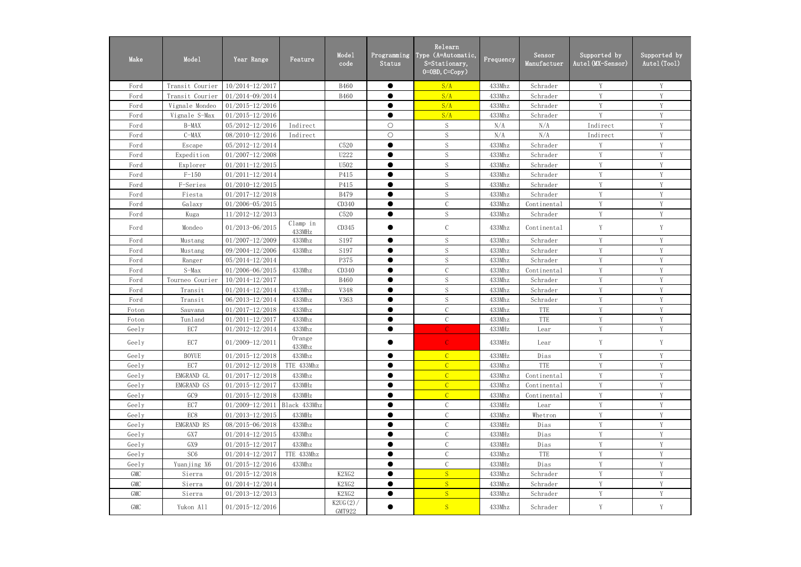| Make  | Mode1           | Year Range                       | Feature            | Mode1<br>code         | Programming<br>Status | Relearn<br>Type (A=Automatic,<br>S=Stationary,<br>$0 = 0$ BD, $C = Copy$ ) | Frequency | Sensor<br>Manufactuer | Supported by<br>Autel (MX-Sensor) | Supported by<br>Autel (Tool) |
|-------|-----------------|----------------------------------|--------------------|-----------------------|-----------------------|----------------------------------------------------------------------------|-----------|-----------------------|-----------------------------------|------------------------------|
| Ford  | Transit Courier | 10/2014-12/2017                  |                    | <b>B460</b>           | $\bullet$             | S/A                                                                        | 433Mhz    | Schrader              | Y                                 | Y                            |
| Ford  | Transit Courier | 01/2014-09/2014                  |                    | <b>B460</b>           |                       | S/A                                                                        | 433Mhz    | Schrader              | V                                 | Y                            |
| Ford  | Vignale Mondeo  | $01/2015 - 12/2016$              |                    |                       | $\bullet$             | S/A                                                                        | 433Mhz    | Schrader              | V                                 | Y                            |
| Ford  | Vignale S-Max   | $01/2015 - 12/2016$              |                    |                       | $\bullet$             | S/A                                                                        | 433Mhz    | Schrader              | $\mathbf{V}$                      | Y                            |
| Ford  | B-MAX           | 05/2012-12/2016                  | Indirect           |                       | $\bigcirc$            | S                                                                          | N/A       | N/A                   | Indirect                          | V                            |
| Ford  | $C-MAX$         | 08/2010-12/2016                  | Indirect           |                       | $\bigcirc$            | S                                                                          | N/A       | N/A                   | Indirect                          | Y                            |
| Ford  | Escape          | 05/2012-12/2014                  |                    | C520                  | $\bullet$             | S                                                                          | 433Mhz    | Schrader              | Y                                 | Y                            |
| Ford  | Expedition      | $01/2007 - 12/2008$              |                    | U222                  | $\bullet$             | S                                                                          | 433Mhz    | Schrader              | Y                                 | Y                            |
| Ford  | Explorer        | $01/2011 - 12/2015$              |                    | U502                  | $\bullet$             | $\mathbf S$                                                                | 433Mhz    | Schrader              | Y                                 | Y                            |
| Ford  | $F-150$         | $01/2011 - 12/2014$              |                    | P415                  | $\bullet$             | S                                                                          | 433Mhz    | Schrader              | Y                                 | Y                            |
| Ford  | F-Series        | $01/2010 - 12/2015$              |                    | P415                  |                       | S                                                                          | 433Mhz    | Schrader              | V                                 | V                            |
| Ford  | Fiesta          | $01/2017 - 12/2018$              |                    | <b>B479</b>           | $\bullet$             | S                                                                          | 433Mhz    | Schrader              | V                                 | V                            |
| Ford  | Galaxy          | $01/2006 - 05/2015$              |                    | CD340                 | $\bullet$             | $\mathcal{C}$                                                              | 433Mhz    | Continental           | V                                 | V                            |
| Ford  | Kuga            | $11/2012 - 12/2013$              |                    | C520                  | $\bullet$             | S                                                                          | 433Mhz    | Schrader              | Y                                 | Y                            |
| Ford  | Mondeo          | 01/2013-06/2015                  | Clamp in<br>433MHz | CD345                 |                       | $\mathsf C$                                                                | 433Mhz    | Continental           | Y                                 | Y                            |
| Ford  | Mustang         | $01/2007 - 12/2009$              | 433Mhz             | S197                  | $\bullet$             | S                                                                          | 433Mhz    | Schrader              | V                                 | Y                            |
| Ford  | Mustang         | 09/2004-12/2006                  | 433Mhz             | S197                  | $\bullet$             | S                                                                          | 433Mhz    | Schrader              | V                                 | Y                            |
| Ford  | Ranger          | 05/2014-12/2014                  |                    | P375                  | $\bullet$             | S                                                                          | 433Mhz    | Schrader              | Y                                 | Y                            |
| Ford  | $S-Max$         | 01/2006-06/2015                  | 433Mhz             | CD340                 | $\bullet$             | $\mathcal{C}$                                                              | 433Mhz    | Continental           | Y                                 | Y                            |
| Ford  | Tourneo Courier | 10/2014-12/2017                  |                    | <b>B460</b>           | $\bullet$             | S                                                                          | 433Mhz    | Schrader              | Y                                 | Y                            |
| Ford  | Transit         | 01/2014-12/2014                  | 433Mhz             | <b>V348</b>           | $\bullet$             | S                                                                          | 433Mhz    | Schrader              | V                                 | Y                            |
| Ford  | Transit         | 06/2013-12/2014                  | 433Mhz             | V363                  | $\bullet$             | S                                                                          | 433Mhz    | Schrader              | Y                                 | Y                            |
| Foton | Sauvana         | $01/2017 - 12/2018$              | 433Mhz             |                       | $\bullet$             | $\mathcal{C}$                                                              | 433Mhz    | TTE                   | V                                 | V                            |
| Foton | Tunland         | $01/2011 - 12/2017$              | 433Mhz             |                       | $\bullet$             | $\mathcal{C}$                                                              | 433Mhz    | TTE                   | V                                 | $\mathbf{V}$                 |
| Geely | EC7             | 01/2012-12/2014                  | 433Mhz             |                       | $\bullet$             | $\mathcal{C}$                                                              | 433MHz    | Lear                  | V                                 | V                            |
| Geely | EC7             | 01/2009-12/2011                  | Orange<br>433Mhz   |                       |                       | $\mathbb{C}$                                                               | 433MHz    | Lear                  | Y                                 | Y                            |
| Geely | <b>BOYUE</b>    | $01/2015 - 12/2018$              | 433Mhz             |                       | $\bullet$             | $\mathcal{C}$                                                              | 433MHz    | Dias                  | Y                                 | Y                            |
| Geely | EC7             | $01/2012 - 12/2018$              | TTE 433Mhz         |                       | $\bullet$             | $\overline{C}$                                                             | 433Mhz    | TTE                   | Y                                 | Y                            |
| Geely | EMGRAND GL      | $01/2017 - 12/2018$              | 433Mhz             |                       |                       | $\overline{C}$                                                             | 433Mhz    | Continental           | Y                                 | Y                            |
| Geely | EMGRAND GS      | $01/2015 - 12/2017$              | 433MHz             |                       | $\bullet$             | $\overline{C}$                                                             | 433Mhz    | Continental           | Y                                 | Y                            |
| Geely | GC9             | $01/2015 - 12/2018$              | 433MHz             |                       |                       | $\overline{C}$                                                             | 433Mhz    | Continental           | Y                                 | Y                            |
| Geely | EC7             | $01/2009 - 12/2011$ Black 433Mhz |                    |                       | $\bullet$             | $\mathcal{C}$                                                              | 433MHz    | Lear                  | Y                                 | Y                            |
| Geely | EC8             | $01/2013 - 12/2015$              | 433MHz             |                       | $\bullet$             | $\mathsf C$                                                                | 433Mhz    | Whetron               | Y                                 | Y                            |
| Geely | EMGRAND RS      | 08/2015-06/2018                  | 433Mhz             |                       |                       | $\mathsf C$                                                                | 433MHz    | Dias                  | Y                                 | Y                            |
| Geely | GX7             | $01/2014 - 12/2015$              | 433Mhz             |                       | $\bullet$             | $\mathbf C$                                                                | 433MHz    | Dias                  | Y                                 | V                            |
| Geely | GX9             | $01/2015 - 12/2017$              | 433Mhz             |                       | $\bullet$             | $\mathsf C$                                                                | 433MHz    | Dias                  | V                                 |                              |
| Geely | SC <sub>6</sub> | 01/2014-12/2017                  | TTE 433Mhz         |                       | $\bullet$             | $\mathcal{C}$                                                              | 433Mhz    | TTE                   | Y                                 | Y                            |
| Geely | Yuanjing X6     | $01/2015 - 12/2016$              | 433Mhz             |                       |                       | $\mathbf C$                                                                | 433MHz    | Dias                  | Y                                 | Y                            |
| GMC   | Sierra          | $01/2015 - 12/2018$              |                    | K2XG2                 | $\bullet$             | S                                                                          | 433Mhz    | Schrader              | Y                                 | Y                            |
| GMC   | Sierra          | 01/2014-12/2014                  |                    | K2XG2                 |                       | S                                                                          | 433Mhz    | Schrader              | Y                                 | Y                            |
| GMC   | Sierra          | $01/2013 - 12/2013$              |                    | K2XG2                 | $\bullet$             | S                                                                          | 433Mhz    | Schrader              | Y                                 | Y                            |
| GMC   | Yukon All       | $01/2015 - 12/2016$              |                    | $K2UG(2)$ /<br>GMT922 | $\bullet$             | S                                                                          | 433Mhz    | Schrader              | Y                                 | Y                            |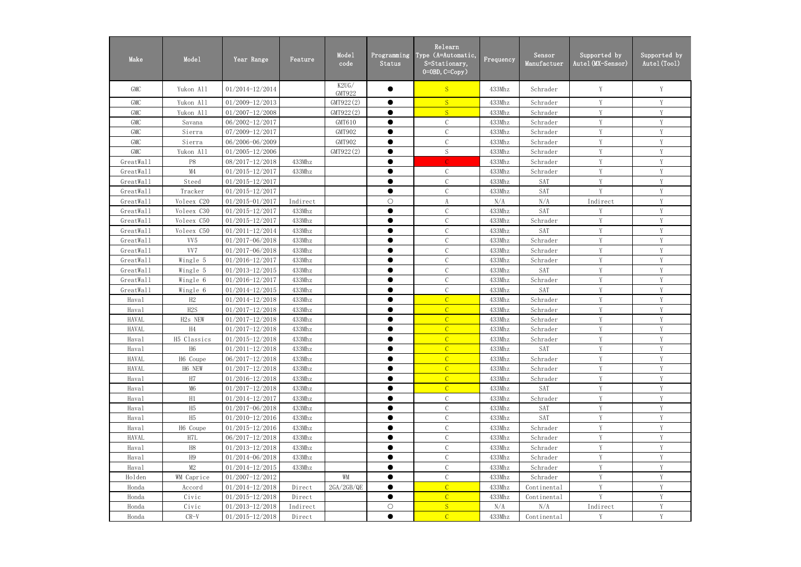| Make         | Mode1               | Year Range          | Feature  | Mode1<br>code   | Programming<br>Status | Relearn<br>Type (A=Automatic,<br>S=Stationary,<br>$0 = 0$ BD, $C = Copy$ ) | Frequency | Sensor<br>Manufactuer | Supported by<br>Autel (MX-Sensor) | Supported by<br>Autel (Tool) |
|--------------|---------------------|---------------------|----------|-----------------|-----------------------|----------------------------------------------------------------------------|-----------|-----------------------|-----------------------------------|------------------------------|
| <b>GMC</b>   | Yukon All           | 01/2014-12/2014     |          | K2UG/<br>GMT922 |                       | <sub>S</sub>                                                               | 433Mhz    | Schrader              | Y                                 |                              |
| <b>GMC</b>   | Yukon A11           | $01/2009 - 12/2013$ |          | GMT922(2)       | $\bullet$             | S                                                                          | 433Mhz    | Schrader              | Y                                 | Y                            |
| <b>GMC</b>   | Yukon A11           | $01/2007 - 12/2008$ |          | GMT922(2)       |                       | S                                                                          | 433Mhz    | Schrader              | Y                                 | Y                            |
| <b>GMC</b>   | Savana              | 06/2002-12/2017     |          | GMT610          | $\bullet$             | $\mathcal{C}$                                                              | 433Mhz    | Schrader              | Y                                 | Y                            |
| <b>GMC</b>   | Sierra              | 07/2009-12/2017     |          | GMT902          | $\bullet$             | $\mathcal{C}$                                                              | 433Mhz    | Schrader              | Y                                 | Y                            |
| <b>GMC</b>   | Sierra              | 06/2006-06/2009     |          | GMT902          | $\bullet$             | $\mathcal{C}$                                                              | 433Mhz    | Schrader              | Y                                 | V                            |
| <b>GMC</b>   | Yukon A11           | 01/2005-12/2006     |          | GMT922(2)       | ●                     | $\mathbf S$                                                                | 433Mhz    | Schrader              | Y                                 | $\mathbf{V}$                 |
| GreatWall    | P8                  | 08/2017-12/2018     | 433Mhz   |                 | ●                     |                                                                            | 433Mhz    | Schrader              | V                                 |                              |
| GreatWall    | M4                  | $01/2015 - 12/2017$ | 433Mhz   |                 | ●                     | $\mathcal{C}$                                                              | 433Mhz    | Schrader              | V                                 | $\mathbf{V}$                 |
| GreatWall    | Steed               | $01/2015 - 12/2017$ |          |                 | $\bullet$             | $\mathcal{C}$                                                              | 433Mhz    | <b>SAT</b>            | Y                                 | Y                            |
| GreatWall    | Tracker             | $01/2015 - 12/2017$ |          |                 | $\bullet$             | $\mathcal{C}$                                                              | 433Mhz    | <b>SAT</b>            | Y                                 | V                            |
| GreatWall    | Voleex C20          | $01/2015 - 01/2017$ | Indirect |                 | $\bigcirc$            | $\boldsymbol{\mathrm{A}}$                                                  | N/A       | N/A                   | Indirect                          | Y                            |
| GreatWall    | Voleex C30          | 01/2015-12/2017     | 433Mhz   |                 | $\bullet$             | $\mathcal{C}$                                                              | 433Mhz    | <b>SAT</b>            | Y                                 | Y                            |
| GreatWall    | Voleex C50          | $01/2015 - 12/2017$ | 433Mhz   |                 | $\bullet$             | $\mathcal{C}$                                                              | 433Mhz    | Schrader              | Y                                 | Y                            |
| GreatWall    | Voleex C50          | $01/2011 - 12/2014$ | 433Mhz   |                 | $\bullet$             | $\mathcal{C}$                                                              | 433Mhz    | <b>SAT</b>            | Y                                 | V                            |
| GreatWall    | VV <sub>5</sub>     | 01/2017-06/2018     | 433Mhz   |                 | ●                     | $\mathcal{C}$                                                              | 433Mhz    | Schrader              | V                                 | V                            |
| GreatWall    | VV7                 | 01/2017-06/2018     | 433Mhz   |                 | ●                     | $\mathcal{C}$                                                              | 433Mhz    | Schrader              | V                                 |                              |
| GreatWall    | Wingle 5            | $01/2016 - 12/2017$ | 433Mhz   |                 | $\bullet$             | $\mathcal{C}$                                                              | 433Mhz    | Schrader              | Y                                 | V                            |
| GreatWall    | Wingle 5            | $01/2013 - 12/2015$ | 433Mhz   |                 | $\bullet$             | $\mathcal{C}$                                                              | 433Mhz    | <b>SAT</b>            | Y                                 | Y                            |
| GreatWall    | Wingle 6            | $01/2016 - 12/2017$ | 433Mhz   |                 | $\bullet$             | $\mathcal{C}$                                                              | 433Mhz    | Schrader              | Y                                 | Y                            |
| GreatWall    | Wingle 6            | 01/2014-12/2015     | 433Mhz   |                 |                       | $\mathcal{C}$                                                              | 433Mhz    | <b>SAT</b>            | Y                                 | Y                            |
| Haval        | H2                  | 01/2014-12/2018     | 433Mhz   |                 | $\bullet$             | $\overline{C}$                                                             | 433Mhz    | Schrader              | Y                                 | Y                            |
| Haval        | H2S                 | $01/2017 - 12/2018$ | 433Mhz   |                 | $\bullet$             | $\overline{C}$                                                             | 433Mhz    | Schrader              | Y                                 | V                            |
| <b>HAVAL</b> | H <sub>2s</sub> NEW | $01/2017 - 12/2018$ | 433Mhz   |                 | ●                     | $\mathcal{C}$                                                              | 433Mhz    | Schrader              | Y                                 | V                            |
| <b>HAVAL</b> | H4                  | $01/2017 - 12/2018$ | 433Mhz   |                 | ●                     | $\overline{C}$                                                             | 433Mhz    | Schrader              | Y                                 | $\mathbf{V}$                 |
| Haval        | H5 Classics         | $01/2015 - 12/2018$ | 433Mhz   |                 |                       | $\mathcal{C}$                                                              | 433Mhz    | Schrader              |                                   |                              |
| Haval        | H <sub>6</sub>      | $01/2011 - 12/2018$ | 433Mhz   |                 | $\bullet$             | $\overline{C}$                                                             | 433Mhz    | <b>SAT</b>            | Y                                 | V                            |
| <b>HAVAL</b> | H6 Coupe            | 06/2017-12/2018     | 433Mhz   |                 |                       | $\overline{C}$                                                             | 433Mhz    | Schrader              | Y                                 | Y                            |
| <b>HAVAL</b> | H6 NEW              | $01/2017 - 12/2018$ | 433Mhz   |                 | $\bullet$             | $\overline{C}$                                                             | 433Mhz    | Schrader              | Y                                 | Y                            |
| Haval        | H7                  | $01/2016 - 12/2018$ | 433Mhz   |                 |                       | $\overline{C}$                                                             | 433Mhz    | Schrader              | Y                                 | Y                            |
| Haval        | M6                  | $01/2017 - 12/2018$ | 433Mhz   |                 | $\bullet$             | $\mathcal{C}$                                                              | 433Mhz    | SAT                   | Y                                 | Y                            |
| Haval        | H1                  | $01/2014 - 12/2017$ | 433Mhz   |                 | $\bullet$             | $\mathcal{C}$                                                              | 433Mhz    | Schrader              | Y                                 | V                            |
| Haval        | H <sub>5</sub>      | $01/2017 - 06/2018$ | 433Mhz   |                 | $\bullet$             | $\mathcal{C}$                                                              | 433Mhz    | SAT                   | Y                                 | Y                            |
| Haval        | H5                  | $01/2010 - 12/2016$ | 433Mhz   |                 | $\bullet$             | $\mathcal{C}$                                                              | 433Mhz    | SAT                   | Y                                 | V                            |
| Haval        | H6 Coupe            | $01/2015 - 12/2016$ | 433Mhz   |                 | $\bullet$             | $\mathcal{C}$                                                              | 433Mhz    | Schrader              | Y                                 | Y                            |
| <b>HAVAL</b> | H7L                 | 06/2017-12/2018     | 433Mhz   |                 | $\bullet$             | $\mathsf C$                                                                | 433Mhz    | Schrader              | Y                                 | Y                            |
| Haval        | H8                  | $01/2013 - 12/2018$ | 433Mhz   |                 |                       | $\mathbf C$                                                                | 433Mhz    | Schrader              | Y                                 | Y                            |
| Haval        | H9                  | 01/2014-06/2018     | 433Mhz   |                 | $\bullet$             | $\mathcal{C}$                                                              | 433Mhz    | Schrader              | Y                                 | Y                            |
| Haval        | M2                  | $01/2014 - 12/2015$ | 433Mhz   |                 | $\bullet$             | $\mathcal{C}$                                                              | 433Mhz    | Schrader              | $\mathbf Y$                       | Y                            |
| Holden       | WM Caprice          | $01/2007 - 12/2012$ |          | WM              | $\bullet$             | $\mathcal{C}$                                                              | 433Mhz    | Schrader              | Y                                 | Y                            |
| Honda        | Accord              | $01/2014 - 12/2018$ | Direct   | 2GA/2GB/QE      | $\bullet$             | $\overline{C}$                                                             | 433Mhz    | Continental           | Y                                 | V                            |
| Honda        | Civic               | $01/2015 - 12/2018$ | Direct   |                 | $\bullet$             | $\overline{C}$                                                             | 433Mhz    | Continental           | V                                 |                              |
| Honda        | Civic               | $01/2013 - 12/2018$ | Indirect |                 | $\bigcirc$            | S                                                                          | N/A       | N/A                   | Indirect                          | V                            |
| Honda        | $CR-V$              | $01/2015 - 12/2018$ | Direct   |                 | $\bullet$             | $\mathcal{C}$                                                              | 433Mhz    | Continental           | Y                                 | Y                            |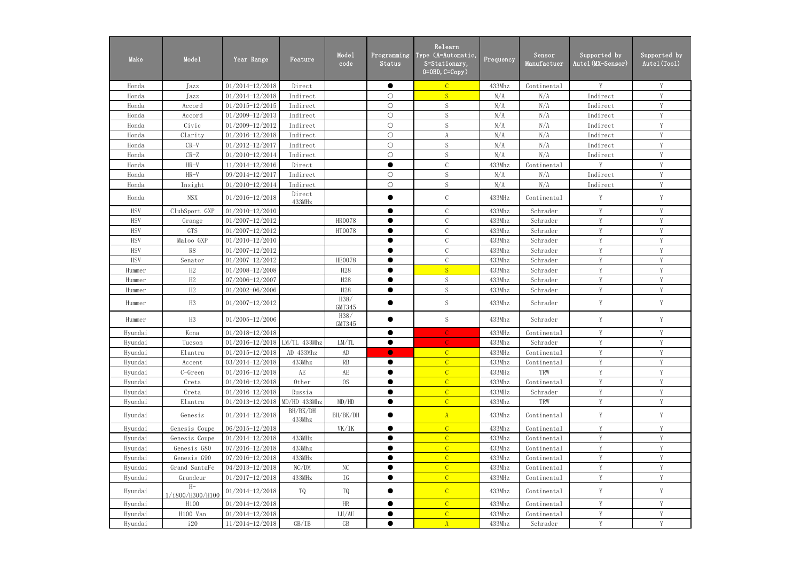| Make       | Mode1                    | Year Range                       | Feature            | Mode1<br>code   | Programming<br>Status | Relearn<br>Type (A=Automatic,<br>S=Stationary,<br>$0=0$ BD, $C=Copy$ ) | $F$ requency | Sensor<br>Manufactuer | Supported by<br>Autel (MX-Sensor) | Supported by<br>Autel (Tool) |
|------------|--------------------------|----------------------------------|--------------------|-----------------|-----------------------|------------------------------------------------------------------------|--------------|-----------------------|-----------------------------------|------------------------------|
| Honda      | Jazz                     | $01/2014 - 12/2018$              | Direct             |                 | $\bullet$             | $\overline{C}$                                                         | 433Mhz       | Continental           | Y                                 | Y                            |
| Honda      | Jazz                     | $01/2014 - 12/2018$              | Indirect           |                 | $\bigcirc$            | S                                                                      | N/A          | N/A                   | Indirect                          | Y                            |
| Honda      | Accord                   | $01/2015 - 12/2015$              | Indirect           |                 | $\bigcirc$            | S                                                                      | N/A          | N/A                   | Indirect                          | Y                            |
| Honda      | Accord                   | $01/2009 - 12/2013$              | Indirect           |                 | $\bigcirc$            | S                                                                      | N/A          | N/A                   | Indirect                          | Y                            |
| Honda      | Civic                    | $01/2009 - 12/2012$              | Indirect           |                 | $\bigcirc$            | S                                                                      | N/A          | N/A                   | Indirect                          | Y                            |
| Honda      | Clarity                  | $01/2016 - 12/2018$              | Indirect           |                 | $\bigcirc$            | $\boldsymbol{\mathrm{A}}$                                              | N/A          | N/A                   | Indirect                          | Y                            |
| Honda      | $CR-V$                   | $01/2012 - 12/2017$              | Indirect           |                 | $\bigcirc$            | S                                                                      | N/A          | N/A                   | Indirect                          | Y                            |
| Honda      | $CR-Z$                   | 01/2010-12/2014                  | Indirect           |                 | $\bigcirc$            | $\mathbf S$                                                            | N/A          | N/A                   | Indirect                          | Y                            |
| Honda      | $HR-V$                   | 11/2014-12/2016                  | Direct             |                 | $\bullet$             | $\mathcal{C}$                                                          | 433Mhz       | Continental           | Y                                 | Y                            |
| Honda      | $HR-V$                   | 09/2014-12/2017                  | Indirect           |                 | $\bigcirc$            | S                                                                      | N/A          | N/A                   | Indirect                          | Y                            |
| Honda      | Insight                  | 01/2010-12/2014                  | Indirect           |                 | $\bigcirc$            | S                                                                      | N/A          | N/A                   | Indirect                          | Y                            |
| Honda      | <b>NSX</b>               | $01/2016 - 12/2018$              | Direct<br>433MHz   |                 |                       | $\mathcal{C}$                                                          | 433MHz       | Continental           | Y                                 | Y                            |
| <b>HSV</b> | ClubSport GXP            | $01/2010 - 12/2010$              |                    |                 | $\bullet$             | $\mathcal{C}$                                                          | 433Mhz       | Schrader              | Y                                 | Y                            |
| <b>HSV</b> | Grange                   | $01/2007 - 12/2012$              |                    | <b>HR0078</b>   | $\bullet$             | $\mathcal{C}$                                                          | 433Mhz       | Schrader              | Y                                 | Y                            |
| <b>HSV</b> | GTS                      | $01/2007 - 12/2012$              |                    | HT0078          | $\bullet$             | $\mathcal{C}$                                                          | 433Mhz       | Schrader              | Y                                 | Y                            |
| <b>HSV</b> | Maloo GXP                | $01/2010 - 12/2010$              |                    |                 | ●                     | $\mathcal{C}$                                                          | 433Mhz       | Schrader              | $\mathbf{V}$                      | V                            |
| <b>HSV</b> | R8                       | $01/2007 - 12/2012$              |                    |                 |                       | $\mathcal{C}$                                                          | 433Mhz       | Schrader              | V                                 | V                            |
| <b>HSV</b> | Senator                  | $01/2007 - 12/2012$              |                    | <b>HE0078</b>   | $\bullet$             | $\mathcal{C}$                                                          | 433Mhz       | Schrader              | V                                 | Y                            |
| Hummer     | H2                       | 01/2008-12/2008                  |                    | H <sub>28</sub> | $\bullet$             | S                                                                      | 433Mhz       | Schrader              | Y                                 | $\mathbf Y$                  |
| Hummer     | H2                       | 07/2006-12/2007                  |                    | H28             | $\bullet$             | $\mathbf S$                                                            | 433Mhz       | Schrader              | Y                                 | Y                            |
| Hummer     | H2                       | 01/2002-06/2006                  |                    | H28             | $\bullet$             | S                                                                      | 433Mhz       | Schrader              | Y                                 | Y                            |
| Hummer     | H3                       | $01/2007 - 12/2012$              |                    | H38/<br>GMT345  |                       | S                                                                      | 433Mhz       | Schrader              | Y                                 | Y                            |
| Hummer     | H3                       | $01/2005 - 12/2006$              |                    | H38/<br>GMT345  |                       | S                                                                      | 433Mhz       | Schrader              | Y                                 | Y                            |
| Hyundai    | Kona                     | 01/2018-12/2018                  |                    |                 | $\bullet$             | $\mathcal{C}$                                                          | 433MHz       | Continental           | Y                                 | Y                            |
| Hyundai    | Tucson                   | $01/2016 - 12/2018$ LM/TL 433Mhz |                    | LM/TL           | $\bullet$             | $\mathbb{C}$                                                           | 433Mhz       | Schrader              | Y                                 | Y                            |
| Hyundai    | Elantra                  | $01/2015 - 12/2018$              | AD 433Mhz          | AD              | $\bullet$             | $\mathcal{C}$                                                          | 433MHz       | Continental           | Y                                 | Y                            |
| Hyundai    | Accent                   | 03/2014-12/2018                  | 433Mhz             | RB              | $\bullet$             | $\overline{C}$                                                         | 433Mhz       | Continental           | Y                                 | Y                            |
| Hyundai    | C-Green                  | $01/2016 - 12/2018$              | AE                 | AE              | $\bullet$             | $\overline{C}$                                                         | 433MHz       | TRW                   | Y                                 | Y                            |
| Hyundai    | Creta                    | $01/2016 - 12/2018$              | Other              | <sub>0</sub> S  | $\bullet$             | $\overline{C}$                                                         | 433Mhz       | Continental           | Y                                 | Y                            |
| Hyundai    | Creta                    | $01/2016 - 12/2018$              | Russia             |                 |                       | $\mathcal{C}$                                                          | 433MHz       | Schrader              | Y                                 | Y                            |
| Hyundai    | Elantra                  | $01/2013 - 12/2018$              | MD/HD 433Mhz       | MD/HD           | $\bullet$             | $\overline{C}$                                                         | 433Mhz       | TRW                   | Y                                 | Y                            |
| Hyundai    | Genesis                  | $01/2014 - 12/2018$              | BH/BK/DH<br>433Mhz | BH/BK/DH        |                       | A                                                                      | 433Mhz       | Continental           | Y                                 | Y                            |
| Hyundai    | Genesis Coupe            | 06/2015-12/2018                  |                    | VK/IK           | $\bullet$             | $\mathcal{C}$                                                          | 433Mhz       | Continental           | Y                                 | Y                            |
| Hyundai    | Genesis Coupe            | $01/2014 - 12/2018$              | 433MHz             |                 |                       | $\overline{C}$                                                         | 433Mhz       | Continental           | Y                                 | Y                            |
| Hyundai    | Genesis G80              | 07/2016-12/2018                  | 433Mhz             |                 | $\bullet$             | $\mathcal{C}$                                                          | 433Mhz       | Continental           | Y                                 | Y                            |
| Hyundai    | Genesis G90              | 07/2016-12/2018                  | 433MHz             |                 | $\bullet$             | $\overline{C}$                                                         | 433Mhz       | Continental           | Y                                 | Y                            |
| Hyundai    | Grand SantaFe            | 04/2013-12/2018                  | NC/DM              | NC              | $\bullet$             | $\mathcal{C}$                                                          | 433Mhz       | Continental           | Y                                 | $\mathbf Y$                  |
| Hyundai    | Grandeur                 | $01/2017 - 12/2018$              | 433MHz             | ΙG              | $\bullet$             | $\mathcal{C}$                                                          | 433MHz       | Continental           | Y                                 | Y                            |
| Hyundai    | $H-$<br>1/i800/H300/H100 | $01/2014 - 12/2018$              | TQ                 | TQ              |                       | $\mathcal{C}$                                                          | 433Mhz       | Continental           | Y                                 | Y                            |
| Hyundai    | H100                     | $01/2014 - 12/2018$              |                    | HR              | $\bullet$             | $\mathcal{C}$                                                          | 433Mhz       | Continental           | Y                                 | Y                            |
| Hyundai    | H100 Van                 | $01/2014 - 12/2018$              |                    | LU/AU           | $\bullet$             | $\mathcal{C}$                                                          | 433Mhz       | Continental           | Y                                 | Y                            |
| Hyundai    | i20                      | 11/2014-12/2018                  | GB/IB              | GB              | $\bullet$             | $\mathbf{A}$                                                           | 433Mhz       | Schrader              | Y                                 | Y                            |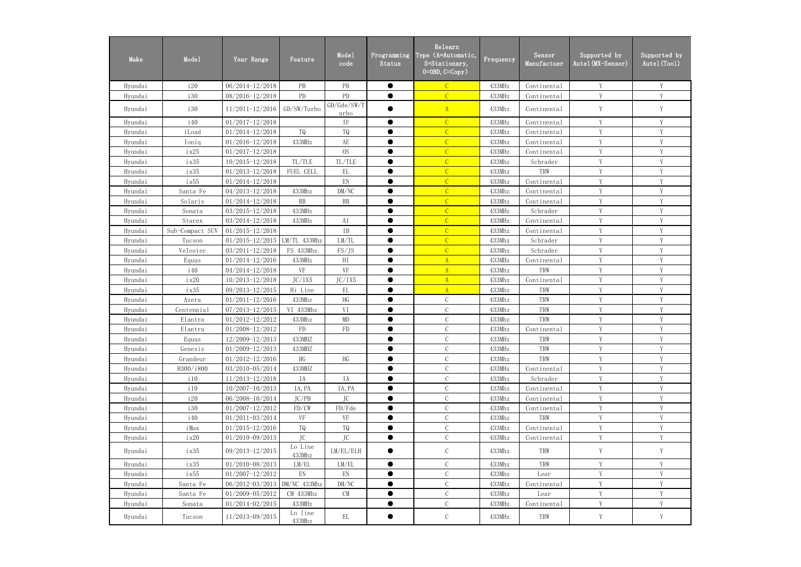| Make    | Mode1           | Year Range                       | Feature                    | Mode1<br>code              | Programming<br>Status | Relearn<br>Type (A=Automatic,<br>S=Stationary,<br>$0=0$ BD, $C=Copy$ ) | Frequency | Sensor<br>Manufactuer | Supported by<br>Autel(MX–Sensor) | Supported by<br>Autel (Tool) |
|---------|-----------------|----------------------------------|----------------------------|----------------------------|-----------------------|------------------------------------------------------------------------|-----------|-----------------------|----------------------------------|------------------------------|
| Hyundai | i20             | 06/2014-12/2018                  | $\rm{PB}$                  | PB                         | $\bullet$             | $\mathcal{C}$                                                          | 433MHz    | Continental           | Y                                | Y                            |
| Hyundai | i30             | 08/2016-12/2018                  | PD                         | PD                         | ●                     | $\overline{C}$                                                         | 433MHz    | Continental           | Y                                | Y                            |
| Hyundai | <i>i</i> 30     | $11/2011 - 12/2016$              | GD/SW/Turbo                | GD/Ge/SW/T<br>urbo         |                       | A                                                                      | 433Mhz    | Continental           | Y                                | Y                            |
| Hyundai | <i>i</i> 40     | $01/2017 - 12/2018$              |                            | IF                         | $\bullet$             | $\mathcal{C}$                                                          | 433MHz    | Continental           | Y                                | Y                            |
| Hyundai | iLoad           | $01/2014 - 12/2018$              | TQ                         | TQ                         |                       | $\overline{C}$                                                         | 433Mhz    | Continental           | Y                                | Y                            |
| Hyundai | Ioniq           | $01/2016 - 12/2018$              | 433MHz                     | AE                         | ●                     | $\overline{C}$                                                         | 433Mhz    | Continental           | Y                                | Y                            |
| Hyundai | ix25            | $01/2017 - 12/2018$              |                            | <sub>OS</sub>              |                       | $\overline{C}$                                                         | 433MHz    | Continental           | Y                                | V                            |
| Hyundai | ix35            | $10/2015 - 12/2018$              | TL/TLE                     | TL/TLE                     |                       | $\overline{C}$                                                         | 433Mhz    | Schrader              | Y                                | Y                            |
| Hyundai | ix35            | 01/2013-12/2018                  | FUEL CELL                  | EL                         | $\bullet$             | $\mathcal{C}$                                                          | 433Mhz    | TRW                   | Y                                | Y                            |
| Hyundai | ix55            | 01/2014-12/2018                  |                            | $\mathop{\rm EN}\nolimits$ |                       | $\overline{C}$                                                         | 433Mhz    | Continental           | Y                                | Y                            |
| Hyundai | Santa Fe        | 04/2013-12/2018                  | 433Mhz                     | DM/NC                      | ●                     | $\overline{C}$                                                         | 433Mhz    | Continental           | Y                                | Y                            |
| Hyundai | Solaris         | $01/2014 - 12/2018$              | RB                         | RB                         |                       | $\overline{C}$                                                         | 433Mhz    | Continental           | Y                                | Y                            |
| Hyundai | Sonata          | 03/2015-12/2018                  | 433MHz                     |                            | $\bullet$             | $\mathcal{C}$                                                          | 433MHz    | Schrader              | Y                                | Y                            |
| Hyundai | Starex          | 03/2014-12/2018                  | 433MHz                     | A1                         | ●                     | $\overline{C}$                                                         | 433MHz    | Continental           | Y                                | Y                            |
| Hyundai | Sub-Compact SUV | $01/2015 - 12/2018$              |                            | IB                         | ●                     | $\mathcal{C}$                                                          | 433Mhz    | Continental           | Y                                | Y                            |
| Hyundai | Tucson          | $01/2015 - 12/2015$ LM/TL 433Mhz |                            | LM/TL                      |                       | $\overline{C}$                                                         | 433Mhz    | Schrader              | V                                | V                            |
| Hyundai | Veloster        | $03/2011 - 12/2018$              | FS 433Mhz                  | FS/JS                      |                       | $\mathcal{C}$                                                          | 433Mhz    | Schrader              | Y                                | Y                            |
| Hyundai | Equus           | $01/2014 - 12/2016$              | 433MHz                     | $\rm{HI}$                  | $\bullet$             | $\mathbf{A}$                                                           | 433MHz    | Continental           | Y                                | Y                            |
| Hyundai | <i>i</i> 40     | 04/2014-12/2018                  | VF                         | <b>VF</b>                  |                       | $\mathbf{A}$                                                           | 433Mhz    | TRW                   | Y                                | Y                            |
| Hyundai | ix20            | 10/2013-12/2018                  | JC/IX5                     | JC/IX5                     | ●                     | A                                                                      | 433Mhz    | Continental           | Y                                | Y                            |
| Hyundai | ix35            | 09/2013-12/2015                  | Hi Line                    | EL                         | ●                     | $\overline{A}$                                                         | 433Mhz    | TRW                   | Y                                | Y                            |
| Hyundai | Azera           | $01/2011 - 12/2016$              | 433Mhz                     | HG                         | ●                     | $\mathcal{C}$                                                          | 433Mhz    | TRW                   | Y                                | Y                            |
| Hyundai | Centennial      | 07/2013-12/2015                  | VI 433Mhz                  | VI                         | ●                     | $\mathcal{C}$                                                          | 433Mhz    | TRW                   | Y                                | Y                            |
| Hyundai | Elantra         | $01/2012 - 12/2012$              | 433Mhz                     | MD                         | ●                     | $\mathcal{C}$                                                          | 433Mhz    | TRW                   | Y                                | Y                            |
| Hyundai | Elantra         | 01/2008-12/2012                  | ${\rm FD}$                 | ${\rm FD}$                 | ●                     | $\mathcal{C}$                                                          | 433Mhz    | Continental           | Y                                | Y                            |
| Hyundai | Equus           | 12/2009-12/2013                  | 433MHZ                     |                            |                       | C                                                                      | 433MHz    | TRW                   |                                  |                              |
| Hyundai | Genesis         | $01/2009 - 12/2013$              | 433MHZ                     |                            |                       | $\mathcal{C}$                                                          | 433MHz    | TRW                   | Y                                | Y                            |
| Hyundai | Grandeur        | $01/2012 - 12/2016$              | HG                         | HG                         |                       | $\mathcal{C}$                                                          | 433Mhz    | TRW                   | Y                                | Y                            |
| Hyundai | H300/i800       | 03/2010-05/2014                  | 433MHZ                     |                            | ●                     | $\mathcal{C}$                                                          | 433MHz    | Continental           | Y                                | Y                            |
| Hyundai | i10             | $11/2013 - 12/2018$              | IA                         | IA                         | $\bullet$             | $\mathcal{C}$                                                          | 433Mhz    | Schrader              | Y                                | $\mathbf Y$                  |
| Hyundai | i10             | $10/2007 - 10/2013$              | IA, PA                     | IA, PA                     | $\bullet$             | $\mathcal{C}$                                                          | 433Mhz    | Continental           | Y                                | Y                            |
| Hyundai | i20             | 06/2008-10/2014                  | JC/PB                      | JC                         |                       | $\mathcal{C}$                                                          | 433Mhz    | Continental           | Y                                | Y                            |
| Hyundai | 130             | $01/2007 - 12/2012$              | FD/CW                      | FD/Fde                     |                       | $\mathcal{C}$                                                          | 433Mhz    | Continental           | Y                                | Y                            |
| Hyundai | <i>i</i> 40     | $01/2011 - 03/2014$              | VF                         | VF                         | $\bullet$             | $\mathcal{C}$                                                          | 433Mhz    | TRW                   | Y                                | Y                            |
| Hyundai | iMax            | $01/2015 - 12/2016$              | TQ                         | TQ                         |                       | $\mathcal{C}$                                                          | 433Mhz    | Continental           | $\mathbf Y$                      | $\mathbf Y$                  |
| Hyundai | ix20            | $01/2010 - 09/2013$              | JC                         | JC                         | $\bullet$             | $\mathcal{C}$                                                          | 433Mhz    | Continental           | Y                                | Y                            |
| Hyundai | ix35            | 09/2013-12/2015                  | Lo Line<br>433Mhz          | LM/EL/ELH                  |                       | $\mathcal{C}$                                                          | 433Mhz    | TRW                   | Y                                | Y                            |
| Hyundai | ix35            | $01/2010 - 08/2013$              | LM/EL                      | LM/EL                      | $\bullet$             | $\mathcal{C}$                                                          | 433Mhz    | TRW                   | Y                                | Y                            |
| Hyundai | ix55            | $01/2007 - 12/2012$              | $\mathop{\rm EN}\nolimits$ | $\mathop{\rm EN}\nolimits$ | $\bullet$             | $\mathcal{C}$                                                          | 433Mhz    | Lear                  | Y                                | Y                            |
| Hyundai | Santa Fe        | 06/2012-03/2013 DM/NC 433Mhz     |                            | DM/NC                      |                       | $\mathcal{C}$                                                          | 433Mhz    | Continental           | Y                                | $\mathbf Y$                  |
| Hyundai | Santa Fe        | $01/2009 - 05/2012$              | CM 433Mhz                  | <b>CM</b>                  | $\bullet$             | $\mathcal{C}$                                                          | 433Mhz    | Lear                  | Y                                | Y                            |
| Hyundai | Sonata          | $01/2014 - 02/2015$              | 433MHz                     |                            |                       | $\mathcal{C}$                                                          | 433MHz    | Continental           | Y                                | Y                            |
| Hyundai | Tucson          | $11/2013 - 09/2015$              | Lo line<br>433Mhz          | EL                         |                       | $\mathcal{C}$                                                          | 433MHz    | TRW                   | Y                                | Y                            |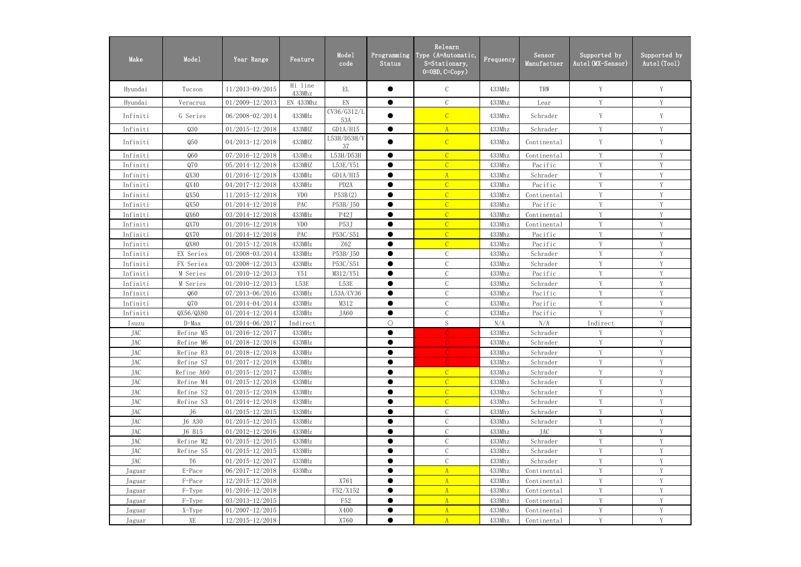| Make       | Mode1          | Year Range          | Feature           | Mode1<br>code              | Programming<br>Status | Relearn<br>Type (A=Automatic,<br>S=Stationary,<br>$0=0$ BD, $C=Copy$ ) | Frequency | Sensor<br>Manufactuer | Supported by<br>Autel (MX-Sensor) | Supported by<br>Autel (Tool) |
|------------|----------------|---------------------|-------------------|----------------------------|-----------------------|------------------------------------------------------------------------|-----------|-----------------------|-----------------------------------|------------------------------|
| Hyundai    | Tucson         | 11/2013-09/2015     | Hi line<br>433Mhz | EL                         |                       | $\mathcal{C}$                                                          | 433MHz    | TRW                   | Y                                 | Y                            |
| Hyundai    | Veracruz       | 01/2009-12/2013     | EN 433Mhz         | $\mathop{\rm EN}\nolimits$ | $\bullet$             | $\mathcal{C}$                                                          | 433Mhz    | Lear                  | Y                                 | Y                            |
| Infiniti   | G Series       | 06/2008-02/2014     | 433MHz            | CV36/G312/L<br>53A         |                       | $\mathcal{C}$                                                          | 433Mhz    | Schrader              | Y                                 | Y                            |
| Infiniti   | Q30            | $01/2015 - 12/2018$ | 433MHZ            | GD1A/H15                   | $\bullet$             | A                                                                      | 433Mhz    | Schrader              | $\mathbf Y$                       | Y                            |
| Infiniti   | Q50            | 04/2013-12/2018     | 433MHZ            | L53H/D53H/V<br>37          |                       | $\mathcal{C}$                                                          | 433Mhz    | Continental           | Y                                 | Y                            |
| Infiniti   | Q60            | 07/2016-12/2018     | 433Mhz            | L53H/D53H                  | $\bullet$             | $\mathcal{C}$                                                          | 433Mhz    | Continental           | Y                                 | $\mathbf{V}$                 |
| Infiniti   | Q70            | 05/2014-12/2018     | 433MHZ            | L53E/Y51                   |                       | $\overline{C}$                                                         | 433Mhz    | Pacific               | Y                                 | V                            |
| Infiniti   | QX30           | $01/2016 - 12/2018$ | 433MHz            | GD1A/H15                   |                       | $\mathbf{A}$                                                           | 433Mhz    | Schrader              | Y                                 | V                            |
| Infiniti   | QX40           | 04/2017-12/2018     | 433MHz            | PD <sub>2</sub> A          |                       | $\overline{C}$                                                         | 433Mhz    | Pacific               | Y                                 | V                            |
| Infiniti   | QX50           | 11/2015-12/2018     | VD <sub>0</sub>   | P53B(2)                    |                       | $\overline{C}$                                                         | 433Mhz    | Continental           | Y                                 | Y                            |
| Infiniti   | QX50           | $01/2014 - 12/2018$ | PAC               | P53B/J50                   | $\bullet$             | $\overline{C}$                                                         | 433Mhz    | Pacific               | Y                                 | Y                            |
| Infiniti   | QX60           | 03/2014-12/2018     | 433MHz            | P42J                       | ●                     | $\mathcal{C}$                                                          | 433Mhz    | Continental           | Y                                 | V                            |
| Infiniti   | QX70           | $01/2016 - 12/2018$ | VD <sub>0</sub>   | P53J                       |                       | $\overline{C}$                                                         | 433Mhz    | Continental           | V                                 | $\mathbf{V}$                 |
| Infiniti   | QX70           | $01/2014 - 12/2018$ | PAC               | P53C/S51                   |                       | $\overline{C}$                                                         | 433Mhz    | Pacific               | V                                 | V                            |
| Infiniti   | QX80           | $01/2015 - 12/2018$ | 433MHz            | <b>Z62</b>                 |                       | $\overline{C}$                                                         | 433Mhz    | Pacific               | Y                                 | V                            |
| Infiniti   | EX Series      | 01/2008-03/2014     | 433MHz            | P53B/J50                   |                       | $\mathcal{C}$                                                          | 433Mhz    | Schrader              | Y                                 | Y                            |
| Infiniti   | FX Series      | 03/2008-12/2013     | 433MHz            | P53C/S51                   | $\bullet$             | $\mathcal{C}$                                                          | 433Mhz    | Schrader              | Y                                 | Y                            |
| Infiniti   | M Series       | $01/2010 - 12/2013$ | Y51               | M312/Y51                   |                       | $\mathcal{C}$                                                          | 433Mhz    | Pacific               | Y                                 | V                            |
| Infiniti   | M Series       | $01/2010 - 12/2013$ | L53E              | L53E                       | $\bullet$             | $\mathcal{C}$                                                          | 433Mhz    | Schrader              | Y                                 | Y                            |
| Infiniti   | Q60            | 07/2013-06/2016     | 433MHz            | L53A/CV36                  |                       | $\mathcal{C}$                                                          | 433Mhz    | Pacific               | Y                                 | $\mathbf{V}$                 |
| Infiniti   | Q70            | 01/2014-04/2014     | 433MHz            | M312                       | $\bullet$             | C                                                                      | 433Mhz    | Pacific               | V                                 | V                            |
| Infiniti   | QX56/QX80      | 01/2014-12/2014     | 433MHz            | JA60                       |                       | $\mathcal{C}$                                                          | 433Mhz    | Pacific               | V                                 | $\mathbf{V}$                 |
| Isuzu      | $D-Max$        | 01/2014-06/2017     | Indirect          |                            | $\bigcirc$            | $\mathbf S$                                                            | N/A       | N/A                   | Indirect                          | V                            |
| <b>JAC</b> | Refine M5      | 01/2016-12/2017     | 433MHz            |                            | ●                     |                                                                        | 433Mhz    | Schrader              | Y                                 | Y                            |
| JAC        | Refine M6      | $01/2018 - 12/2018$ | 433MHz            |                            |                       |                                                                        | 433Mhz    | Schrader              | Y                                 | Y                            |
| <b>JAC</b> | Refine R3      | $01/2018 - 12/2018$ | 433MHz            |                            | ●                     |                                                                        | 433Mhz    | Schrader              | Y                                 | Y                            |
| JAC        | Refine S7      | $01/2017 - 12/2018$ | 433MHz            |                            |                       |                                                                        | 433Mhz    | Schrader              | Y                                 | Y                            |
| JAC        | Refine A60     | $01/2015 - 12/2017$ | 433MHz            |                            | $\bullet$             | $\mathcal{C}$                                                          | 433Mhz    | Schrader              | Y                                 | Y                            |
| JAC        | Refine M4      | $01/2015 - 12/2018$ | 433MHz            |                            |                       | $\mathcal{C}$                                                          | 433Mhz    | Schrader              | Y                                 | Y                            |
| JAC        | Refine S2      | $01/2015 - 12/2018$ | 433MHz            |                            |                       | $\mathcal{C}$                                                          | 433Mhz    | Schrader              | Y                                 | Y                            |
| JAC        | Refine S3      | $01/2014 - 12/2018$ | 433MHz            |                            |                       | $\mathcal{C}$                                                          | 433Mhz    | Schrader              | Y                                 | V                            |
| JAC        | J6             | $01/2015 - 12/2015$ | 433MHz            |                            |                       | $\mathcal{C}$                                                          | 433Mhz    | Schrader              | $\mathbf Y$                       | Y                            |
| <b>JAC</b> | J6 A30         | $01/2015 - 12/2015$ | 433MHz            |                            |                       | $\mathsf C$                                                            | 433Mhz    | Schrader              | Y                                 | Y                            |
| JAC        | J6 B15         | $01/2012 - 12/2016$ | 433MHz            |                            |                       | $\mathbf C$                                                            | 433Mhz    | JAC                   | Y                                 | Y                            |
| JAC        | Refine M2      | $01/2015 - 12/2015$ | 433MHz            |                            | ●                     | $\mathcal{C}$                                                          | 433Mhz    | Schrader              | Y                                 | Y                            |
| JAC        | Refine S5      | $01/2015 - 12/2015$ | 433MHz            |                            | $\bullet$             | $\mathcal{C}$                                                          | 433Mhz    | Schrader              | $\mathbf Y$                       | Y                            |
| JAC        | T <sub>6</sub> | $01/2015 - 12/2017$ | 433MHz            |                            | $\bullet$             | $\mathcal{C}$                                                          | 433Mhz    | Schrader              | Y                                 | Y                            |
| Jaguar     | E-Pace         | $06/2017 - 12/2018$ | 433Mhz            |                            |                       | $\mathbf{A}$                                                           | 433Mhz    | Continental           | Y                                 | $\mathbf{V}$                 |
| Jaguar     | F-Pace         | $12/2015 - 12/2018$ |                   | X761                       |                       | $\mathbf{A}$                                                           | 433Mhz    | Continental           | Y                                 |                              |
| Jaguar     | F-Type         | $01/2016 - 12/2018$ |                   | F52/X152                   |                       | A                                                                      | 433Mhz    | Continental           | Y                                 | V                            |
| Jaguar     | $F-Type$       | $03/2013 - 12/2015$ |                   | F52                        |                       | A                                                                      | 433Mhz    | Continental           | $\mathbf Y$                       | Y                            |
| Jaguar     | X-Type         | $01/2007 - 12/2015$ |                   | X400                       |                       | $\mathbf{A}$                                                           | 433Mhz    | Continental           | Y                                 | Y                            |
| Jaguar     | XE             | 12/2015-12/2018     |                   | X760                       |                       | $\mathbf{A}$                                                           | 433Mhz    | Continental           | Y                                 | Y                            |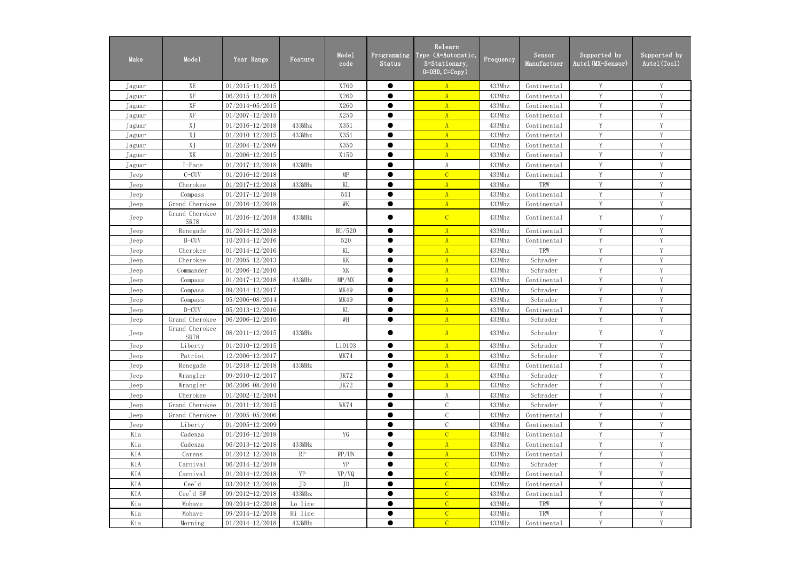| Make   | Mode1                   | Year Range          | Feature | Mode1<br>code       | Programming<br>Status | Relearn<br>Type (A=Automatic,<br>S=Stationary,<br>$0=0$ BD, $C=Copy$ ) | Frequency | Sensor<br>Manufactuer | Supported by<br>Autel (MX-Sensor) | Supported by<br>Autel (Tool) |
|--------|-------------------------|---------------------|---------|---------------------|-----------------------|------------------------------------------------------------------------|-----------|-----------------------|-----------------------------------|------------------------------|
| Jaguar | XE                      | $01/2015 - 11/2015$ |         | X760                | $\bullet$             | $\mathbf{A}$                                                           | 433Mhz    | Continental           | Y                                 | Y                            |
| Jaguar | $\mathbf{X} \mathbf{F}$ | 06/2015-12/2018     |         | X260                | $\bullet$             | $\overline{A}$                                                         | 433Mhz    | Continental           | Y                                 | Y                            |
| Jaguar | XF                      | 07/2014-05/2015     |         | X260                | ●                     | $\mathbf{A}$                                                           | 433Mhz    | Continental           | Y                                 | Y                            |
| Jaguar | XF                      | $01/2007 - 12/2015$ |         | X250                | $\bullet$             | $\mathbf{A}$                                                           | 433Mhz    | Continental           | $\mathbf{V}$                      | V                            |
| Jaguar | XJ                      | $01/2016 - 12/2018$ | 433Mhz  | X351                | ●                     | $\mathbf{A}$                                                           | 433Mhz    | Continental           | V                                 | V                            |
| Jaguar | XJ                      | $01/2010 - 12/2015$ | 433Mhz  | X351                | $\bullet$             | $\mathbf{A}$                                                           | 433Mhz    | Continental           | Y                                 | Y                            |
| Jaguar | XJ                      | 01/2004-12/2009     |         | X350                |                       | $\mathbf{A}$                                                           | 433Mhz    | Continental           | Y                                 | Y                            |
| Jaguar | XK                      | 01/2006-12/2015     |         | X150                | $\bullet$             | $\mathbf{A}$                                                           | 433Mhz    | Continental           | Y                                 | Y                            |
| Jaguar | I-Pace                  | $01/2017 - 12/2018$ | 433MHz  |                     |                       | A                                                                      | 433Mhz    | Continental           | Y                                 | Y                            |
| Jeep   | $C-CUV$                 | $01/2016 - 12/2018$ |         | $\operatorname{MP}$ | $\bullet$             | $\overline{C}$                                                         | 433Mhz    | Continental           | Y                                 | Y                            |
| Jeep   | Cherokee                | $01/2017 - 12/2018$ | 433MHz  | KL                  | ●                     | $\overline{A}$                                                         | 433Mhz    | TRW                   | Y                                 | Y                            |
| Jeep   | Compass                 | $01/2017 - 12/2018$ |         | 551                 | ●                     | $\mathbf{A}$                                                           | 433Mhz    | Continental           | V                                 | Y                            |
| Jeep   | Grand Cherokee          | $01/2016 - 12/2018$ |         | WK                  | $\bullet$             | $\mathbf{A}$                                                           | 433Mhz    | Continental           | V                                 | V                            |
| Jeep   | Grand Cherokee<br>SRT8  | $01/2016 - 12/2018$ | 433MHz  |                     |                       | $\mathcal{C}$                                                          | 433Mhz    | Continental           | Y                                 | Y                            |
| Jeep   | Renegade                | $01/2014 - 12/2018$ |         | BU/520              | $\bullet$             | $\mathbf{A}$                                                           | 433Mhz    | Continental           | V                                 | Y                            |
| Jeep   | B-CUV                   | 10/2014-12/2016     |         | 520                 | ●                     | $\mathbf{A}$                                                           | 433Mhz    | Continental           | $\mathbf{V}$                      | $\mathbf{V}$                 |
| Jeep   | Cherokee                | $01/2014 - 12/2016$ |         | KL                  | $\bullet$             | A                                                                      | 433Mhz    | TRW                   | Y                                 | Y                            |
| Jeep   | Cherokee                | $01/2005 - 12/2013$ |         | KK                  | $\bullet$             | $\mathbf{A}$                                                           | 433Mhz    | Schrader              | Y                                 | Y                            |
| Jeep   | Commander               | 01/2006-12/2010     |         | XK                  | $\bullet$             | $\mathbf{A}$                                                           | 433Mhz    | Schrader              | Y                                 | Y                            |
| Jeep   | Compass                 | $01/2017 - 12/2018$ | 433MHz  | MP/MX               | ●                     | $\overline{A}$                                                         | 433Mhz    | Continental           | Y                                 | Y                            |
| Jeep   | Compass                 | 09/2014-12/2017     |         | MK49                | $\bullet$             | $\overline{A}$                                                         | 433Mhz    | Schrader              | Y                                 | Y                            |
| Jeep   | Compass                 | 05/2006-08/2014     |         | MK49                | $\bullet$             | $\mathbf{A}$                                                           | 433Mhz    | Schrader              | Y                                 | Y                            |
| Jeep   | D-CUV                   | 05/2013-12/2016     |         | KL                  | $\bullet$             | $\mathbf{A}$                                                           | 433Mhz    | Continental           | Y                                 | V                            |
| Jeep   | Grand Cherokee          | 06/2006-12/2010     |         | WH                  | ●                     | $\mathbf{A}$                                                           | 433Mhz    | Schrader              | V                                 | $\overline{V}$               |
| Jeep   | Grand Cherokee<br>SRT8  | 08/2011-12/2015     | 433MHz  |                     |                       | $\mathbf{A}$                                                           | 433Mhz    | Schrader              | Y                                 | Y                            |
| Jeep   | Liberty                 | $01/2010 - 12/2015$ |         | Li0103              | $\bullet$             | $\mathbf{A}$                                                           | 433Mhz    | Schrader              | Y                                 | V                            |
| Jeep   | Patriot                 | 12/2006-12/2017     |         | MK74                | $\bullet$             | $\mathbf{A}$                                                           | 433Mhz    | Schrader              | Y                                 | Y                            |
| Jeep   | Renegade                | 01/2018-12/2018     | 433MHz  |                     | $\bullet$             | A                                                                      | 433Mhz    | Continental           | Y                                 | Y                            |
| Jeep   | Wrangler                | 09/2010-12/2017     |         | JK72                |                       | $\mathbf{A}$                                                           | 433Mhz    | Schrader              | Y                                 | Y                            |
| Jeep   | Wrangler                | 06/2006-08/2010     |         | JK72                | $\bullet$             | $\mathbf{A}$                                                           | 433Mhz    | Schrader              | Y                                 | Y                            |
| Jeep   | Cherokee                | $01/2002 - 12/2004$ |         |                     |                       | A                                                                      | 433Mhz    | Schrader              | Y                                 | Y                            |
| Jeep   | Grand Cherokee          | $01/2011 - 12/2015$ |         | WK74                | $\bullet$             | $\mathcal{C}$                                                          | 433Mhz    | Schrader              | Y                                 | Y                            |
| Jeep   | Grand Cherokee          | $01/2005 - 05/2006$ |         |                     | $\bullet$             | $\mathcal{C}$                                                          | 433Mhz    | Continental           | Y                                 | Y                            |
| Jeep   | Liberty                 | $01/2005 - 12/2009$ |         |                     |                       | $\mathcal C$                                                           | 433Mhz    | Continental           | Y                                 | Y                            |
| Kia    | Cadenza                 | $01/2016 - 12/2018$ |         | YG                  | $\bullet$             | $\overline{C}$                                                         | 433MHz    | Continental           | Y                                 | Y                            |
| Kia    | Cadenza                 | 06/2013-12/2018     | 433MHz  |                     | $\bullet$             | $\mathbf{A}$                                                           | 433Mhz    | Continental           | Y                                 | Y                            |
| KIA    | Carens                  | $01/2012 - 12/2018$ | RP      | RP/UN               | $\bullet$             | $\mathbf{A}$                                                           | 433Mhz    | Continental           | Y                                 | Y                            |
| KIA    | Carnival                | 06/2014-12/2018     |         | YP                  |                       | $\mathcal{C}$                                                          | 433Mhz    | Schrader              | Y                                 | Y                            |
| KIA    | Carnival                | $01/2014 - 12/2018$ | YP      | YP/VQ               | $\bullet$             | $\overline{C}$                                                         | 433MHz    | Continental           | Y                                 | Y                            |
| KIA    | Cee'd                   | $03/2012 - 12/2018$ | JD      | JD                  | $\bullet$             | $\overline{C}$                                                         | 433Mhz    | Continental           | Y                                 | Y                            |
| KIA    | Cee'd SW                | 09/2012-12/2018     | 433Mhz  |                     | $\bullet$             | $\overline{C}$                                                         | 433Mhz    | Continental           | Y                                 | Y                            |
| Kia    | Mohave                  | 09/2014-12/2018     | Lo line |                     | $\bullet$             | $\overline{C}$                                                         | 433MHz    | TRW                   | Y                                 | Y                            |
| Kia    | Mohave                  | 09/2014-12/2018     | Hi line |                     |                       | $\mathcal{C}$                                                          | 433MHz    | TRW                   | Y                                 | Y                            |
| Kia    | Morning                 | $01/2014 - 12/2018$ | 433MHz  |                     | $\bullet$             | $\mathcal{C}$                                                          | 433MHz    | Continental           | Y                                 | Y                            |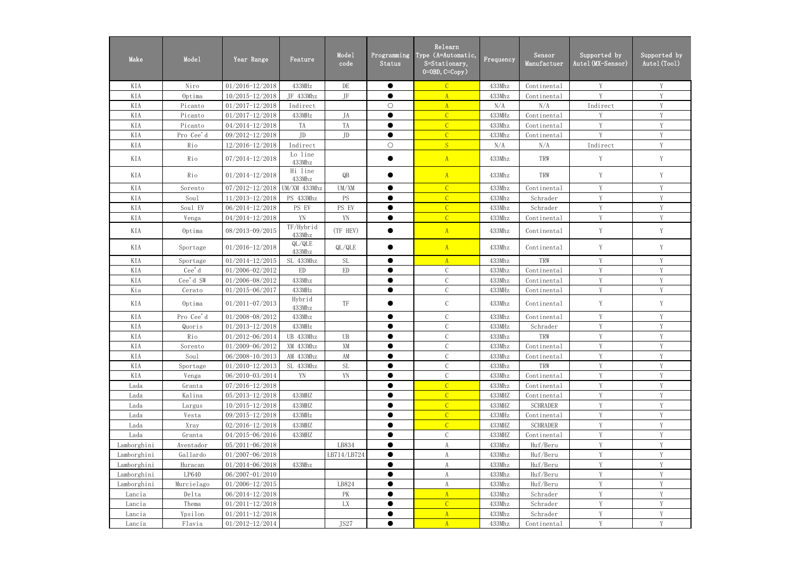| Make        | Mode1      | Year Range          | Feature                    | Mode1<br>code | Programming<br>Status | Relearn<br>Type (A=Automatic,<br>$S = \frac{Stationary}{$<br>$0=0$ BD, $C=Copy$ ) | Frequency       | Sensor<br>Manufactuer | Supported by<br>Autel (MX-Sensor) | Supported by<br>Autel (Tool) |
|-------------|------------|---------------------|----------------------------|---------------|-----------------------|-----------------------------------------------------------------------------------|-----------------|-----------------------|-----------------------------------|------------------------------|
| KIA         | Niro       | $01/2016 - 12/2018$ | 433MHz                     | $\rm{DE}$     | $\bullet$             | $\mathcal{C}$                                                                     | 433Mhz          | Continental           | Y                                 | Y                            |
| KIA         | Optima     | 10/2015-12/2018     | JF 433Mhz                  | $\rm{JF}$     | $\bullet$             | $\overline{A}$                                                                    | 433Mhz          | Continental           | $\mathbf{V}$                      | Y                            |
| KIA         | Picanto    | $01/2017 - 12/2018$ | Indirect                   |               | $\bigcirc$            | $\mathbf{A}$                                                                      | N/A             | N/A                   | Indirect                          | Y                            |
| KIA         | Picanto    | $01/2017 - 12/2018$ | 433MHz                     | JA            | $\bullet$             | $\overline{C}$                                                                    | 433MHz          | Continental           | V                                 | Y                            |
| KIA         | Picanto    | $04/2014 - 12/2018$ | TA                         | TA            | $\bullet$             | $\overline{C}$                                                                    | 433Mhz          | Continental           | V                                 | Y                            |
| KIA         | Pro Cee'd  | 09/2012-12/2018     | JD                         | JD            | $\bullet$             | $\overline{C}$                                                                    | 433Mhz          | Continental           | Y                                 | Y                            |
| KIA         | Rio        | 12/2016-12/2018     | Indirect                   |               | $\bigcirc$            | S                                                                                 | N/A             | N/A                   | Indirect                          | Y                            |
| KIA         | Rio        | $07/2014 - 12/2018$ | Lo line<br>433Mhz          |               |                       | A                                                                                 | 433Mhz          | TRW                   | Y                                 | Y                            |
| KIA         | Rio        | $01/2014 - 12/2018$ | Hi line<br>433Mhz          | QB            |                       | A                                                                                 | 433Mhz          | TRW                   | Y                                 | Y                            |
| KIA         | Sorento    | 07/2012-12/2018     | UM/XM 433Mhz               | UM/XM         |                       | $\overline{C}$                                                                    | 433Mhz          | Continental           | V                                 | V                            |
| KIA         | Sou1       | 11/2013-12/2018     | PS 433Mhz                  | PS            | $\bullet$             | $\overline{C}$                                                                    | 433Mhz          | Schrader              | Y                                 | Y                            |
| KIA         | Soul EV    | 06/2014-12/2018     | PS EV                      | PS EV         | $\bullet$             | $\overline{C}$                                                                    | 433Mhz          | Schrader              | Y                                 | Y                            |
| KIA         | Venga      | 04/2014-12/2018     | YN                         | YN            |                       | $\overline{C}$                                                                    | 433Mhz          | Continental           | Y                                 | Y                            |
| KIA         | Optima     | 08/2013-09/2015     | TF/Hybrid<br>433Mhz        | (TF HEV)      |                       | A                                                                                 | 433Mhz          | Continental           | Y                                 | Y                            |
| KIA         | Sportage   | $01/2016 - 12/2018$ | QL/QLE<br>433Mhz           | QL/QLE        | $\bullet$             | A                                                                                 | 433Mhz          | Continental           | Y                                 | Y                            |
| KIA         | Sportage   | 01/2014-12/2015     | SL 433Mhz                  | <b>SL</b>     | $\bullet$             | $\Lambda$                                                                         | 433Mhz          | TRW                   | V                                 | V                            |
| KIA         | Cee'd      | $01/2006 - 02/2012$ | $\mathop{\rm ED}\nolimits$ | ED            | $\bullet$             | $\mathsf C$                                                                       | 433Mhz          | Continental           | Y                                 | Y                            |
| KIA         | Cee'd SW   | 01/2006-08/2012     | 433Mhz                     |               | $\bullet$             | $\mathcal{C}$                                                                     | 433Mhz          | Continental           | Y                                 | Y                            |
| Kia         | Cerato     | 01/2015-06/2017     | 433MHz                     |               | $\bullet$             | $\mathcal{C}$                                                                     | 433MHz          | Continental           | Y                                 | Y                            |
| KIA         | Optima     | $01/2011 - 07/2013$ | Hybrid<br>433Mhz           | TF            |                       | $\mathsf C$                                                                       | 433Mhz          | Continental           | Y                                 | Y                            |
| KIA         | Pro Cee'd  | 01/2008-08/2012     | 433Mhz                     |               | $\bullet$             | $\mathcal{C}$                                                                     | 433Mhz          | Continental           | Y                                 | Y                            |
| KIA         | Quoris     | 01/2013-12/2018     | 433MHz                     |               |                       | $\mathsf C$                                                                       | 433MHz          | Schrader              | Y                                 | Y                            |
| KIA         | Rio        | $01/2012 - 06/2014$ | UB 433Mhz                  | UB            |                       | $\mathsf C$                                                                       | 433Mhz          | TRW                   | $\mathbf Y$                       | Y                            |
| KIA         | Sorento    | 01/2009-06/2012     | XM 433Mhz                  | XM            | $\bullet$             | $\mathcal{C}$                                                                     | 433Mhz          | Continental           | Y                                 | Y                            |
| KIA         | Sou1       | 06/2008-10/2013     | AM 433Mhz                  | AM            | $\bullet$             | $\mathcal{C}$                                                                     | 433Mhz          | Continental           | Y                                 | Y                            |
| KIA         | Sportage   | $01/2010 - 12/2013$ | SL 433Mhz                  | SL            | $\bullet$             | $\mathcal{C}$                                                                     | 433Mhz          | TRW                   | V                                 | V                            |
| KIA         | Venga      | 06/2010-03/2014     | YN                         | YN            |                       | $\mathsf C$                                                                       | 433Mhz          | Continental           | V                                 |                              |
| Lada        | Granta     | 07/2016-12/2018     |                            |               |                       | $\overline{C}$                                                                    | 433Mhz          | Continental           | Y                                 | Y                            |
| Lada        | Kalina     | 05/2013-12/2018     | 433MHZ                     |               |                       | $\mathcal{C}$                                                                     | 433MHZ          | Continental           | Y                                 | Y                            |
| Lada        | Largus     | 10/2015-12/2018     | 433MHZ                     |               | $\bullet$             | $\overline{C}$                                                                    | 433MHZ          | <b>SCHRADER</b>       | Y                                 | Y                            |
| Lada        | Vesta      | 09/2015-12/2018     | 433MHz                     |               |                       | $\overline{C}$                                                                    | $433\mbox{MHz}$ | Continental           | Y                                 | Y                            |
| Lada        | Xray       | $02/2016 - 12/2018$ | 433MHZ                     |               | $\bullet$             | $\mathcal{C}$                                                                     | 433MHZ          | <b>SCHRADER</b>       | Y                                 | Y                            |
| Lada        | Granta     | 04/2015-06/2016     | 433MHZ                     |               |                       | $\mathbf C$                                                                       | 433MHZ          | Continental           | Y                                 | Y                            |
| Lamborghini | Aventador  | $05/2011 - 06/2018$ |                            | LB834         | $\bullet$             | A                                                                                 | 433Mhz          | Huf/Beru              | Y                                 | Y                            |
| Lamborghini | Gallardo   | $01/2007 - 06/2018$ |                            | LB714/LB724   |                       | A                                                                                 | 433Mhz          | Huf/Beru              | $\mathbf{V}$                      | $\mathbf{V}$                 |
| Lamborghini | Huracan    | 01/2014-06/2018     | 433Mhz                     |               |                       | A                                                                                 | 433Mhz          | Huf/Beru              | V                                 | Y                            |
| Lamborghini | LP640      | 06/2007-01/2010     |                            |               |                       | $\boldsymbol{A}$                                                                  | 433Mhz          | Huf/Beru              | Y                                 | Y                            |
| Lamborghini | Murcielago | $01/2006 - 12/2015$ |                            | LB824         |                       | A                                                                                 | 433Mhz          | Huf/Beru              | Y                                 | Y                            |
| Lancia      | Delta      | 06/2014-12/2018     |                            | PK            | $\bullet$             | A                                                                                 | 433Mhz          | Schrader              | Y                                 | Y                            |
| Lancia      | Thema      | $01/2011 - 12/2018$ |                            | LX            |                       | $\overline{C}$                                                                    | 433Mhz          | Schrader              | Y                                 | Y                            |
| Lancia      | Ypsilon    | $01/2011 - 12/2018$ |                            |               | $\bullet$             | A                                                                                 | 433Mhz          | Schrader              | Y                                 | Y                            |
| Lancia      | Flavia     | 01/2012-12/2014     |                            | JS27          | $\bullet$             | $\mathbf{A}$                                                                      | 433Mhz          | Continental           | Y                                 | Y                            |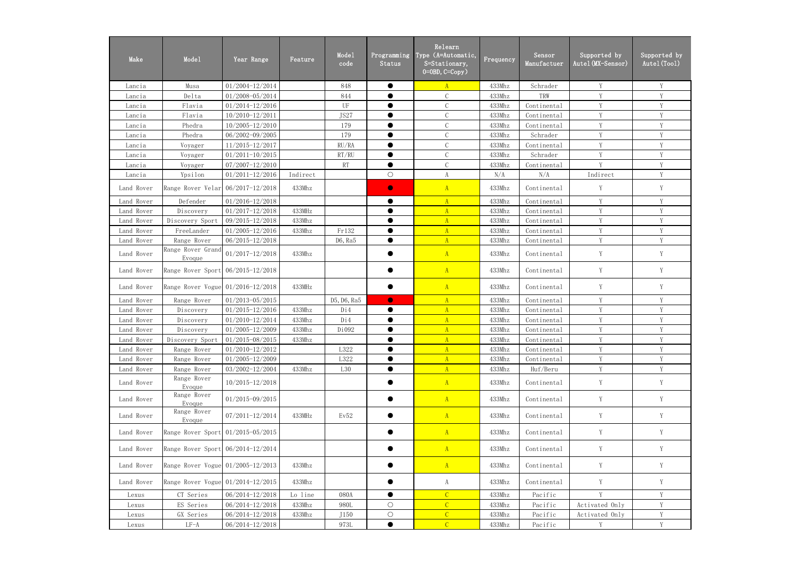| Make       | Mode1                               | Year Range          | Feature  | Mode1<br>code | Programming<br><b>Status</b> | Relearn<br>Type (A=Automatic,<br>S=Stationary,<br>$0=0$ BD, $C=Copy$ ) | Frequency | Sensor<br>Manufactuer | Supported by<br>Autel (MX-Sensor) | Supported by<br>Autel (Tool) |
|------------|-------------------------------------|---------------------|----------|---------------|------------------------------|------------------------------------------------------------------------|-----------|-----------------------|-----------------------------------|------------------------------|
| Lancia     | Musa                                | 01/2004-12/2014     |          | 848           | $\bullet$                    | $\mathbf{A}$                                                           | 433Mhz    | Schrader              | Y                                 | Y                            |
| Lancia     | Delta                               | 01/2008-05/2014     |          | 844           |                              | $\mathcal{C}$                                                          | 433Mhz    | TRW                   | Y                                 | Y                            |
| Lancia     | Flavia                              | $01/2014 - 12/2016$ |          | UF            | $\bullet$                    | $\mathcal{C}$                                                          | 433Mhz    | Continental           | Y                                 | Y                            |
| Lancia     | Flavia                              | 10/2010-12/2011     |          | JS27          | $\bullet$                    | $\mathcal{C}$                                                          | 433Mhz    | Continental           | Y                                 | Y                            |
| Lancia     | Phedra                              | 10/2005-12/2010     |          | 179           | $\bullet$                    | $\mathcal{C}$                                                          | 433Mhz    | Continental           | Y                                 | Y                            |
| Lancia     | Phedra                              | 06/2002-09/2005     |          | 179           | ●                            | $\mathcal{C}$                                                          | 433Mhz    | Schrader              | V                                 | Y                            |
| Lancia     | Voyager                             | 11/2015-12/2017     |          | RU/RA         | $\bullet$                    | $\mathcal{C}$                                                          | 433Mhz    | Continental           | Y                                 | Y                            |
| Lancia     | Voyager                             | $01/2011 - 10/2015$ |          | RT/RU         | $\bullet$                    | $\mathcal{C}$                                                          | 433Mhz    | Schrader              | Y                                 | Y                            |
| Lancia     | Voyager                             | 07/2007-12/2010     |          | RT            | $\bullet$                    | $\mathcal{C}$                                                          | 433Mhz    | Continental           | Y                                 | $\mathbf Y$                  |
| Lancia     | Ypsilon                             | $01/2011 - 12/2016$ | Indirect |               | $\bigcirc$                   | $\boldsymbol{\mathrm{A}}$                                              | N/A       | N/A                   | Indirect                          | Y                            |
| Land Rover | Range Rover Velar $06/2017-12/2018$ |                     | 433Mhz   |               | $\bullet$                    | A                                                                      | 433Mhz    | Continental           | Y                                 | Y                            |
| Land Rover | Defender                            | $01/2016 - 12/2018$ |          |               | $\bullet$                    | $\mathbf{A}$                                                           | 433Mhz    | Continental           | Y                                 | Y                            |
| Land Rover | Discovery                           | $01/2017 - 12/2018$ | 433MHz   |               | $\bullet$                    | $\mathbf{A}$                                                           | 433Mhz    | Continental           | Y                                 | Y                            |
| Land Rover | Discovery Sport                     | 09/2015-12/2018     | 433Mhz   |               | $\bullet$                    | $\mathbf{A}$                                                           | 433Mhz    | Continental           | Y                                 | Y                            |
| Land Rover | FreeLander                          | $01/2005 - 12/2016$ | 433Mhz   | Fr132         | $\bullet$                    | A                                                                      | 433Mhz    | Continental           | Y                                 | Y                            |
| Land Rover | Range Rover                         | $06/2015 - 12/2018$ |          | D6, Ra5       | ●                            | $\mathbf{A}$                                                           | 433Mhz    | Continental           | V                                 | Y                            |
| Land Rover | Range Rover Grand<br>Evoque         | $01/2017 - 12/2018$ | 433Mhz   |               |                              | A                                                                      | 433Mhz    | Continental           | Y                                 | Y                            |
| Land Rover | Range Rover Sport                   | 06/2015-12/2018     |          |               |                              | A                                                                      | 433Mhz    | Continental           | Y                                 | Y                            |
| Land Rover | Range Rover Vogue 01/2016-12/2018   |                     | 433MHz   |               |                              | $\mathbf{A}$                                                           | 433Mhz    | Continental           | Y                                 | Y                            |
| Land Rover | Range Rover                         | 01/2013-05/2015     |          | D5, D6, Ra5   | $\bullet$                    | $\mathbf{A}$                                                           | 433Mhz    | Continental           | Y                                 | Y                            |
| Land Rover | Discovery                           | $01/2015 - 12/2016$ | 433Mhz   | Di4           | $\bullet$                    | $\mathbf{A}$                                                           | 433Mhz    | Continental           | Y                                 | Y                            |
| Land Rover | Discovery                           | $01/2010 - 12/2014$ | 433Mhz   | Di4           | $\bullet$                    | $\mathbf{A}$                                                           | 433Mhz    | Continental           | Y                                 | Y                            |
| Land Rover | Discovery                           | 01/2005-12/2009     | 433Mhz   | Di092         | $\bullet$                    | $\mathbf{A}$                                                           | 433Mhz    | Continental           | Y                                 | Y                            |
| Land Rover | Discovery Sport                     | 01/2015-08/2015     | 433Mhz   |               |                              | $\mathbf{A}$                                                           | 433Mhz    | Continental           |                                   |                              |
| Land Rover | Range Rover                         | $01/2010 - 12/2012$ |          | L322          |                              | $\mathbf{A}$                                                           | 433Mhz    | Continental           | V                                 | V                            |
| Land Rover | Range Rover                         | $01/2005 - 12/2009$ |          | L322          |                              | A                                                                      | 433Mhz    | Continental           | Y                                 | Y                            |
| Land Rover | Range Rover                         | 03/2002-12/2004     | 433Mhz   | L30           | $\bullet$                    | $\overline{A}$                                                         | 433Mhz    | Huf/Beru              | $\mathbf Y$                       | $\mathbf Y$                  |
| Land Rover | Range Rover<br>Evoque               | $10/2015 - 12/2018$ |          |               |                              | A                                                                      | 433Mhz    | Continental           | Y                                 | Y                            |
| Land Rover | Range Rover<br>Evoque               | $01/2015 - 09/2015$ |          |               | 0                            | A                                                                      | 433Mhz    | Continental           | Y                                 | Y                            |
| Land Rover | Range Rover<br>Evoque               | 07/2011-12/2014     | 433MHz   | Ev52          |                              | A                                                                      | 433Mhz    | Continental           | Y                                 | Y                            |
| Land Rover | Range Rover Sport                   | $01/2015 - 05/2015$ |          |               |                              | A                                                                      | 433Mhz    | Continental           | Y                                 | Y                            |
| Land Rover | Range Rover Sport $06/2014-12/2014$ |                     |          |               |                              | A                                                                      | 433Mhz    | Continental           | Y                                 | Y                            |
| Land Rover | Range Rover Vogue $01/2005-12/2013$ |                     | 433Mhz   |               | $\bullet$                    | A                                                                      | 433Mhz    | Continental           | Y                                 | Y                            |
| Land Rover | Range Rover Vogue $01/2014-12/2015$ |                     | 433Mhz   |               | $\bullet$                    | A                                                                      | 433Mhz    | Continental           | Y                                 | Y                            |
| Lexus      | CT Series                           | 06/2014-12/2018     | Lo line  | 080A          | $\bullet$                    | $\overline{C}$                                                         | 433Mhz    | Pacific               | V                                 | Y                            |
| Lexus      | ES Series                           | 06/2014-12/2018     | 433Mhz   | 980L          | $\bigcirc$                   | $\mathcal{C}$                                                          | 433Mhz    | Pacific               | Activated Only                    | Y                            |
| Lexus      | GX Series                           | 06/2014-12/2018     | 433Mhz   | J150          | $\bigcirc$                   | $\mathcal{C}$                                                          | 433Mhz    | Pacific               | Activated Only                    | $\mathbf Y$                  |
| Lexus      | $LF-A$                              | 06/2014-12/2018     |          | 973L          | $\bullet$                    | $\mathcal{C}$                                                          | 433Mhz    | Pacific               | Y                                 | Y                            |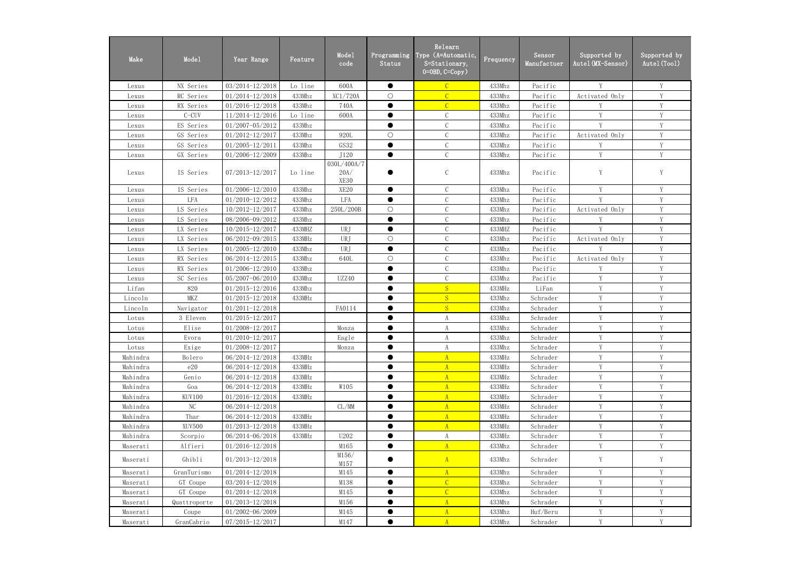| Make     | Mode1        | Year Range          | Feature | Mode1<br>code               | Programming<br>Status | Relearn<br>Type (A=Automatic,<br>S=Stationary,<br>$0=0$ BD, $C=Copy$ ) | Frequency | Sensor<br>Manufactuer | Supported by<br>Autel(MX–Sensor) | Supported by<br>Autel (Tool) |
|----------|--------------|---------------------|---------|-----------------------------|-----------------------|------------------------------------------------------------------------|-----------|-----------------------|----------------------------------|------------------------------|
| Lexus    | NX Series    | 03/2014-12/2018     | Lo line | 600A                        | $\bullet$             | $\overline{C}$                                                         | 433Mhz    | Pacific               | Y                                | Y                            |
| Lexus    | RC Series    | $01/2014 - 12/2018$ | 433Mhz  | XC1/720A                    | $\bigcirc$            | $\overline{C}$                                                         | 433Mhz    | Pacific               | Activated Only                   | Y                            |
| Lexus    | RX Series    | $01/2016 - 12/2018$ | 433Mhz  | 740A                        | $\bullet$             | $\mathcal{C}$                                                          | 433Mhz    | Pacific               | Y                                | Y                            |
| Lexus    | $C-CUV$      | 11/2014-12/2016     | Lo line | 600A                        | $\bullet$             | $\mathcal{C}$                                                          | 433Mhz    | Pacific               | Y                                | V                            |
| Lexus    | ES Series    | $01/2007 - 05/2012$ | 433Mhz  |                             | $\bullet$             | $\mathbf C$                                                            | 433Mhz    | Pacific               | Y                                | Y                            |
| Lexus    | GS Series    | 01/2012-12/2017     | 433Mhz  | 920L                        | $\bigcirc$            | $\mathcal{C}$                                                          | 433Mhz    | Pacific               | Activated Only                   | $\mathbf{V}$                 |
| Lexus    | GS Series    | $01/2005 - 12/2011$ | 433Mhz  | GS32                        | $\bullet$             | $\mathcal{C}$                                                          | 433Mhz    | Pacific               | Y                                | Y                            |
| Lexus    | GX Series    | 01/2006-12/2009     | 433Mhz  | J120                        | $\bullet$             | $\mathcal{C}$                                                          | 433Mhz    | Pacific               | Y                                | V                            |
| Lexus    | IS Series    | 07/2013-12/2017     | Lo line | 030L/400A/7<br>20A/<br>XE30 |                       | $\mathsf C$                                                            | 433Mhz    | Pacific               | Y                                | Y                            |
| Lexus    | IS Series    | $01/2006 - 12/2010$ | 433Mhz  | XE <sub>20</sub>            | $\bullet$             | $\mathcal{C}$                                                          | 433Mhz    | Pacific               | Y                                | Y                            |
| Lexus    | <b>LFA</b>   | $01/2010 - 12/2012$ | 433Mhz  | LFA                         | $\bullet$             | $\mathcal{C}$                                                          | 433Mhz    | Pacific               | Y                                | V                            |
| Lexus    | LS Series    | 10/2012-12/2017     | 433Mhz  | 250L/200B                   | $\bigcirc$            | $\mathbf C$                                                            | 433Mhz    | Pacific               | Activated Only                   | Y                            |
| Lexus    | LS Series    | 08/2006-09/2012     | 433Mhz  |                             | $\bullet$             | $\mathcal{C}$                                                          | 433Mhz    | Pacific               | Y                                | Y                            |
| Lexus    | LX Series    | 10/2015-12/2017     | 433MHZ  | URJ                         | $\bullet$             | $\mathcal{C}$                                                          | 433MHZ    | Pacific               | Y                                | Y                            |
| Lexus    | LX Series    | 06/2012-09/2015     | 433MHz  | URJ                         | $\bigcirc$            | $\mathcal{C}$                                                          | 433Mhz    | Pacific               | Activated Only                   | Y                            |
| Lexus    | LX Series    | $01/2005 - 12/2010$ | 433Mhz  | URJ                         | $\bullet$             | $\mathbf C$                                                            | 433Mhz    | Pacific               | V                                | V                            |
| Lexus    | RX Series    | 06/2014-12/2015     | 433Mhz  | 640L                        | $\bigcirc$            | $\mathbf C$                                                            | 433Mhz    | Pacific               | Activated Only                   | Y                            |
| Lexus    | RX Series    | $01/2006 - 12/2010$ | 433Mhz  |                             | $\bullet$             | $\mathcal{C}$                                                          | 433Mhz    | Pacific               | Y                                | $\mathbf{V}$                 |
| Lexus    | SC Series    | 05/2007-06/2010     | 433Mhz  | UZZ40                       | $\bullet$             | $\mathcal{C}$                                                          | 433Mhz    | Pacific               | Y                                | Y                            |
| Lifan    | 820          | $01/2015 - 12/2016$ | 433Mhz  |                             | $\bullet$             | S                                                                      | 433MHz    | LiFan                 | Y                                | V                            |
| Lincoln  | MKZ          | $01/2015 - 12/2018$ | 433MHz  |                             |                       | S                                                                      | 433Mhz    | Schrader              | Y                                | Y                            |
| Lincoln  | Navigator    | $01/2011 - 12/2018$ |         | FA0114                      | $\bullet$             | S                                                                      | 433Mhz    | Schrader              | Y                                | Y                            |
| Lotus    | 3 Eleven     | $01/2015 - 12/2017$ |         |                             | $\bullet$             | $\rm A$                                                                | 433Mhz    | Schrader              | Y                                | Y                            |
| Lotus    | Elise        | 01/2008-12/2017     |         | Monza                       | $\bullet$             | A                                                                      | 433Mhz    | Schrader              | Y                                | Y                            |
| Lotus    | Evora        | $01/2010 - 12/2017$ |         | Eagle                       |                       | A                                                                      | 433Mhz    | Schrader              | $\mathbf Y$                      | $\mathbf{V}$                 |
| Lotus    | Exige        | $01/2008 - 12/2017$ |         | Monza                       |                       | A                                                                      | 433Mhz    | Schrader              | V                                |                              |
| Mahindra | Bolero       | $06/2014 - 12/2018$ | 433MHz  |                             | ●                     | $\overline{A}$                                                         | 433MHz    | Schrader              | Y                                | $\mathbf{V}$                 |
| Mahindra | e20          | 06/2014-12/2018     | 433MHz  |                             |                       | A                                                                      | 433MHz    | Schrader              | Y                                | Y                            |
| Mahindra | Genio        | 06/2014-12/2018     | 433MHz  |                             | $\bullet$             | A                                                                      | 433MHz    | Schrader              | Y                                | Y                            |
| Mahindra | Goa          | 06/2014-12/2018     | 433MHz  | W105                        | $\bullet$             | A                                                                      | 433MHz    | Schrader              | Y                                | Y                            |
| Mahindra | KUV100       | $01/2016 - 12/2018$ | 433MHz  |                             | $\bullet$             | A                                                                      | 433MHz    | Schrader              | Y                                | Y                            |
| Mahindra | $\rm NC$     | 06/2014-12/2018     |         | CL/MM                       | $\bullet$             | $\overline{A}$                                                         | 433MHz    | Schrader              | Y                                | Y                            |
| Mahindra | Thar         | 06/2014-12/2018     | 433MHz  |                             | ●                     | A                                                                      | 433MHz    | Schrader              | Y                                | Y                            |
| Mahindra | XUV500       | $01/2013 - 12/2018$ | 433MHz  |                             |                       | A                                                                      | 433MHz    | Schrader              | Y                                | V                            |
| Mahindra | Scorpio      | 06/2014-06/2018     | 433MHz  | U202                        |                       | A                                                                      | 433MHz    | Schrader              | Y                                | V                            |
| Maserati | Alfieri      | $01/2016 - 12/2018$ |         | M165                        | $\bullet$             | A                                                                      | 433Mhz    | Schrader              | Y                                | V                            |
| Maserati | Ghibli       | $01/2013 - 12/2018$ |         | M156/<br>M157               |                       | A                                                                      | 433Mhz    | Schrader              | Y                                | Y                            |
| Maserati | GranTurismo  | $01/2014 - 12/2018$ |         | M145                        | ●                     | A                                                                      | 433Mhz    | Schrader              | Y                                | Y                            |
| Maserati | GT Coupe     | $03/2014 - 12/2018$ |         | M138                        | $\bullet$             | $\overline{C}$                                                         | 433Mhz    | Schrader              | Y                                | Y                            |
| Maserati | GT Coupe     | $01/2014 - 12/2018$ |         | M145                        |                       | $\overline{C}$                                                         | 433Mhz    | Schrader              | Y                                | Y                            |
| Maserati | Quattroporte | $01/2013 - 12/2018$ |         | M156                        | $\bullet$             | $\mathbf{A}$                                                           | 433Mhz    | Schrader              | Y                                | Y                            |
| Maserati | Coupe        | 01/2002-06/2009     |         | M145                        |                       | $\mathbf{A}$                                                           | 433Mhz    | Huf/Beru              | Y                                | Y                            |
| Maserati | GranCabrio   | 07/2015-12/2017     |         | M147                        | $\bullet$             | A                                                                      | 433Mhz    | Schrader              | Y                                | Y                            |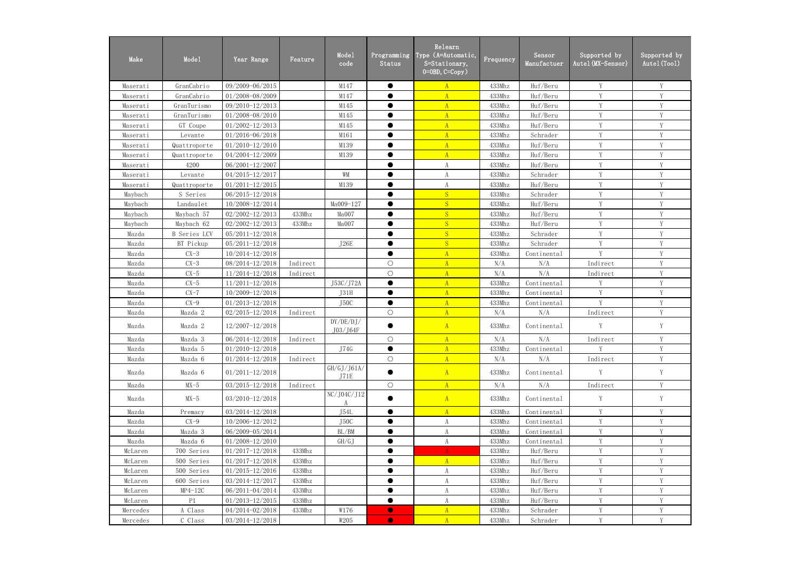| Make     | Mode1               | Year Range          | Feature  | Mode1<br>code         | Programming<br><b>Status</b> | Relearn<br>Type (A=Automatic,<br>S=Stationary,<br>$0=0$ BD, $C=Copy$ ) | Frequency | Sensor<br>Manufactuer | Supported by<br>Autel (MX-Sensor) | Supported by<br>Autel (Tool) |
|----------|---------------------|---------------------|----------|-----------------------|------------------------------|------------------------------------------------------------------------|-----------|-----------------------|-----------------------------------|------------------------------|
| Maserati | GranCabrio          | 09/2009-06/2015     |          | M147                  | $\bullet$                    | $\mathbf{A}$                                                           | 433Mhz    | Huf/Beru              | Y                                 | Y                            |
| Maserati | GranCabrio          | 01/2008-08/2009     |          | M147                  | $\bullet$                    | $\mathbf{A}$                                                           | 433Mhz    | Huf/Beru              | V                                 | Y                            |
| Maserati | GranTurismo         | 09/2010-12/2013     |          | M145                  | ●                            | $\mathbf{A}$                                                           | 433Mhz    | Huf/Beru              | Y                                 | Y                            |
| Maserati | GranTurismo         | 01/2008-08/2010     |          | M145                  | ●                            | $\mathbf{A}$                                                           | 433Mhz    | Huf/Beru              | $\mathbf{V}$                      | V                            |
| Maserati | GT Coupe            | $01/2002 - 12/2013$ |          | M145                  | ●                            | $\mathbf{A}$                                                           | 433Mhz    | Huf/Beru              | V                                 | V                            |
| Maserati | Levante             | 01/2016-06/2018     |          | M161                  | $\bullet$                    | $\mathbf{A}$                                                           | 433Mhz    | Schrader              | Y                                 | Y                            |
| Maserati | Quattroporte        | $01/2010 - 12/2010$ |          | M139                  |                              | $\mathbf{A}$                                                           | 433Mhz    | Huf/Beru              | Y                                 | Y                            |
| Maserati | Quattroporte        | 04/2004-12/2009     |          | M139                  | $\bullet$                    | $\overline{A}$                                                         | 433Mhz    | Huf/Beru              | Y                                 | Y                            |
| Maserati | 4200                | $06/2001 - 12/2007$ |          |                       |                              | A                                                                      | 433Mhz    | Huf/Beru              | Y                                 | Y                            |
| Maserati | Levante             | 04/2015-12/2017     |          | WM                    | $\bullet$                    | A                                                                      | 433Mhz    | Schrader              | Y                                 | Y                            |
| Maserati | Quattroporte        | $01/2011 - 12/2015$ |          | M139                  | ●                            | $\boldsymbol{\mathrm{A}}$                                              | 433Mhz    | Huf/Beru              | Y                                 | Y                            |
| Maybach  | S Series            | $06/2015 - 12/2018$ |          |                       | ●                            | S                                                                      | 433Mhz    | Schrader              | V                                 | Y                            |
| Maybach  | Landaulet           | 10/2008-12/2014     |          | Ma009-127             | ●                            | S                                                                      | 433Mhz    | Huf/Beru              | V                                 | V                            |
| Maybach  | Maybach 57          | $02/2002 - 12/2013$ | 433Mhz   | Ma007                 | $\bullet$                    | S                                                                      | 433Mhz    | Huf/Beru              | Y                                 | Y                            |
| Maybach  | Maybach 62          | $02/2002 - 12/2013$ | 433Mhz   | Ma007                 | $\bullet$                    | S                                                                      | 433Mhz    | Huf/Beru              | Y                                 | Y                            |
| Mazda    | <b>B</b> Series LCV | $05/2011 - 12/2018$ |          |                       |                              | S                                                                      | 433Mhz    | Schrader              | Y                                 | Y                            |
| Mazda    | BT Pickup           | 05/2011-12/2018     |          | J26E                  | $\bullet$                    | S                                                                      | 433Mhz    | Schrader              | Y                                 | Y                            |
| Mazda    | $CX-3$              | $10/2014 - 12/2018$ |          |                       | $\bullet$                    | $\overline{A}$                                                         | 433Mhz    | Continental           | Y                                 | Y                            |
| Mazda    | $CX-3$              | 08/2014-12/2018     | Indirect |                       | $\bigcirc$                   | $\mathbf{A}$                                                           | N/A       | N/A                   | Indirect                          | Y                            |
| Mazda    | $CX-5$              | 11/2014-12/2018     | Indirect |                       | $\bigcirc$                   | $\mathbf{A}$                                                           | N/A       | N/A                   | Indirect                          | V                            |
| Mazda    | $CX-5$              | $11/2011 - 12/2018$ |          | J53C/J72A             | $\bullet$                    | $\mathbf{A}$                                                           | 433Mhz    | Continental           | Y                                 | Y                            |
| Mazda    | $CX-7$              | 10/2009-12/2018     |          | J31H                  | ●                            | $\mathbf{A}$                                                           | 433Mhz    | Continental           | V                                 | V                            |
| Mazda    | $CX-9$              | $01/2013 - 12/2018$ |          | J <sub>50</sub> C     | $\bullet$                    | A                                                                      | 433Mhz    | Continental           | Y                                 | Y                            |
| Mazda    | Mazda 2             | $02/2015 - 12/2018$ | Indirect |                       | $\bigcirc$                   | $\mathbf{A}$                                                           | N/A       | N/A                   | Indirect                          | Y                            |
| Mazda    | Mazda 2             | 12/2007-12/2018     |          | DY/DE/DJ/<br>J03/J64F |                              | A                                                                      | 433Mhz    | Continental           | Y                                 | $\mathbf Y$                  |
| Mazda    | Mazda 3             | $06/2014 - 12/2018$ | Indirect |                       | O                            | A                                                                      | N/A       | N/A                   | Indirect                          |                              |
| Mazda    | Mazda 5             | $01/2010 - 12/2018$ |          | J74G                  | $\bullet$                    | A                                                                      | 433Mhz    | Continental           | V                                 | Y                            |
| Mazda    | Mazda 6             | $01/2014 - 12/2018$ | Indirect |                       | $\bigcirc$                   | $\overline{A}$                                                         | N/A       | N/A                   | Indirect                          | Y                            |
| Mazda    | Mazda 6             | $01/2011 - 12/2018$ |          | GH/GJ/J61A/<br>J71E   |                              | A                                                                      | 433Mhz    | Continental           | Y                                 | Y                            |
| Mazda    | $MX-5$              | 03/2015-12/2018     | Indirect |                       | $\bigcirc$                   | A                                                                      | N/A       | N/A                   | Indirect                          | $\mathbf Y$                  |
| Mazda    | $MX-5$              | $03/2010 - 12/2018$ |          | $\rm NC/J04C/J12$     | $\bullet$                    | A                                                                      | 433Mhz    | Continental           | Y                                 | Y                            |
| Mazda    | Premacy             | $03/2014 - 12/2018$ |          | J54L                  | $\bullet$                    | $\mathbf{A}$                                                           | 433Mhz    | Continental           | Y                                 | Y                            |
| Mazda    | $CX-9$              | 10/2006-12/2012     |          | J <sub>50</sub> C     | $\bullet$                    | A                                                                      | 433Mhz    | Continental           | Y                                 | Y                            |
| Mazda    | Mazda 3             | 06/2009-05/2014     |          | BL/BM                 |                              | A                                                                      | 433Mhz    | Continental           | Y                                 | Y                            |
| Mazda    | Mazda 6             | $01/2008 - 12/2010$ |          | GH/GJ                 | $\bullet$                    | A                                                                      | 433Mhz    | Continental           | Y                                 | Y                            |
| McLaren  | 700 Series          | $01/2017 - 12/2018$ | 433Mhz   |                       | $\bullet$                    | A                                                                      | 433Mhz    | Huf/Beru              | Y                                 | Y                            |
| McLaren  | 500 Series          | $01/2017 - 12/2018$ | 433Mhz   |                       | $\bullet$                    | A                                                                      | 433Mhz    | Huf/Beru              | Y                                 | Y                            |
| McLaren  | 500 Series          | $01/2015 - 12/2016$ | 433Mhz   |                       | $\bullet$                    | A                                                                      | 433Mhz    | Huf/Beru              | V                                 | V                            |
| McLaren  | 600 Series          | 03/2014-12/2017     | 433Mhz   |                       |                              | A                                                                      | 433Mhz    | Huf/Beru              | Y                                 | Y                            |
| McLaren  | $MP4-12C$           | 06/2011-04/2014     | 433Mhz   |                       | $\bullet$                    | A                                                                      | 433Mhz    | Huf/Beru              | Y                                 | Y                            |
| McLaren  | P1                  | $01/2013 - 12/2015$ | 433Mhz   |                       | $\bullet$                    | A                                                                      | 433Mhz    | Huf/Beru              | Y                                 | Y                            |
| Mercedes | A Class             | 04/2014-02/2018     | 433Mhz   | W176                  | $\bullet$                    | $\mathbf{A}$                                                           | 433Mhz    | Schrader              | Y                                 | Y                            |
| Mercedes | C Class             | $03/2014 - 12/2018$ |          | W205                  | $\bullet$                    | $\mathbf{A}$                                                           | 433Mhz    | Schrader              | Y                                 | Y                            |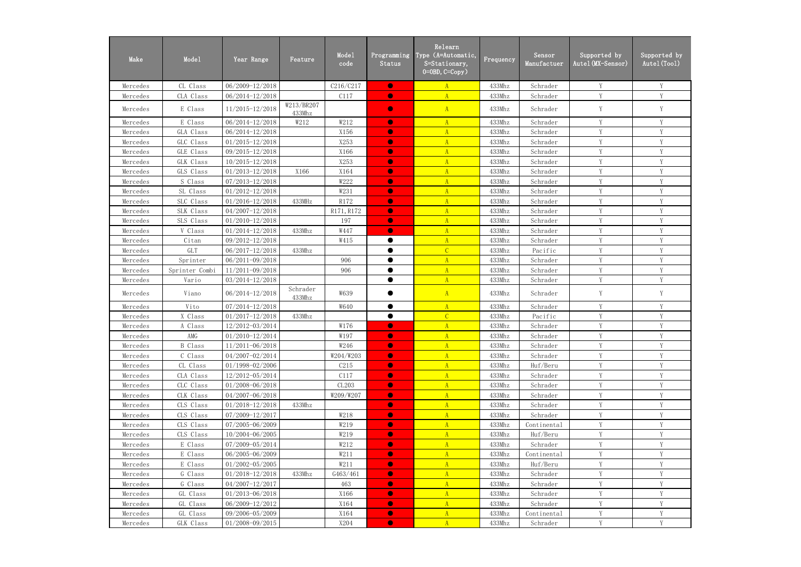| Make     | Mode1          | Year Range          | Feature              | Mode1<br>code | Programming<br>Status | Relearn<br>Type (A=Automatic,<br>S=Stationary,<br>$0=0$ BD, $C=Copy$ ) | Frequency | Sensor<br>Manufactuer | Supported by<br>Autel(MX-Sensor) | Supported by<br>Autel (Tool) |
|----------|----------------|---------------------|----------------------|---------------|-----------------------|------------------------------------------------------------------------|-----------|-----------------------|----------------------------------|------------------------------|
| Mercedes | CL Class       | 06/2009-12/2018     |                      | C216/C217     | $\bullet$             | A                                                                      | 433Mhz    | Schrader              | Y                                | Y                            |
| Mercedes | CLA Class      | 06/2014-12/2018     |                      | C117          | $\bullet$             | $\overline{A}$                                                         | 433Mhz    | Schrader              | Y                                | $\mathbf{V}$                 |
| Mercedes | E Class        | $11/2015 - 12/2018$ | W213/BR207<br>433Mhz |               | $\bullet$             | A                                                                      | 433Mhz    | Schrader              | Y                                | Y                            |
| Mercedes | E Class        | 06/2014-12/2018     | W212                 | W212          | $\bullet$             | $\mathbf{A}$                                                           | 433Mhz    | Schrader              | Y                                | Y                            |
| Mercedes | GLA Class      | 06/2014-12/2018     |                      | X156          | $\bullet$             | $\mathbf{A}$                                                           | 433Mhz    | Schrader              | Y                                | $\mathbf{V}$                 |
| Mercedes | GLC Class      | $01/2015 - 12/2018$ |                      | X253          | $\bullet$             | $\overline{A}$                                                         | 433Mhz    | Schrader              | Y                                | V                            |
| Mercedes | GLE Class      | 09/2015-12/2018     |                      | X166          | $\bullet$             | $\mathbf{A}$                                                           | 433Mhz    | Schrader              | Y                                | V                            |
| Mercedes | GLK Class      | 10/2015-12/2018     |                      | X253          | $\bullet$             | $\mathbf{A}$                                                           | 433Mhz    | Schrader              | Y                                | V                            |
| Mercedes | GLS Class      | $01/2013 - 12/2018$ | X166                 | X164          | $\bullet$             | $\mathbf{A}$                                                           | 433Mhz    | Schrader              | Y                                | Y                            |
| Mercedes | S Class        | 07/2013-12/2018     |                      | W222          | $\bullet$             | $\mathbf{A}$                                                           | 433Mhz    | Schrader              | Y                                | Y                            |
| Mercedes | SL Class       | $01/2012 - 12/2018$ |                      | W231          | $\bullet$             | A                                                                      | 433Mhz    | Schrader              | Y                                | Y                            |
| Mercedes | SLC Class      | $01/2016 - 12/2018$ | 433MHz               | R172          | $\bullet$             | $\overline{A}$                                                         | 433Mhz    | Schrader              | Y                                | Y                            |
| Mercedes | SLK Class      | 04/2007-12/2018     |                      | R171, R172    | $\bullet$             | A                                                                      | 433Mhz    | Schrader              | Y                                | Y                            |
| Mercedes | SLS Class      | $01/2010 - 12/2018$ |                      | 197           | $\bullet$             | $\mathbf{A}$                                                           | 433Mhz    | Schrader              | Y                                | $\mathbf{V}$                 |
| Mercedes | V Class        | $01/2014 - 12/2018$ | 433Mhz               | W447          | $\bullet$             | $\overline{A}$                                                         | 433Mhz    | Schrader              | Y                                | V                            |
| Mercedes | Citan          | 09/2012-12/2018     |                      | W415          | ●                     | A                                                                      | 433Mhz    | Schrader              | Y                                | V                            |
| Mercedes | <b>GLT</b>     | 06/2017-12/2018     | 433Mhz               |               |                       | $\overline{C}$                                                         | 433Mhz    | Pacific               | Y                                | V                            |
| Mercedes | Sprinter       | 06/2011-09/2018     |                      | 906           | $\bullet$             | $\mathbf{A}$                                                           | 433Mhz    | Schrader              | Y                                | Y                            |
| Mercedes | Sprinter Combi | 11/2011-09/2018     |                      | 906           | $\bullet$             | $\mathbf{A}$                                                           | 433Mhz    | Schrader              | Y                                | Y                            |
| Mercedes | Vario          | 03/2014-12/2018     |                      |               | $\bullet$             | A                                                                      | 433Mhz    | Schrader              | Y                                | Y                            |
| Mercedes | Viano          | 06/2014-12/2018     | Schrader<br>433Mhz   | W639          |                       | $\mathbf{A}$                                                           | 433Mhz    | Schrader              | $\mathbf Y$                      | Y                            |
| Mercedes | Vito           | 07/2014-12/2018     |                      | W640          | $\bullet$             | A                                                                      | 433Mhz    | Schrader              | Y                                | Y                            |
| Mercedes | X Class        | $01/2017 - 12/2018$ | 433Mhz               |               | $\bullet$             | $\mathcal{C}$                                                          | 433Mhz    | Pacific               | Y                                | Y                            |
| Mercedes | A Class        | 12/2012-03/2014     |                      | W176          | $\bullet$             | $\overline{A}$                                                         | 433Mhz    | Schrader              | Y                                | $\mathbf{V}$                 |
| Mercedes | AMG            | 01/2010-12/2014     |                      | W197          | $\bullet$             |                                                                        | 433Mhz    | Schrader              | V                                | V                            |
| Mercedes | <b>B</b> Class | $11/2011 - 06/2018$ |                      | W246          | $\bullet$             | A                                                                      | 433Mhz    | Schrader              | Y                                | V                            |
| Mercedes | C Class        | 04/2007-02/2014     |                      | W204/W203     | $\bullet$             | A                                                                      | 433Mhz    | Schrader              | Y                                | Y                            |
| Mercedes | CL Class       | 01/1998-02/2006     |                      | C215          | $\bullet$             | A                                                                      | 433Mhz    | Huf/Beru              | $\mathbf Y$                      | Y                            |
| Mercedes | CLA Class      | 12/2012-05/2014     |                      | C117          | $\bullet$             | A                                                                      | 433Mhz    | Schrader              | Y                                | Y                            |
| Mercedes | CLC Class      | $01/2008 - 06/2018$ |                      | CL203         | $\bullet$             | A                                                                      | 433Mhz    | Schrader              | Y                                | Y                            |
| Mercedes | CLK Class      | 04/2007-06/2018     |                      | W209/W207     | $\bullet$             | A                                                                      | 433Mhz    | Schrader              | Y                                | Y                            |
| Mercedes | CLS Class      | $01/2018 - 12/2018$ | 433Mhz               |               | $\bullet$             | A                                                                      | 433Mhz    | Schrader              | Y                                | Y                            |
| Mercedes | CLS Class      | 07/2009-12/2017     |                      | W218          | $\bullet$             | $\overline{A}$                                                         | 433Mhz    | Schrader              | Y                                | V                            |
| Mercedes | CLS Class      | 07/2005-06/2009     |                      | W219          | $\bullet$             | A                                                                      | 433Mhz    | Continental           | Y                                | Y                            |
| Mercedes | CLS Class      | 10/2004-06/2005     |                      | W219          | $\bullet$             | A                                                                      | 433Mhz    | Huf/Beru              | Y                                | V                            |
| Mercedes | E Class        | 07/2009-05/2014     |                      | W212          | $\bullet$             | A                                                                      | 433Mhz    | Schrader              | Y                                | Y                            |
| Mercedes | E Class        | 06/2005-06/2009     |                      | W211          | $\bullet$             | A                                                                      | 433Mhz    | Continental           | $\mathbf Y$                      | Y                            |
| Mercedes | E Class        | $01/2002 - 05/2005$ |                      | W211          | $\bullet$             | A                                                                      | 433Mhz    | Huf/Beru              | Y                                | Y                            |
| Mercedes | G Class        | 01/2018-12/2018     | 433Mhz               | G463/461      | $\bullet$             | A                                                                      | 433Mhz    | Schrader              | Y                                | Y                            |
| Mercedes | G Class        | 04/2007-12/2017     |                      | 463           | $\bullet$             | A                                                                      | 433Mhz    | Schrader              | Y                                | Y                            |
| Mercedes | GL Class       | $01/2013 - 06/2018$ |                      | X166          | $\bullet$             | A                                                                      | 433Mhz    | Schrader              | Y                                | Y                            |
| Mercedes | GL Class       | 06/2009-12/2012     |                      | X164          | $\bullet$             | A                                                                      | 433Mhz    | Schrader              | Y                                | V                            |
| Mercedes | GL Class       | 09/2006-05/2009     |                      | X164          | $\bullet$             | A                                                                      | 433Mhz    | Continental           |                                  |                              |
| Mercedes | GLK Class      | 01/2008-09/2015     |                      | X204          | $\bullet$             | A                                                                      | 433Mhz    | Schrader              | $\mathbf Y$                      | Y                            |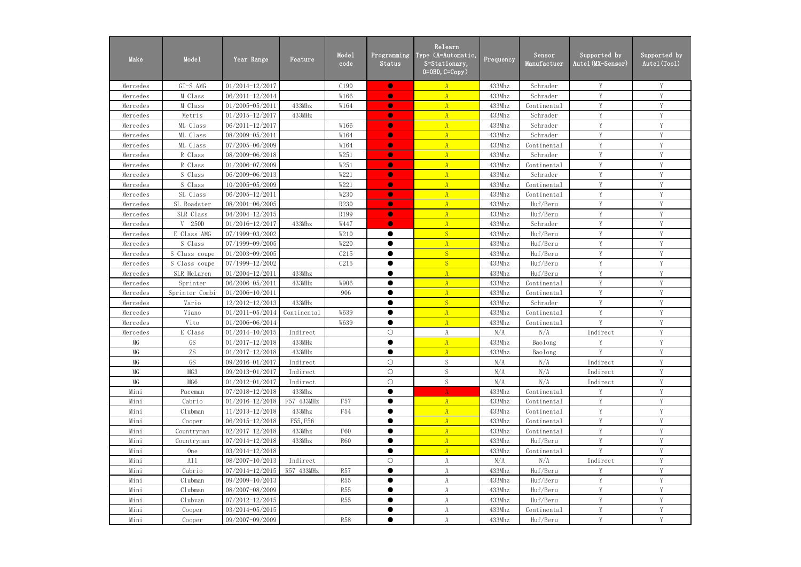| Make     | Mode1          | Year Range          | Feature     | Mode1<br>code | Programming<br>Status | Relearn<br>Type (A=Automatic,<br>S=Stationary,<br>$0 = 0$ BD, $C = Copy$ ) | Frequency | Sensor<br>Manufactuer | Supported by<br>Autel (MX-Sensor) | Supported by<br>Autel (Tool) |
|----------|----------------|---------------------|-------------|---------------|-----------------------|----------------------------------------------------------------------------|-----------|-----------------------|-----------------------------------|------------------------------|
| Mercedes | GT-S AMG       | $01/2014 - 12/2017$ |             | C190          | $\bullet$             | $\overline{A}$                                                             | 433Mhz    | Schrader              | Y                                 | Y                            |
| Mercedes | M Class        | 06/2011-12/2014     |             | W166          | $\bullet$             | $\overline{A}$                                                             | 433Mhz    | Schrader              | V                                 | Y                            |
| Mercedes | M Class        | $01/2005 - 05/2011$ | 433Mhz      | W164          | $\bullet$             | $\mathbf{A}$                                                               | 433Mhz    | Continental           | V                                 | Y                            |
| Mercedes | Metris         | $01/2015 - 12/2017$ | 433MHz      |               | $\bullet$             | $\mathbf{A}$                                                               | 433Mhz    | Schrader              | $\mathbf{V}$                      | V                            |
| Mercedes | ML Class       | $06/2011 - 12/2017$ |             | W166          | $\bullet$             | A                                                                          | 433Mhz    | Schrader              | V                                 | V                            |
| Mercedes | ML Class       | 08/2009-05/2011     |             | W164          | $\bullet$             | $\overline{A}$                                                             | 433Mhz    | Schrader              | Y                                 | Y                            |
| Mercedes | ML Class       | 07/2005-06/2009     |             | W164          | $\bullet$             | $\mathbf{A}$                                                               | 433Mhz    | Continental           | Y                                 | Y                            |
| Mercedes | R Class        | 08/2009-06/2018     |             | W251          | $\bullet$             | $\mathbf{A}$                                                               | 433Mhz    | Schrader              | Y                                 | Y                            |
| Mercedes | R Class        | 01/2006-07/2009     |             | W251          | $\bullet$             | $\mathbf{A}$                                                               | 433Mhz    | Continental           | Y                                 | Y                            |
| Mercedes | S Class        | 06/2009-06/2013     |             | W221          | $\bullet$             | $\Lambda$                                                                  | 433Mhz    | Schrader              | Y                                 | Y                            |
| Mercedes | S Class        | 10/2005-05/2009     |             | W221          | $\bullet$             | $\Lambda$                                                                  | 433Mhz    | Continental           | V                                 | Y                            |
| Mercedes | SL Class       | 06/2005-12/2011     |             | W230          | $\bullet$             | $\mathbf{A}$                                                               | 433Mhz    | Continental           | V                                 | Y                            |
| Mercedes | SL Roadster    | 08/2001-06/2005     |             | R230          | $\bullet$             | $\mathbf{A}$                                                               | 433Mhz    | Huf/Beru              | V                                 | V                            |
| Mercedes | SLR Class      | $04/2004 - 12/2015$ |             | R199          | $\bullet$             | A                                                                          | 433Mhz    | Huf/Beru              | Y                                 | Y                            |
| Mercedes | 250D<br>V      | $01/2016 - 12/2017$ | 433Mhz      | W447          | $\bullet$             | $\mathbf{A}$                                                               | 433Mhz    | Schrader              | Y                                 | Y                            |
| Mercedes | E Class AMG    | 07/1999-03/2002     |             | W210          | $\bullet$             | S                                                                          | 433Mhz    | Huf/Beru              | V                                 | Y                            |
| Mercedes | S Class        | 07/1999-09/2005     |             | W220          | $\bullet$             | $\mathbf{A}$                                                               | 433Mhz    | Huf/Beru              | Y                                 | Y                            |
| Mercedes | S Class coupe  | 01/2003-09/2005     |             | C215          | $\bullet$             | S                                                                          | 433Mhz    | Huf/Beru              | Y                                 | Y                            |
| Mercedes | S Class coupe  | 07/1999-12/2002     |             | C215          | $\bullet$             | S                                                                          | 433Mhz    | Huf/Beru              | Y                                 | Y                            |
| Mercedes | SLR McLaren    | $01/2004 - 12/2011$ | 433Mhz      |               | $\bullet$             | $\Lambda$                                                                  | 433Mhz    | Huf/Beru              | V                                 | V                            |
| Mercedes | Sprinter       | 06/2006-05/2011     | 433MHz      | W906          | $\bullet$             | $\mathbf{A}$                                                               | 433Mhz    | Continental           | V                                 | Y                            |
| Mercedes | Sprinter Combi | $01/2006 - 10/2011$ |             | 906           | ●                     | $\mathbf{A}$                                                               | 433Mhz    | Continental           | V                                 | V                            |
| Mercedes | Vario          | 12/2012-12/2013     | 433MHz      |               | $\bullet$             | S                                                                          | 433Mhz    | Schrader              | Y                                 | Y                            |
| Mercedes | Viano          | $01/2011 - 05/2014$ | Continental | W639          | $\bullet$             | $\Lambda$                                                                  | 433Mhz    | Continental           | Y                                 | Y                            |
| Mercedes | Vito           | 01/2006-06/2014     |             | W639          | $\bullet$             | $\mathbf{A}$                                                               | 433Mhz    | Continental           | Y                                 | Y                            |
| Mercedes | E Class        | $01/2014 - 10/2015$ | Indirect    |               | $\bigcirc$            | A                                                                          | N/A       | N/A                   | Indirect                          | Y                            |
| MG       | GS             | $01/2017 - 12/2018$ | 433MHz      |               |                       | A                                                                          | 433Mhz    | Baolong               | Y                                 | Y                            |
| $MG$     | ZS             | $01/2017 - 12/2018$ | 433MHz      |               | $\bullet$             | A                                                                          | 433Mhz    | Baolong               | Y                                 | Y                            |
| $\rm MG$ | GS             | 09/2016-01/2017     | Indirect    |               | $\bigcirc$            | ${\mathcal S}$                                                             | N/A       | N/A                   | Indirect                          | Y                            |
| $MG$     | MG3            | 09/2013-01/2017     | Indirect    |               | $\bigcirc$            | ${\mathcal S}$                                                             | N/A       | N/A                   | Indirect                          | Y                            |
| MG       | MG6            | $01/2012 - 01/2017$ | Indirect    |               | $\bigcirc$            | S                                                                          | N/A       | N/A                   | Indirect                          | Y                            |
| Mini     | Paceman        | 07/2018-12/2018     | 433Mhz      |               |                       | A                                                                          | 433Mhz    | Continental           | Y                                 | Y                            |
| Mini     | Cabrio         | $01/2016 - 12/2018$ | F57 433MHz  | <b>F57</b>    | $\bullet$             | A                                                                          | 433Mhz    | Continental           | Y                                 | Y                            |
| Mini     | Clubman        | 11/2013-12/2018     | 433Mhz      | F54           | $\bullet$             | $\mathbf{A}$                                                               | 433Mhz    | Continental           | Y                                 | Y                            |
| Mini     | Cooper         | 06/2015-12/2018     | F55, F56    |               | $\bullet$             | A                                                                          | 433Mhz    | Continental           | Y                                 | Y                            |
| Mini     | Countryman     | $02/2017 - 12/2018$ | 433Mhz      | F60           | $\bullet$             | A                                                                          | 433Mhz    | Continental           | Y                                 | Y                            |
| Mini     | Countryman     | 07/2014-12/2018     | 433Mhz      | <b>R60</b>    | $\bullet$             | A                                                                          | 433Mhz    | Huf/Beru              | Y                                 | Y                            |
| Mini     | <b>One</b>     | 03/2014-12/2018     |             |               | $\bullet$             | A                                                                          | 433Mhz    | Continental           | V                                 | Y                            |
| Mini     | A11            | $08/2007 - 10/2013$ | Indirect    |               | $\bigcirc$            | A                                                                          | N/A       | N/A                   | Indirect                          | Y                            |
| Mini     | Cabrio         | $07/2014 - 12/2015$ | R57 433MHz  | <b>R57</b>    | $\bullet$             | $\mathbf{A}$                                                               | 433Mhz    | Huf/Beru              | Y                                 | Y                            |
| Mini     | Clubman        | 09/2009-10/2013     |             | <b>R55</b>    |                       | A                                                                          | 433Mhz    | Huf/Beru              | Y                                 | Y                            |
| Mini     | Clubman        | 08/2007-08/2009     |             | <b>R55</b>    | $\bullet$             | A                                                                          | 433Mhz    | Huf/Beru              | Y                                 | Y                            |
| Mini     | Clubvan        | 07/2012-12/2015     |             | <b>R55</b>    | $\bullet$             | A                                                                          | 433Mhz    | Huf/Beru              | Y                                 | $\mathbf Y$                  |
| Mini     | Cooper         | $03/2014 - 05/2015$ |             |               | $\bullet$             | A                                                                          | 433Mhz    | Continental           | Y                                 | Y                            |
| Mini     | Cooper         | 09/2007-09/2009     |             | <b>R58</b>    | $\bullet$             | A                                                                          | 433Mhz    | Huf/Beru              | Y                                 | Y                            |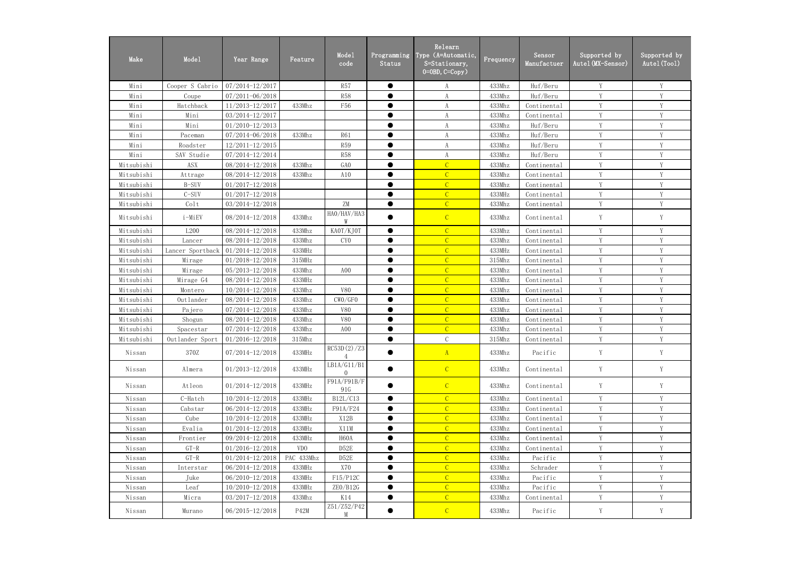| Make       | Mode1                           | Year Range          | Feature         | Mode1<br>code                | Programming<br>Status | Relearn<br>Type (A=Automatic,<br>S=Stationary,<br>$0=0BD, C=Copy$ ) | Frequency | Sensor<br>Manufactuer | Supported by<br>Autel (MX-Sensor) | Supported by<br>Autel (Tool) |
|------------|---------------------------------|---------------------|-----------------|------------------------------|-----------------------|---------------------------------------------------------------------|-----------|-----------------------|-----------------------------------|------------------------------|
| Mini       | Cooper S Cabrio                 | 07/2014-12/2017     |                 | <b>R57</b>                   | $\bullet$             | A                                                                   | 433Mhz    | Huf/Beru              | Y                                 | Y                            |
| Mini       | Coupe                           | $07/2011 - 06/2018$ |                 | <b>R58</b>                   | $\bullet$             | A                                                                   | 433Mhz    | Huf/Beru              | Y                                 | Y                            |
| Mini       | Hatchback                       | 11/2013-12/2017     | 433Mhz          | F56                          | $\bullet$             | A                                                                   | 433Mhz    | Continental           | Y                                 | Y                            |
| Mini       | Mini                            | 03/2014-12/2017     |                 |                              | ●                     | A                                                                   | 433Mhz    | Continental           | $\mathbf{V}$                      | V                            |
| Mini       | Mini                            | $01/2010 - 12/2013$ |                 |                              | ●                     | A                                                                   | 433Mhz    | Huf/Beru              | Y                                 | V                            |
| Mini       | Paceman                         | 07/2014-06/2018     | 433Mhz          | <b>R61</b>                   | $\bullet$             | A                                                                   | 433Mhz    | Huf/Beru              | Y                                 | Y                            |
| Mini       | Roadster                        | 12/2011-12/2015     |                 | <b>R59</b>                   |                       | A                                                                   | 433Mhz    | Huf/Beru              | Y                                 | Y                            |
| Mini       | SAV Studie                      | 07/2014-12/2014     |                 | <b>R58</b>                   | $\bullet$             | A                                                                   | 433Mhz    | Huf/Beru              | Y                                 | Y                            |
| Mitsubishi | <b>ASX</b>                      | 08/2014-12/2018     | 433Mhz          | GA <sub>0</sub>              | ●                     | $\overline{C}$                                                      | 433Mhz    | Continental           | Y                                 | Y                            |
| Mitsubishi | Attrage                         | 08/2014-12/2018     | 433Mhz          | A10                          | $\bullet$             | $\overline{C}$                                                      | 433Mhz    | Continental           | Y                                 | Y                            |
| Mitsubishi | B-SUV                           | $01/2017 - 12/2018$ |                 |                              | ●                     | $\overline{C}$                                                      | 433Mhz    | Continental           | Y                                 | Y                            |
| Mitsubishi | $C-SUV$                         | $01/2017 - 12/2018$ |                 |                              | ●                     | $\overline{C}$                                                      | 433MHz    | Continental           | Y                                 | Y                            |
| Mitsubishi | Colt                            | 03/2014-12/2018     |                 | $\rm ZM$                     | $\bullet$             | $\overline{C}$                                                      | 433Mhz    | Continental           | V                                 | V                            |
| Mitsubishi | i-MiEV                          | 08/2014-12/2018     | 433Mhz          | HAO/HAV/HA3<br>W             |                       | $\mathcal{C}$                                                       | 433Mhz    | Continental           | Y                                 | Y                            |
| Mitsubishi | L200                            | 08/2014-12/2018     | 433Mhz          | KAOT/KJOT                    | $\bullet$             | $\overline{C}$                                                      | 433Mhz    | Continental           | Y                                 | Y                            |
| Mitsubishi | Lancer                          | 08/2014-12/2018     | 433Mhz          | CY <sub>0</sub>              | ●                     | $\overline{C}$                                                      | 433Mhz    | Continental           | V                                 | $\mathbf{V}$                 |
| Mitsubishi | Lancer Sportback                | $01/2014 - 12/2018$ | 433MHz          |                              | ●                     | $\overline{C}$                                                      | 433MHz    | Continental           | Y                                 | Y                            |
| Mitsubishi | Mirage                          | $01/2018 - 12/2018$ | 315MHz          |                              | $\bullet$             | $\overline{C}$                                                      | 315Mhz    | Continental           | Y                                 | Y                            |
| Mitsubishi | Mirage                          | 05/2013-12/2018     | 433Mhz          | A <sub>0</sub>               | $\bullet$             | $\overline{C}$                                                      | 433Mhz    | Continental           | Y                                 | Y                            |
| Mitsubishi | Mirage G4                       | 08/2014-12/2018     | 433MHz          |                              | ●                     | $\overline{C}$                                                      | 433Mhz    | Continental           | Y                                 | Y                            |
| Mitsubishi | Montero                         | $10/2014 - 12/2018$ | 433Mhz          | <b>V80</b>                   | ●                     | $\overline{C}$                                                      | 433Mhz    | Continental           | Y                                 | Y                            |
| Mitsubishi | Outlander                       | 08/2014-12/2018     | 433Mhz          | CWO/GFO                      | $\bullet$             | $\overline{C}$                                                      | 433Mhz    | Continental           | Y                                 | Y                            |
| Mitsubishi | Pajero                          | 07/2014-12/2018     | 433Mhz          | <b>V80</b>                   | $\bullet$             | $\overline{C}$                                                      | 433Mhz    | Continental           | Y                                 | Y                            |
| Mitsubishi | Shogun                          | 08/2014-12/2018     | 433Mhz          | <b>V80</b>                   | $\bullet$             | $\overline{C}$                                                      | 433Mhz    | Continental           | V                                 | V                            |
| Mitsubishi | Spacestar                       | 07/2014-12/2018     | 433Mhz          | A <sub>0</sub>               | ●                     | $\overline{C}$                                                      | 433Mhz    | Continental           | Y                                 | Y                            |
| Mitsubishi | Outlander Sport 01/2016-12/2018 |                     | 315Mhz          |                              |                       | C                                                                   | 315Mhz    | Continental           |                                   |                              |
| Nissan     | 370Z                            | $07/2014 - 12/2018$ | 433MHz          | RC53D(2)/Z3                  |                       | A                                                                   | 433Mhz    | Pacific               | Y                                 | Y                            |
| Nissan     | Almera                          | $01/2013 - 12/2018$ | 433MHz          | LBA/G11/B1<br>$\overline{0}$ | $\bullet$             | $\mathcal{C}$                                                       | 433Mhz    | Continental           | Y                                 | Y                            |
| Nissan     | Atleon                          | $01/2014 - 12/2018$ | 433MHz          | F91A/F91B/F<br>91G           | $\bullet$             | $\mathcal{C}$                                                       | 433Mhz    | Continental           | Y                                 | Y                            |
| Nissan     | C-Hatch                         | $10/2014 - 12/2018$ | 433MHz          | B12L/C13                     | $\bullet$             | $\mathcal{C}$                                                       | 433Mhz    | Continental           | Y                                 | Y                            |
| Nissan     | Cabstar                         | $06/2014 - 12/2018$ | 433MHz          | F91A/F24                     |                       | $\mathcal{C}$                                                       | 433Mhz    | Continental           | Y                                 | Y                            |
| Nissan     | Cube                            | 10/2014-12/2018     | 433MHz          | X12B                         | $\bullet$             | $\mathcal{C}$                                                       | 433Mhz    | Continental           | Y                                 | Y                            |
| Nissan     | Evalia                          | $01/2014 - 12/2018$ | 433MHz          | X11M                         | ●                     | $\overline{C}$                                                      | 433Mhz    | Continental           | Y                                 | Y                            |
| Nissan     | Frontier                        | 09/2014-12/2018     | 433MHz          | H <sub>60</sub> A            | $\bullet$             | $\mathcal{C}$                                                       | 433Mhz    | Continental           | Y                                 | Y                            |
| Nissan     | $GT-R$                          | $01/2016 - 12/2018$ | VD <sub>0</sub> | D52E                         |                       | $\overline{C}$                                                      | 433Mhz    | Continental           | Y                                 | Y                            |
| Nissan     | $GT-R$                          | $01/2014 - 12/2018$ | PAC 433Mhz      | D52E                         | $\bullet$             | $\overline{C}$                                                      | 433Mhz    | Pacific               | Y                                 | Y                            |
| Nissan     | Interstar                       | 06/2014-12/2018     | 433MHz          | X70                          |                       | $\overline{C}$                                                      | 433Mhz    | Schrader              | Y                                 | Y                            |
| Nissan     | Juke                            | $06/2010 - 12/2018$ | 433MHz          | F15/P12C                     | $\bullet$             | $\overline{C}$                                                      | 433Mhz    | Pacific               | Y                                 | Y                            |
| Nissan     | Leaf                            | $10/2010 - 12/2018$ | 433MHz          | ZEO/B12G                     | $\bullet$             | $\overline{C}$                                                      | 433Mhz    | Pacific               | Y                                 | Y                            |
| Nissan     | Micra                           | $03/2017 - 12/2018$ | 433Mhz          | K14                          | $\bullet$             | $\mathcal{C}$                                                       | 433Mhz    | Continental           | Y                                 | Y                            |
| Nissan     | Murano                          | 06/2015-12/2018     | P42M            | Z51/Z52/P42<br>M             | $\bullet$             | $\mathcal{C}$                                                       | 433Mhz    | Pacific               | Y                                 | Y                            |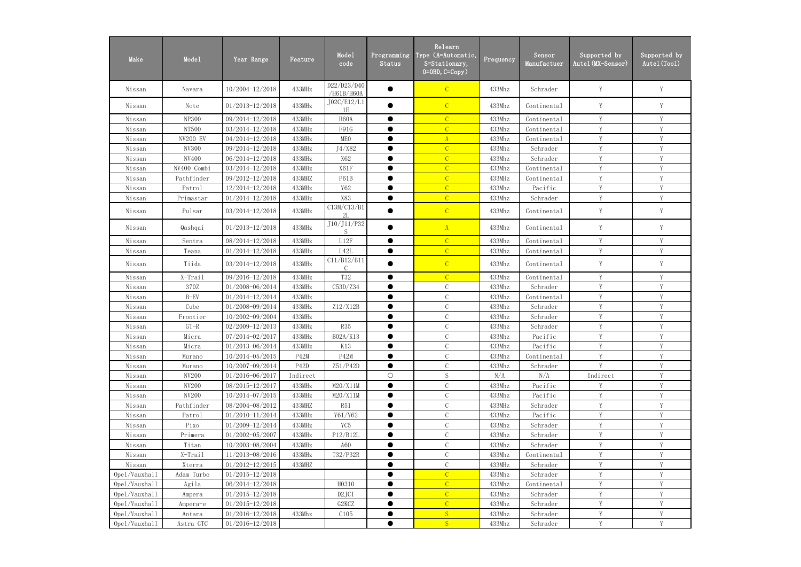| Make          | Mode1        | Year Range          | Feature           | Mode1<br>code                  | Programming<br>Status | Relearn<br>Type (A=Automatic,<br>S=Stationary,<br>$0=0$ BD, $C=Copy$ ) | Frequency | Sensor<br>Manufactuer | Supported by<br>Autel(MX-Sensor) | Supported by<br>Autel (Tool) |
|---------------|--------------|---------------------|-------------------|--------------------------------|-----------------------|------------------------------------------------------------------------|-----------|-----------------------|----------------------------------|------------------------------|
| Nissan        | Navara       | $10/2004 - 12/2018$ | 433MHz            | D22/D23/D40<br>/H61B/H60A      |                       | $\mathcal{C}$                                                          | 433Mhz    | Schrader              | Y                                | Y                            |
| Nissan        | Note         | $01/2013 - 12/2018$ | 433MHz            | J02C/E12/L1<br>1E              |                       | $\mathcal{C}$                                                          | 433Mhz    | Continental           | Y                                | Y                            |
| Nissan        | <b>NP300</b> | 09/2014-12/2018     | 433MHz            | H <sub>60</sub> A              | $\bullet$             | $\mathcal{C}$                                                          | 433Mhz    | Continental           | Y                                | Y                            |
| Nissan        | NT500        | 03/2014-12/2018     | 433MHz            | F91G                           |                       | $\overline{C}$                                                         | 433Mhz    | Continental           | Y                                | Y                            |
| Nissan        | NV200 EV     | 04/2014-12/2018     | 433MHz            | MEO                            | $\bullet$             | $\mathbf{A}$                                                           | 433Mhz    | Continental           | Y                                | Y                            |
| Nissan        | NV300        | 09/2014-12/2018     | 433MHz            | J4/X82                         |                       | $\overline{C}$                                                         | 433Mhz    | Schrader              | Y                                | Y                            |
| Nissan        | NV400        | 06/2014-12/2018     | 433MHz            | X62                            | $\bullet$             | $\overline{C}$                                                         | 433Mhz    | Schrader              | Y                                | Y                            |
| Nissan        | NV400 Combi  | 03/2014-12/2018     | 433MHz            | X61F                           | ●                     | $\overline{C}$                                                         | 433Mhz    | Continental           | Y                                | $\mathbf{V}$                 |
| Nissan        | Pathfinder   | 09/2012-12/2018     | 433MHZ            | P61B                           | ●                     | $\overline{C}$                                                         | 433MHz    | Continental           | Y                                | Y                            |
| Nissan        | Patrol       | 12/2014-12/2018     | 433MHz            | Y62                            | ●                     | $\overline{C}$                                                         | 433Mhz    | Pacific               | Y                                | $\mathbf{V}$                 |
| Nissan        | Primastar    | 01/2014-12/2018     | 433MHz            | X83                            | $\bullet$             | $\overline{C}$                                                         | 433Mhz    | Schrader              | Y                                | V                            |
| Nissan        | Pulsar       | 03/2014-12/2018     | 433MHz            | C13M/C13/B1<br>2L              |                       | $\mathcal{C}$                                                          | 433Mhz    | Continental           | Y                                | Y                            |
| Nissan        | Qashqai      | $01/2013 - 12/2018$ | 433MHz            | J10/J11/P32<br>S               | $\bullet$             | $\mathbf{A}$                                                           | 433Mhz    | Continental           | Y                                | Y                            |
| Nissan        | Sentra       | 08/2014-12/2018     | 433MHz            | $_{\rm L12F}$                  | $\bullet$             | $\mathcal{C}$                                                          | 433Mhz    | Continental           | Y                                | V                            |
| Nissan        | Teana        | $01/2014 - 12/2018$ | 433MHz            | L42L                           | $\bullet$             | $\mathcal{C}$                                                          | 433Mhz    | Continental           | Y                                | Y                            |
| Nissan        | Tiida        | 03/2014-12/2018     | 433MHz            | C11/B12/B11                    |                       | $\overline{C}$                                                         | 433Mhz    | Continental           | Y                                | Y                            |
| Nissan        | X-Trail      | 09/2016-12/2018     | 433MHz            | T32                            | ●                     | $\overline{C}$                                                         | 433Mhz    | Continental           | Y                                | V                            |
| Nissan        | 370Z         | 01/2008-06/2014     | 433MHz            | C53D/Z34                       | $\bullet$             | $\mathcal{C}$                                                          | 433Mhz    | Schrader              | Y                                | V                            |
| Nissan        | $B-FV$       | 01/2014-12/2014     | 433MHz            |                                |                       | $\mathcal{C}$                                                          | 433Mhz    | Continental           | Y                                | $\mathbf{V}$                 |
| Nissan        | Cube         | 01/2008-09/2014     | 433MHz            | Z12/X12B                       | $\bullet$             | $\mathcal{C}$                                                          | 433Mhz    | Schrader              | Y                                | V                            |
| Nissan        | Frontier     | 10/2002-09/2004     | 433MHz            |                                | $\bullet$             | $\mathcal{C}$                                                          | 433Mhz    | Schrader              | Y                                | Y                            |
| Nissan        | $GT-R$       | 02/2009-12/2013     | 433MHz            | R35                            |                       | $\mathbf C$                                                            | 433Mhz    | Schrader              | Y                                | Y                            |
| Nissan        | Micra        | 07/2014-02/2017     | 433MHz            | B02A/K13                       |                       | $\mathcal{C}$                                                          | 433Mhz    | Pacific               | Y                                | Y                            |
| Nissan        | Micra        | 01/2013-06/2014     | 433MHz            | K13                            | $\bullet$             | $\mathcal{C}$                                                          | 433Mhz    | Pacific               | Y                                | Y                            |
| Nissan        | Murano       | $10/2014 - 05/2015$ | P42M              | P42M                           | $\bullet$             | $\mathcal{C}$                                                          | 433Mhz    | Continental           | Y                                | Y                            |
| Nissan        | Murano       | 10/2007-09/2014     | P <sub>42</sub> D | Z51/P42D                       | $\bullet$             | $\mathbf C$                                                            | 433Mhz    | Schrader              | V                                | $\mathbf{V}$                 |
| Nissan        | NV200        | $01/2016 - 06/2017$ | Indirect          |                                | $\bigcirc$            | $\mathbf S$                                                            | N/A       | N/A                   | Indirect                         |                              |
| Nissan        | NV200        | 08/2015-12/2017     | 433MHz            | M20/X11M                       | $\bullet$             | $\mathcal{C}$                                                          | 433Mhz    | Pacific               | Y                                | V                            |
| Nissan        | NV200        | $10/2014 - 07/2015$ | 433MHz            | M20/X11M                       |                       | $\mathcal{C}$                                                          | 433Mhz    | Pacific               | Y                                | Y                            |
| Nissan        | Pathfinder   | 08/2004-08/2012     | 433MHZ            | R51                            | $\bullet$             | $\mathcal{C}$                                                          | 433MHz    | Schrader              | Y                                | Y                            |
| Nissan        | Patrol       | $01/2010 - 11/2014$ | 433MHz            | Y61/Y62                        |                       | $\mathcal C$                                                           | 433Mhz    | Pacific               | Y                                | Y                            |
| Nissan        | Pixo         | 01/2009-12/2014     | 433MHz            | YC <sub>5</sub>                | $\bullet$             | $\mathcal{C}$                                                          | 433Mhz    | Schrader              | Y                                | Y                            |
| Nissan        | Primera      | $01/2002 - 05/2007$ | 433MHz            | P12/B12L                       |                       | $\mathsf C$                                                            | 433Mhz    | Schrader              | Y                                | Y                            |
| Nissan        | Titan        | 10/2003-08/2004     | 433MHz            | A60                            | ●                     | $\mathsf C$                                                            | 433Mhz    | Schrader              | Y                                | Y                            |
| Nissan        | X-Trail      | 11/2013-08/2016     | 433MHz            | T32/P32R                       |                       | $\mathbf C$                                                            | 433Mhz    | Continental           | Y                                | V                            |
| Nissan        | Xterra       | $01/2012 - 12/2015$ | 433MHZ            |                                |                       | $\mathbf C$                                                            | 433MHz    | Schrader              | Y                                | Y                            |
| Opel/Vauxhall | Adam Turbo   | $01/2015 - 12/2018$ |                   |                                | $\bullet$             | $\overline{C}$                                                         | 433Mhz    | Schrader              | Y                                | V                            |
| 0pe1/Vauxhall | Agila        | 06/2014-12/2018     |                   | H0310                          |                       | $\overline{C}$                                                         | 433Mhz    | Continental           | Y                                | Y                            |
| Opel/Vauxhall | Ampera       | $01/2015 - 12/2018$ |                   | D <sub>2</sub> JCI             | $\bullet$             | $\overline{C}$                                                         | 433Mhz    | Schrader              | Y                                | Y                            |
| Opel/Vauxhall | Ampera-e     | $01/2015 - 12/2018$ |                   | G <sub>2</sub> KC <sub>Z</sub> |                       | $\overline{C}$                                                         | 433Mhz    | Schrader              | Y                                | Y                            |
| Opel/Vauxhall | Antara       | $01/2016 - 12/2018$ | 433Mhz            | C105                           | $\bullet$             | S                                                                      | 433Mhz    | Schrader              | Y                                | Y                            |
| Opel/Vauxhall | Astra GTC    | $01/2016 - 12/2018$ |                   |                                | $\bullet$             | S                                                                      | 433Mhz    | Schrader              | Y                                | Y                            |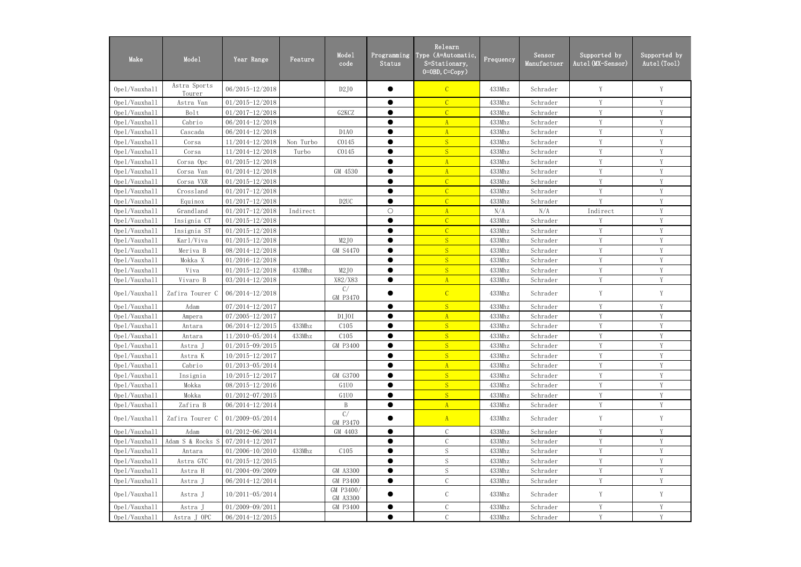| Make          | Mode1                  | Year Range          | Feature   | Mode1<br>code                  | Programming<br>Status | Relearn<br>Type (A=Automatic,<br>S=Stationary,<br>$0=0BD, C=Copy$ ) | Frequency | Sensor<br>Manufactuer | Supported by<br>Autel (MX-Sensor) | Supported by<br>Autel (Tool) |
|---------------|------------------------|---------------------|-----------|--------------------------------|-----------------------|---------------------------------------------------------------------|-----------|-----------------------|-----------------------------------|------------------------------|
| Opel/Vauxhall | Astra Sports<br>Tourer | $06/2015 - 12/2018$ |           | D2J0                           |                       | $\mathcal{C}$                                                       | 433Mhz    | Schrader              | Y                                 | Y                            |
| Opel/Vauxhall | Astra Van              | $01/2015 - 12/2018$ |           |                                | 0                     | $\overline{C}$                                                      | 433Mhz    | Schrader              | Y                                 | Y                            |
| Opel/Vauxhall | Bolt                   | $01/2017 - 12/2018$ |           | G <sub>2</sub> KC <sub>Z</sub> |                       | $\overline{C}$                                                      | 433Mhz    | Schrader              | Y                                 | Y                            |
| Opel/Vauxhall | Cabrio                 | 06/2014-12/2018     |           |                                | ●                     | A                                                                   | 433Mhz    | Schrader              | Y                                 | Y                            |
| Opel/Vauxhall | Cascada                | 06/2014-12/2018     |           | D <sub>1</sub> A <sub>0</sub>  |                       | $\mathbf{A}$                                                        | 433Mhz    | Schrader              | Y                                 | Y                            |
| Opel/Vauxhall | Corsa                  | 11/2014-12/2018     | Non Turbo | C0145                          |                       | S                                                                   | 433Mhz    | Schrader              | Y                                 | Y                            |
| Opel/Vauxhall | Corsa                  | 11/2014-12/2018     | Turbo     | C0145                          |                       | S                                                                   | 433Mhz    | Schrader              | V                                 | V                            |
| Opel/Vauxhall | Corsa Opc              | $01/2015 - 12/2018$ |           |                                |                       | $\overline{A}$                                                      | 433Mhz    | Schrader              | Y                                 | Y                            |
| Opel/Vauxhall | Corsa Van              | 01/2014-12/2018     |           | GM 4530                        | $\bullet$             | $\mathbf{A}$                                                        | 433Mhz    | Schrader              | Y                                 | Y                            |
| Opel/Vauxhall | Corsa VXR              | $01/2015 - 12/2018$ |           |                                |                       | $\overline{C}$                                                      | 433Mhz    | Schrader              | Y                                 | Y                            |
| Opel/Vauxhall | Crossland              | $01/2017 - 12/2018$ |           |                                | ●                     | $\overline{C}$                                                      | 433Mhz    | Schrader              | Y                                 | Y                            |
| Opel/Vauxhall | Equinox                | $01/2017 - 12/2018$ |           | D2UC                           | ●                     | $\overline{C}$                                                      | 433Mhz    | Schrader              | Y                                 | Y                            |
| Opel/Vauxhall | Grandland              | $01/2017 - 12/2018$ | Indirect  |                                | $\bigcirc$            | A                                                                   | N/A       | N/A                   | Indirect                          | Y                            |
| Opel/Vauxhall | Insignia CT            | $01/2015 - 12/2018$ |           |                                |                       | $\mathcal{C}$                                                       | 433Mhz    | Schrader              | Y                                 | Y                            |
| Opel/Vauxhall | Insignia ST            | $01/2015 - 12/2018$ |           |                                | ●                     | $\overline{C}$                                                      | 433Mhz    | Schrader              | Y                                 | V                            |
| Opel/Vauxhall | Karl/Viva              | $01/2015 - 12/2018$ |           | M <sub>2</sub> JO              | ●                     | S                                                                   | 433Mhz    | Schrader              | V                                 | $\mathbf{V}$                 |
| Opel/Vauxhall | Meriva B               | 08/2014-12/2018     |           | GM S4470                       | 0                     | S                                                                   | 433Mhz    | Schrader              | Y                                 | Y                            |
| Opel/Vauxhall | Mokka X                | $01/2016 - 12/2018$ |           |                                |                       | S                                                                   | 433Mhz    | Schrader              | Y                                 | Y                            |
| Opel/Vauxhall | Viva                   | $01/2015 - 12/2018$ | 433Mhz    | M <sub>2</sub> JO              |                       | S                                                                   | 433Mhz    | Schrader              | Y                                 | Y                            |
| Opel/Vauxhall | Vivaro B               | 03/2014-12/2018     |           | X82/X83                        | ●                     | $\overline{A}$                                                      | 433Mhz    | Schrader              | Y                                 | Y                            |
| Opel/Vauxhall | Zafira Tourer C        | 06/2014-12/2018     |           | C/<br>GM P3470                 |                       | $\mathcal{C}$                                                       | 433Mhz    | Schrader              | Y                                 | $\mathbf Y$                  |
| Opel/Vauxhall | Adam                   | 07/2014-12/2017     |           |                                |                       | S                                                                   | 433Mhz    | Schrader              | Y                                 | Y                            |
| Opel/Vauxhall | Ampera                 | 07/2005-12/2017     |           | D1J0I                          | $\bullet$             | $\mathbf{A}$                                                        | 433Mhz    | Schrader              | Y                                 | Y                            |
| Opel/Vauxhall | Antara                 | 06/2014-12/2015     | 433Mhz    | C105                           |                       | S                                                                   | 433Mhz    | Schrader              | Y                                 | Y                            |
| 0pe1/Vauxhall | Antara                 | 11/2010-05/2014     | 433Mhz    | C105                           |                       | $\mathbf{C}$                                                        | 433Mhz    | Schrader              | $\mathbf Y$                       | Y                            |
| 0pe1/Vauxhal1 | Astra J                | $01/2015 - 09/2015$ |           | GM P3400                       | $\bullet$             | S                                                                   | 433Mhz    | Schrader              | V                                 | V                            |
| Opel/Vauxhall | Astra K                | $10/2015 - 12/2017$ |           |                                |                       | S                                                                   | 433Mhz    | Schrader              | Y                                 |                              |
| Opel/Vauxhall | Cabrio                 | 01/2013-05/2014     |           |                                |                       | A                                                                   | 433Mhz    | Schrader              | Y                                 | Y                            |
| Opel/Vauxhall | Insignia               | 10/2015-12/2017     |           | GM G3700                       |                       | S                                                                   | 433Mhz    | Schrader              | Y                                 | Y                            |
| Opel/Vauxhall | Mokka                  | 08/2015-12/2016     |           | G1U0                           |                       | S                                                                   | 433Mhz    | Schrader              | Y                                 | Y                            |
| Opel/Vauxhall | Mokka                  | $01/2012 - 07/2015$ |           | G1UO                           |                       | S                                                                   | 433Mhz    | Schrader              | Y                                 | Y                            |
| Opel/Vauxhall | Zafira B               | 06/2014-12/2014     |           | B                              | $\bullet$             | A                                                                   | 433Mhz    | Schrader              | Y                                 | Y                            |
| Opel/Vauxhall | Zafira Tourer C        | $01/2009 - 05/2014$ |           | C/<br>GM P3470                 |                       | A                                                                   | 433Mhz    | Schrader              | Y                                 | Y                            |
| Opel/Vauxhall | Adam                   | 01/2012-06/2014     |           | GM 4403                        |                       | $\mathcal{C}$                                                       | 433Mhz    | Schrader              | Y                                 | Y                            |
| Opel/Vauxhall | Adam S & Rocks S       | 07/2014-12/2017     |           |                                |                       | $\mathcal{C}$                                                       | 433Mhz    | Schrader              | Y                                 | Y                            |
| Opel/Vauxhall | Antara                 | $01/2006 - 10/2010$ | 433Mhz    | C105                           |                       | $\mathbf S$                                                         | 433Mhz    | Schrader              | Y                                 | Y                            |
| Opel/Vauxhall | Astra GTC              | $01/2015 - 12/2015$ |           |                                |                       | S                                                                   | 433Mhz    | Schrader              | Y                                 | Y                            |
| Opel/Vauxhall | Astra H                | 01/2004-09/2009     |           | GM A3300                       |                       | $\mathbf S$                                                         | 433Mhz    | Schrader              | V                                 |                              |
| Opel/Vauxhall | Astra J                | 06/2014-12/2014     |           | GM P3400                       |                       | $\mathcal{C}$                                                       | 433Mhz    | Schrader              | Y                                 | Y                            |
| Opel/Vauxhall | Astra J                | $10/2011 - 05/2014$ |           | GM P3400/<br>GM A3300          |                       | $\mathsf C$                                                         | 433Mhz    | Schrader              | Y                                 | Y                            |
| Opel/Vauxhall | Astra J                | 01/2009-09/2011     |           | GM P3400                       |                       | $\mathcal C$                                                        | 433Mhz    | Schrader              | Y                                 |                              |
| Opel/Vauxhall | Astra J OPC            | 06/2014-12/2015     |           |                                | $\bullet$             | $\mathcal{C}$                                                       | 433Mhz    | Schrader              | Y                                 | Y                            |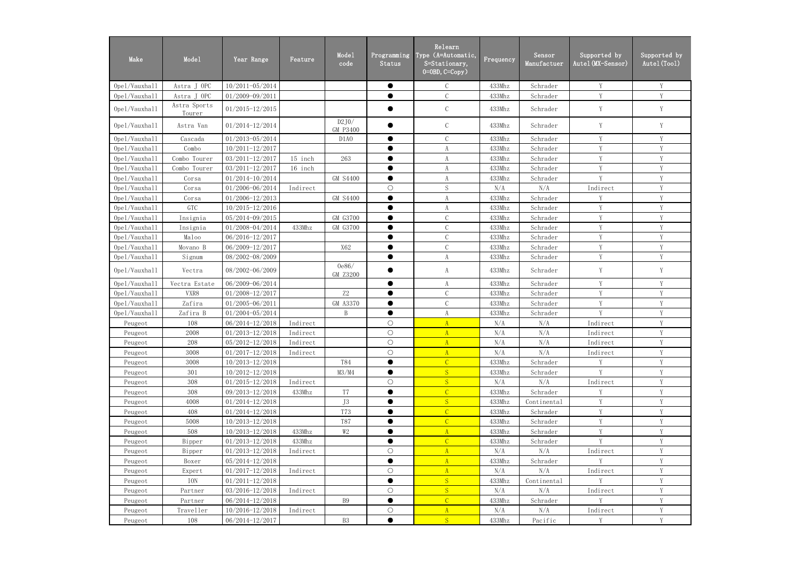| Make          | Mode1                  | Year Range          | Feature  | Mode1<br>code                 | Programming<br>Status | Relearn<br>Type (A=Automatic,<br>S=Stationary,<br>$0=0BD, C=Copy$ ) | Frequency | Sensor<br>Manufactuer | Supported by<br>Autel (MX-Sensor) | Supported by<br>Autel (Tool) |
|---------------|------------------------|---------------------|----------|-------------------------------|-----------------------|---------------------------------------------------------------------|-----------|-----------------------|-----------------------------------|------------------------------|
| Opel/Vauxhall | Astra J OPC            | 10/2011-05/2014     |          |                               | $\bullet$             | $\mathcal{C}$                                                       | 433Mhz    | Schrader              | Y                                 | Y                            |
| Opel/Vauxhall | Astra J OPC            | 01/2009-09/2011     |          |                               | ●                     | $\mathcal{C}$                                                       | 433Mhz    | Schrader              | Y                                 | Y                            |
| Opel/Vauxhall | Astra Sports<br>Tourer | $01/2015 - 12/2015$ |          |                               |                       | $\mathcal{C}$                                                       | 433Mhz    | Schrader              | Y                                 | Y                            |
| Opel/Vauxhall | Astra Van              | 01/2014-12/2014     |          | D2J0/<br>GM P3400             |                       | $\mathcal{C}$                                                       | 433Mhz    | Schrader              | Y                                 | Y                            |
| Opel/Vauxhall | Cascada                | 01/2013-05/2014     |          | D <sub>1</sub> A <sub>0</sub> | $\bullet$             | $\mathcal{C}$                                                       | 433Mhz    | Schrader              | Y                                 | Y                            |
| Opel/Vauxhall | Combo                  | $10/2011 - 12/2017$ |          |                               |                       | A                                                                   | 433Mhz    | Schrader              | Y                                 | Y                            |
| Opel/Vauxhall | Combo Tourer           | 03/2011-12/2017     | 15 inch  | 263                           | $\bullet$             | A                                                                   | 433Mhz    | Schrader              | Y                                 | Y                            |
| Opel/Vauxhall | Combo Tourer           | 03/2011-12/2017     | 16 inch  |                               | ●                     | A                                                                   | 433Mhz    | Schrader              | Y                                 | Y                            |
| Opel/Vauxhall | Corsa                  | 01/2014-10/2014     |          | <b>GM S4400</b>               | $\bullet$             | A                                                                   | 433Mhz    | Schrader              | V                                 | Y                            |
| Opel/Vauxhall | Corsa                  | 01/2006-06/2014     | Indirect |                               | $\bigcirc$            | $\mathbf S$                                                         | N/A       | N/A                   | Indirect                          | Y                            |
| Opel/Vauxhall | Corsa                  | $01/2006 - 12/2013$ |          | <b>GM S4400</b>               | $\bullet$             | A                                                                   | 433Mhz    | Schrader              | Y                                 | Y                            |
| Opel/Vauxhall | GTC                    | 10/2015-12/2016     |          |                               | $\bullet$             | A                                                                   | 433Mhz    | Schrader              | Y                                 | Y                            |
| Opel/Vauxhall | Insignia               | 05/2014-09/2015     |          | GM G3700                      | ●                     | $\mathcal{C}$                                                       | 433Mhz    | Schrader              | Y                                 | Y                            |
| Opel/Vauxhall | Insignia               | 01/2008-04/2014     | 433Mhz   | GM G3700                      | $\bullet$             | $\mathcal{C}$                                                       | 433Mhz    | Schrader              | Y                                 | Y                            |
| Opel/Vauxhall | Maloo                  | 06/2016-12/2017     |          |                               |                       | $\mathcal{C}$                                                       | 433Mhz    | Schrader              | Y                                 | Y                            |
| Opel/Vauxhall | Movano B               | 06/2009-12/2017     |          | X62                           | $\bullet$             | $\mathcal{C}$                                                       | 433Mhz    | Schrader              | Y                                 | Y                            |
| Opel/Vauxhall | Signum                 | 08/2002-08/2009     |          |                               | $\bullet$             | A                                                                   | 433Mhz    | Schrader              | Y                                 | V                            |
| Opel/Vauxhall | Vectra                 | 08/2002-06/2009     |          | 0e86/<br>GM Z3200             |                       | A                                                                   | 433Mhz    | Schrader              | Y                                 | Y                            |
| Opel/Vauxhall | Vectra Estate          | 06/2009-06/2014     |          |                               | $\bullet$             | A                                                                   | 433Mhz    | Schrader              | Y                                 | Y                            |
| Opel/Vauxhall | VXR8                   | 01/2008-12/2017     |          | Z2                            | $\bullet$             | $\mathcal{C}$                                                       | 433Mhz    | Schrader              | Y                                 | Y                            |
| Opel/Vauxhall | Zafira                 | $01/2005 - 06/2011$ |          | GM A3370                      | $\bullet$             | $\mathcal{C}$                                                       | 433Mhz    | Schrader              | V                                 | V                            |
| Opel/Vauxhall | Zafira B               | 01/2004-05/2014     |          | $\mathbf{B}$                  | $\bullet$             | A                                                                   | 433Mhz    | Schrader              | V                                 | V                            |
| Peugeot       | 108                    | 06/2014-12/2018     | Indirect |                               | $\bigcirc$            | $\overline{A}$                                                      | N/A       | N/A                   | Indirect                          | Y                            |
| Peugeot       | 2008                   | 01/2013-12/2018     | Indirect |                               | $\bigcirc$            | $\mathbf{A}$                                                        | N/A       | N/A                   | Indirect                          | Y                            |
| Peugeot       | 208                    | 05/2012-12/2018     | Indirect |                               | $\bigcirc$            | A                                                                   | N/A       | N/A                   | Indirect                          | Y                            |
| Peugeot       | 3008                   | $01/2017 - 12/2018$ | Indirect |                               | $\bigcirc$            | A                                                                   | N/A       | N/A                   | Indirect                          | Y                            |
| Peugeot       | 3008                   | $10/2013 - 12/2018$ |          | <b>T84</b>                    | $\bullet$             | $\overline{C}$                                                      | 433Mhz    | Schrader              | Y                                 | $\mathbf Y$                  |
| Peugeot       | 301                    | $10/2012 - 12/2018$ |          | M3/M4                         | $\bullet$             | S                                                                   | 433Mhz    | Schrader              | Y                                 | Y                            |
| Peugeot       | 308                    | $01/2015 - 12/2018$ | Indirect |                               | $\bigcirc$            | S                                                                   | N/A       | N/A                   | Indirect                          | Y                            |
| Peugeot       | 308                    | 09/2013-12/2018     | 433Mhz   | T <sub>7</sub>                |                       | $\overline{C}$                                                      | 433Mhz    | Schrader              | Y                                 | Y                            |
| Peugeot       | 4008                   | $01/2014 - 12/2018$ |          | J3                            | $\bullet$             | S                                                                   | 433Mhz    | Continental           | Y                                 | Y                            |
| Peugeot       | 408                    | $01/2014 - 12/2018$ |          | <b>T73</b>                    |                       | $\overline{C}$                                                      | 433Mhz    | Schrader              | Y                                 | Y                            |
| Peugeot       | 5008                   | $10/2013 - 12/2018$ |          | <b>T87</b>                    | $\bullet$             | $\overline{C}$                                                      | 433Mhz    | Schrader              | Y                                 | Y                            |
| Peugeot       | 508                    | 10/2013-12/2018     | 433Mhz   | W2                            |                       | $\overline{A}$                                                      | 433Mhz    | Schrader              | Y                                 | Y                            |
| Peugeot       | Bipper                 | $01/2013 - 12/2018$ | 433Mhz   |                               | $\bullet$             | $\mathcal{C}$                                                       | 433Mhz    | Schrader              | Y                                 | Y                            |
| Peugeot       | Bipper                 | $01/2013 - 12/2018$ | Indirect |                               | $\bigcirc$            | $\mathbf{A}$                                                        | N/A       | N/A                   | Indirect                          | Y                            |
| Peugeot       | Boxer                  | $05/2014 - 12/2018$ |          |                               | $\bullet$             | $\mathbf{A}$                                                        | 433Mhz    | Schrader              | Y                                 | Y                            |
| Peugeot       | Expert                 | $01/2017 - 12/2018$ | Indirect |                               | $\bigcirc$            | $\mathbf{A}$                                                        | N/A       | N/A                   | Indirect                          | Y                            |
| Peugeot       | ION                    | $01/2011 - 12/2018$ |          |                               | $\bullet$             | S                                                                   | 433Mhz    | Continental           | Y                                 | Y                            |
| Peugeot       | Partner                | 03/2016-12/2018     | Indirect |                               | $\bigcirc$            | S                                                                   | N/A       | N/A                   | Indirect                          | Y                            |
| Peugeot       | Partner                | $06/2014 - 12/2018$ |          | <b>B9</b>                     | $\bullet$             | $\overline{C}$                                                      | 433Mhz    | Schrader              | Y                                 | Y                            |
| Peugeot       | Traveller              | 10/2016-12/2018     | Indirect |                               | $\bigcirc$            | A                                                                   | N/A       | N/A                   | Indirect                          | $\mathbf Y$                  |
| Peugeot       | 108                    | 06/2014-12/2017     |          | $\mathbf{B}3$                 | $\bullet$             | S                                                                   | 433Mhz    | Pacific               | Y                                 | Y                            |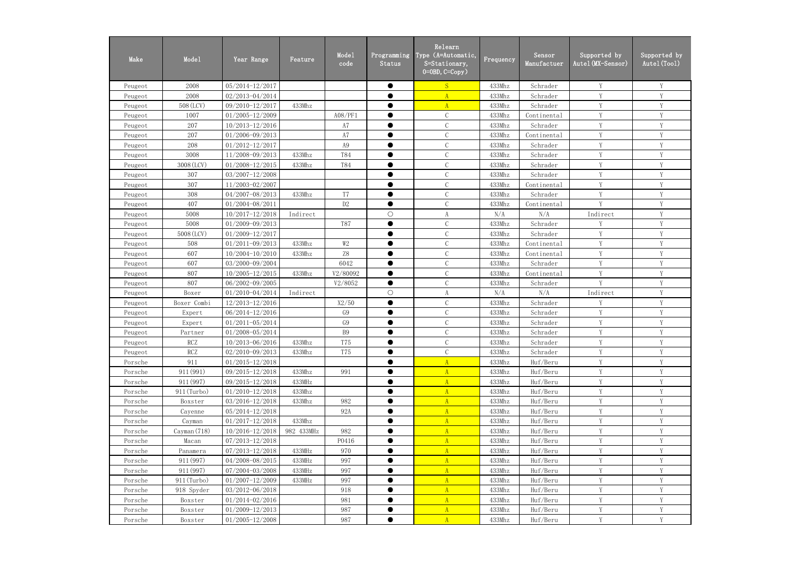| Make    | Mode1       | Year Range          | Feature    | Mode1<br>code  | Programming<br>Status | Relearn<br>Type (A=Automatic,<br>S=Stationary,<br>$0=0BD, C=Copy$ ) | Frequency | Sensor<br>Manufactuer | Supported by<br>Autel (MX-Sensor) | Supported by<br>Autel (Tool) |
|---------|-------------|---------------------|------------|----------------|-----------------------|---------------------------------------------------------------------|-----------|-----------------------|-----------------------------------|------------------------------|
| Peugeot | 2008        | 05/2014-12/2017     |            |                | $\bullet$             | S                                                                   | 433Mhz    | Schrader              | Y                                 | Y                            |
| Peugeot | 2008        | 02/2013-04/2014     |            |                | ●                     | $\mathbf{A}$                                                        | 433Mhz    | Schrader              | Y                                 | Y                            |
| Peugeot | 508 (LCV)   | 09/2010-12/2017     | 433Mhz     |                |                       | $\mathbf{A}$                                                        | 433Mhz    | Schrader              | Y                                 | Y                            |
| Peugeot | 1007        | $01/2005 - 12/2009$ |            | A08/PF1        | $\bullet$             | $\mathcal{C}$                                                       | 433Mhz    | Continental           | $\mathbf{V}$                      | V                            |
| Peugeot | 207         | $10/2013 - 12/2016$ |            | A7             | $\bullet$             | $\mathcal{C}$                                                       | 433Mhz    | Schrader              | Y                                 | V                            |
| Peugeot | 207         | 01/2006-09/2013     |            | A7             | $\bullet$             | $\mathcal{C}$                                                       | 433Mhz    | Continental           | Y                                 | Y                            |
| Peugeot | 208         | $01/2012 - 12/2017$ |            | A <sub>9</sub> | ●                     | $\mathcal{C}$                                                       | 433Mhz    | Schrader              | Y                                 | Y                            |
| Peugeot | 3008        | 11/2008-09/2013     | 433Mhz     | T84            | $\bullet$             | $\mathcal{C}$                                                       | 433Mhz    | Schrader              | Y                                 | Y                            |
| Peugeot | 3008 (LCV)  | 01/2008-12/2015     | 433Mhz     | <b>T84</b>     | $\bullet$             | $\mathcal{C}$                                                       | 433Mhz    | Schrader              | Y                                 | Y                            |
| Peugeot | 307         | $03/2007 - 12/2008$ |            |                | $\bullet$             | $\mathcal{C}$                                                       | 433Mhz    | Schrader              | Y                                 | Y                            |
| Peugeot | 307         | 11/2003-02/2007     |            |                | ●                     | $\mathcal{C}$                                                       | 433Mhz    | Continental           | Y                                 | Y                            |
| Peugeot | 308         | 04/2007-08/2013     | 433Mhz     | T <sub>7</sub> | $\bullet$             | $\mathcal{C}$                                                       | 433Mhz    | Schrader              | V                                 | Y                            |
| Peugeot | 407         | $01/2004 - 08/2011$ |            | D <sub>2</sub> | $\bullet$             | $\mathcal{C}$                                                       | 433Mhz    | Continental           | $\mathbf{V}$                      | V                            |
| Peugeot | 5008        | 10/2017-12/2018     | Indirect   |                | $\bigcirc$            | A                                                                   | N/A       | N/A                   | Indirect                          | Y                            |
| Peugeot | 5008        | 01/2009-09/2013     |            | <b>T87</b>     | $\bullet$             | $\mathcal{C}$                                                       | 433Mhz    | Schrader              | Y                                 | Y                            |
| Peugeot | 5008 (LCV)  | 01/2009-12/2017     |            |                |                       | $\mathcal{C}$                                                       | 433Mhz    | Schrader              | Y                                 | Y                            |
| Peugeot | 508         | $01/2011 - 09/2013$ | 433Mhz     | $W\!2$         | $\bullet$             | $\mathcal{C}$                                                       | 433Mhz    | Continental           | Y                                 | Y                            |
| Peugeot | 607         | 10/2004-10/2010     | 433Mhz     | Z8             | $\bullet$             | $\mathcal{C}$                                                       | 433Mhz    | Continental           | Y                                 | Y                            |
| Peugeot | 607         | 03/2000-09/2004     |            | 6042           | $\bullet$             | $\mathcal{C}$                                                       | 433Mhz    | Schrader              | Y                                 | Y                            |
| Peugeot | 807         | $10/2005 - 12/2015$ | 433Mhz     | V2/80092       | $\bullet$             | $\mathcal{C}$                                                       | 433Mhz    | Continental           | $\mathbf{V}$                      | V                            |
| Peugeot | 807         | 06/2002-09/2005     |            | V2/8052        | $\bullet$             | $\mathcal{C}$                                                       | 433Mhz    | Schrader              | V                                 | Y                            |
| Peugeot | Boxer       | $01/2010 - 04/2014$ | Indirect   |                | $\bigcirc$            | A                                                                   | N/A       | N/A                   | Indirect                          | V                            |
| Peugeot | Boxer Combi | 12/2013-12/2016     |            | X2/50          | $\bullet$             | $\mathcal{C}$                                                       | 433Mhz    | Schrader              | Y                                 | Y                            |
| Peugeot | Expert      | 06/2014-12/2016     |            | G <sub>9</sub> | $\bullet$             | $\mathcal{C}$                                                       | 433Mhz    | Schrader              | Y                                 | Y                            |
| Peugeot | Expert      | $01/2011 - 05/2014$ |            | G9             | ●                     | $\mathcal{C}$                                                       | 433Mhz    | Schrader              | Y                                 | Y                            |
| Peugeot | Partner     | 01/2008-05/2014     |            | <b>B9</b>      | $\bullet$             | $\mathcal{C}$                                                       | 433Mhz    | Schrader              | Y                                 | Y                            |
| Peugeot | RCZ         | 10/2013-06/2016     | 433Mhz     | <b>T75</b>     |                       | $\mathcal{C}$                                                       | 433Mhz    | Schrader              | Y                                 | Y                            |
| Peugeot | RCZ         | $02/2010 - 09/2013$ | 433Mhz     | <b>T75</b>     | $\bullet$             | $\mathcal C$                                                        | 433Mhz    | Schrader              | Y                                 | Y                            |
| Porsche | 911         | $01/2015 - 12/2018$ |            |                |                       | $\mathbf{A}$                                                        | 433Mhz    | Huf/Beru              | Y                                 | V                            |
| Porsche | 911 (991)   | 09/2015-12/2018     | 433Mhz     | 991            | $\bullet$             | $\mathbf{A}$                                                        | 433Mhz    | Huf/Beru              | Y                                 | Y                            |
| Porsche | 911 (997)   | 09/2015-12/2018     | 433MHz     |                | $\bullet$             | A                                                                   | 433Mhz    | Huf/Beru              | Y                                 | Y                            |
| Porsche | 911 (Turbo) | $01/2010 - 12/2018$ | 433Mhz     |                |                       | $\mathbf{A}$                                                        | 433Mhz    | Huf/Beru              | Y                                 | Y                            |
| Porsche | Boxster     | 03/2016-12/2018     | 433Mhz     | 982            | $\bullet$             | A                                                                   | 433Mhz    | Huf/Beru              | Y                                 | Y                            |
| Porsche | Cayenne     | $05/2014 - 12/2018$ |            | 92A            | $\bullet$             | $\mathbf{A}$                                                        | 433Mhz    | Huf/Beru              | Y                                 | Y                            |
| Porsche | Cayman      | $01/2017 - 12/2018$ | 433Mhz     |                | $\bullet$             | A                                                                   | 433Mhz    | Huf/Beru              | Y                                 | Y                            |
| Porsche | Cayman(718) | $10/2016 - 12/2018$ | 982 433MHz | 982            | $\bullet$             | $\mathbf{A}$                                                        | 433Mhz    | Huf/Beru              | Y                                 | Y                            |
| Porsche | Macan       | $07/2013 - 12/2018$ |            | P0416          | ●                     | $\mathbf{A}$                                                        | 433Mhz    | Huf/Beru              | Y                                 | Y                            |
| Porsche | Panamera    | 07/2013-12/2018     | 433MHz     | 970            | $\bullet$             | $\mathbf{A}$                                                        | 433Mhz    | Huf/Beru              | Y                                 | Y                            |
| Porsche | 911 (997)   | 04/2008-08/2015     | 433MHz     | 997            | ●                     | $\mathbf{A}$                                                        | 433Mhz    | Huf/Beru              | Y                                 | Y                            |
| Porsche | 911 (997)   | 07/2004-03/2008     | 433MHz     | 997            | $\bullet$             | A                                                                   | 433Mhz    | Huf/Beru              | Y                                 | Y                            |
| Porsche | 911 (Turbo) | $01/2007 - 12/2009$ | 433MHz     | 997            |                       | $\mathbf{A}$                                                        | 433Mhz    | Huf/Beru              | Y                                 | Y                            |
| Porsche | 918 Spyder  | 03/2012-06/2018     |            | 918            | $\bullet$             | A                                                                   | 433Mhz    | Huf/Beru              | Y                                 | Y                            |
| Porsche | Boxster     | $01/2014 - 02/2016$ |            | 981            |                       | $\mathbf{A}$                                                        | 433Mhz    | Huf/Beru              | Y                                 | Y                            |
| Porsche | Boxster     | $01/2009 - 12/2013$ |            | 987            | $\bullet$             | A                                                                   | 433Mhz    | Huf/Beru              | Y                                 | Y                            |
| Porsche | Boxster     | $01/2005 - 12/2008$ |            | 987            | $\bullet$             | $\mathbf{A}$                                                        | 433Mhz    | Huf/Beru              | Y                                 | Y                            |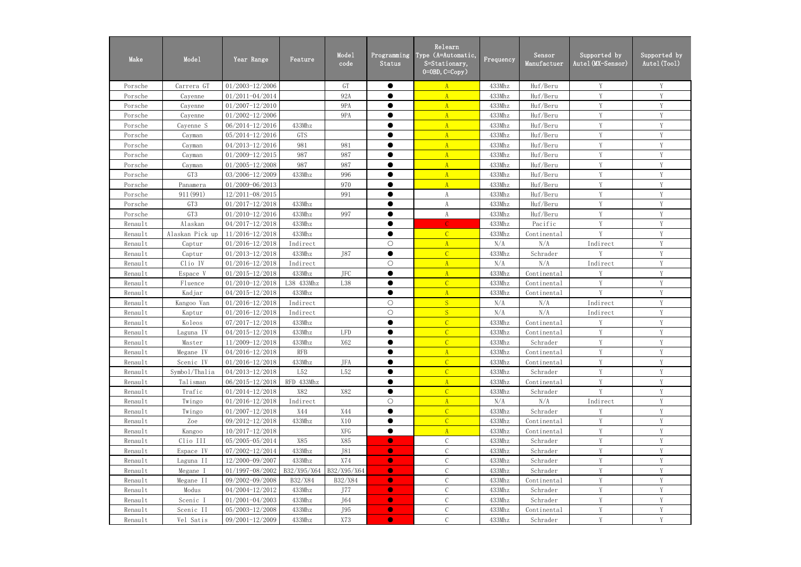| Make    | Mode1           | Year Range          | Feature     | Mode1<br>code               | Programming<br><b>Status</b> | Relearn<br>Type (A=Automatic,<br>S=Stationary,<br>$0=0$ BD, $C=Copy$ ) | Frequency | Sensor<br>Manufactuer | Supported by<br>Autel (MX-Sensor) | Supported by<br>Autel (Tool) |
|---------|-----------------|---------------------|-------------|-----------------------------|------------------------------|------------------------------------------------------------------------|-----------|-----------------------|-----------------------------------|------------------------------|
| Porsche | Carrera GT      | 01/2003-12/2006     |             | GT                          | $\bullet$                    | $\mathbf{A}$                                                           | 433Mhz    | Huf/Beru              | Y                                 | Y                            |
| Porsche | Cayenne         | 01/2011-04/2014     |             | 92A                         | $\bullet$                    | $\overline{A}$                                                         | 433Mhz    | Huf/Beru              | Y                                 | Y                            |
| Porsche | Cayenne         | $01/2007 - 12/2010$ |             | 9PA                         | ●                            | $\mathbf{A}$                                                           | 433Mhz    | Huf/Beru              | Y                                 | Y                            |
| Porsche | Cayenne         | $01/2002 - 12/2006$ |             | 9PA                         | $\bullet$                    | $\mathbf{A}$                                                           | 433Mhz    | Huf/Beru              | $\mathbf{V}$                      | V                            |
| Porsche | Cayenne S       | 06/2014-12/2016     | 433Mhz      |                             | ●                            | $\mathbf{A}$                                                           | 433Mhz    | Huf/Beru              | V                                 | V                            |
| Porsche | Cayman          | $05/2014 - 12/2016$ | GTS         |                             | $\bullet$                    | $\mathbf{A}$                                                           | 433Mhz    | Huf/Beru              | Y                                 | Y                            |
| Porsche | Cayman          | 04/2013-12/2016     | 981         | 981                         |                              | $\mathbf{A}$                                                           | 433Mhz    | Huf/Beru              | Y                                 | Y                            |
| Porsche | Cayman          | 01/2009-12/2015     | 987         | 987                         | $\bullet$                    | $\mathbf{A}$                                                           | 433Mhz    | Huf/Beru              | Y                                 | Y                            |
| Porsche | Cayman          | 01/2005-12/2008     | 987         | 987                         | $\bullet$                    | $\mathbf{A}$                                                           | 433Mhz    | Huf/Beru              | Y                                 | Y                            |
| Porsche | GT3             | 03/2006-12/2009     | 433Mhz      | 996                         | $\bullet$                    | $\overline{A}$                                                         | 433Mhz    | Huf/Beru              | Y                                 | Y                            |
| Porsche | Panamera        | $01/2009 - 06/2013$ |             | 970                         | $\bullet$                    | $\overline{A}$                                                         | 433Mhz    | Huf/Beru              | Y                                 | Y                            |
| Porsche | 911 (991)       | 12/2011-08/2015     |             | 991                         | ●                            | A                                                                      | 433Mhz    | Huf/Beru              | V                                 | Y                            |
| Porsche | GT3             | $01/2017 - 12/2018$ | 433Mhz      |                             | ●                            | A                                                                      | 433Mhz    | Huf/Beru              | V                                 | V                            |
| Porsche | GT3             | $01/2010 - 12/2016$ | 433Mhz      | 997                         | $\bullet$                    | A                                                                      | 433Mhz    | Huf/Beru              | Y                                 | Y                            |
| Renault | Alaskan         | 04/2017-12/2018     | 433Mhz      |                             | $\bullet$                    | $\mathcal{C}$                                                          | 433Mhz    | Pacific               | Y                                 | Y                            |
| Renault | Alaskan Pick up | 11/2016-12/2018     | 433Mhz      |                             |                              | $\mathcal{C}$                                                          | 433Mhz    | Continental           | V                                 | Y                            |
| Renault | Captur          | 01/2016-12/2018     | Indirect    |                             | $\bigcirc$                   | $\mathbf{A}$                                                           | N/A       | N/A                   | Indirect                          | Y                            |
| Renault | Captur          | $01/2013 - 12/2018$ | 433Mhz      | J87                         | $\bullet$                    | $\overline{C}$                                                         | 433Mhz    | Schrader              | Y                                 | Y                            |
| Renault | Clio IV         | $01/2016 - 12/2018$ | Indirect    |                             | $\bigcirc$                   | $\mathbf{A}$                                                           | N/A       | N/A                   | Indirect                          | Y                            |
| Renault | Espace V        | $01/2015 - 12/2018$ | 433Mhz      | <b>JFC</b>                  | $\bullet$                    | $\mathbf{A}$                                                           | 433Mhz    | Continental           | $\mathbf{V}$                      | V                            |
| Renault | Fluence         | $01/2010 - 12/2018$ | L38 433Mhz  | L38                         | $\bullet$                    | $\overline{C}$                                                         | 433Mhz    | Continental           | V                                 | Y                            |
| Renault | Kadjar          | 04/2015-12/2018     | 433Mhz      |                             | $\bullet$                    | $\mathbf{A}$                                                           | 433Mhz    | Continental           | $\mathbf{V}$                      | V                            |
| Renault | Kangoo Van      | $01/2016 - 12/2018$ | Indirect    |                             | $\bigcirc$                   | S                                                                      | N/A       | N/A                   | Indirect                          | Y                            |
| Renault | Kaptur          | 01/2016-12/2018     | Indirect    |                             | $\bigcirc$                   | S                                                                      | N/A       | N/A                   | Indirect                          | Y                            |
| Renault | Koleos          | 07/2017-12/2018     | 433Mhz      |                             | $\bullet$                    | $\overline{C}$                                                         | 433Mhz    | Continental           | Y                                 | Y                            |
| Renault | Laguna IV       | 04/2015-12/2018     | 433Mhz      | $\ensuremath{\mathsf{LFD}}$ | $\bullet$                    | $\overline{C}$                                                         | 433Mhz    | Continental           | Y                                 | Y                            |
| Renault | Master          | 11/2009-12/2018     | 433Mhz      | X62                         |                              | $\mathcal{C}$                                                          | 433Mhz    | Schrader              | Y                                 | Y                            |
| Renault | Megane IV       | 04/2016-12/2018     | <b>RFB</b>  |                             | $\bullet$                    | $\mathbf{A}$                                                           | 433Mhz    | Continental           | Y                                 | Y                            |
| Renault | Scenic IV       | $01/2016 - 12/2018$ | 433Mhz      | JFA                         |                              | $\overline{C}$                                                         | 433Mhz    | Continental           | Y                                 | Y                            |
| Renault | Symbol/Thalia   | 04/2013-12/2018     | L52         | L52                         | $\bullet$                    | $\overline{C}$                                                         | 433Mhz    | Schrader              | Y                                 |                              |
| Renault | Talisman        | $06/2015 - 12/2018$ | RFD 433Mhz  |                             | $\bullet$                    | $\mathbf{A}$                                                           | 433Mhz    | Continental           | Y                                 | Y                            |
| Renault | Trafic          | $01/2014 - 12/2018$ | X82         | X82                         |                              | $\mathcal{C}$                                                          | 433Mhz    | Schrader              | Y                                 | Y                            |
| Renault | Twingo          | $01/2016 - 12/2018$ | Indirect    |                             | $\bigcirc$                   | $\mathbf{A}$                                                           | N/A       | N/A                   | Indirect                          | Y                            |
| Renault | Twingo          | $01/2007 - 12/2018$ | X44         | X44                         | $\bullet$                    | $\mathcal{C}$                                                          | 433Mhz    | Schrader              | Y                                 | Y                            |
| Renault | Zoe             | 09/2012-12/2018     | 433Mhz      | X10                         | $\bullet$                    | $\overline{C}$                                                         | 433Mhz    | Continental           | Y                                 | Y                            |
| Renault | Kangoo          | $10/2017 - 12/2018$ |             | XFG                         | $\bullet$                    | $\mathbf{A}$                                                           | 433Mhz    | Continental           | Y                                 | Y                            |
| Renault | Clio III        | $05/2005 - 05/2014$ | X85         | X85                         | $\bullet$                    | $\mathcal{C}$                                                          | 433Mhz    | Schrader              | Y                                 | Y                            |
| Renault | Espace IV       | 07/2002-12/2014     | 433Mhz      | J81                         | $\bullet$                    | $\mathcal{C}$                                                          | 433Mhz    | Schrader              | Y                                 | Y                            |
| Renault | Laguna II       | 12/2000-09/2007     | 433Mhz      | X74                         | $\bullet$                    | $\mathsf C$                                                            | 433Mhz    | Schrader              | Y                                 | Y                            |
| Renault | Megane I        | 01/1997-08/2002     | B32/X95/X64 | B32/X95/X64                 | $\bullet$                    | $\mathcal{C}$                                                          | 433Mhz    | Schrader              | Y                                 | Y                            |
| Renault | Megane II       | 09/2002-09/2008     | B32/X84     | B32/X84                     | $\bullet$                    |                                                                        | 433Mhz    | Continental           | Y                                 | Y                            |
| Renault | Modus           | 04/2004-12/2012     | 433Mhz      | J77                         | $\bullet$                    | $\mathsf C$                                                            | 433Mhz    | Schrader              | Y                                 | Y                            |
| Renault | Scenic I        | $01/2001 - 04/2003$ | 433Mhz      | J64                         | $\bullet$                    | $\mathcal{C}$                                                          | 433Mhz    | Schrader              | Y                                 | Y                            |
| Renault | Scenic II       | 05/2003-12/2008     | 433Mhz      | J95                         | $\bullet$                    | $\mathcal{C}$                                                          | 433Mhz    | Continental           | Y                                 | Y                            |
| Renault | Vel Satis       | 09/2001-12/2009     | 433Mhz      | X73                         | $\bullet$                    | $\mathcal{C}$                                                          | 433Mhz    | Schrader              | Y                                 | Y                            |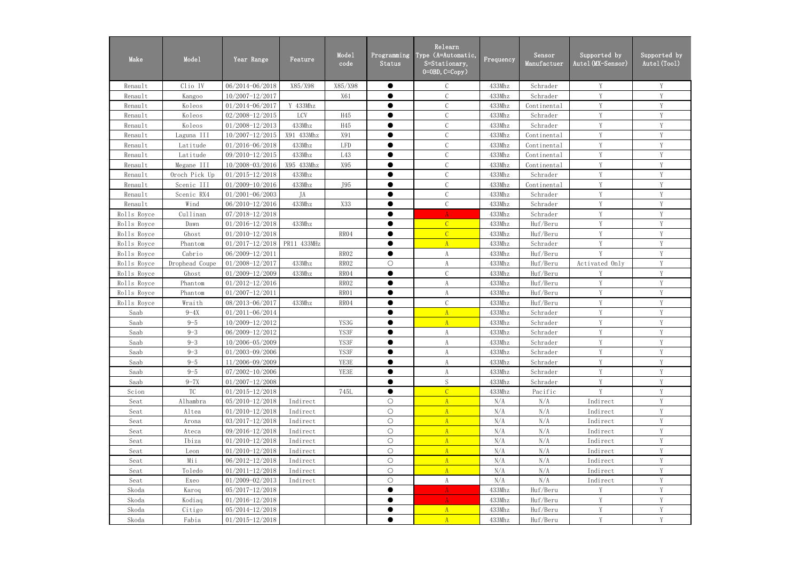| Make        | Mode1          | Year Range          | Feature     | Mode1<br>code | Programming<br><b>Status</b> | Relearn<br>Type (A=Automatic,<br>S=Stationary,<br>$0=0$ BD, $C=Copy$ ) | Frequency | Sensor<br>Manufactuer | Supported by<br>Autel (MX-Sensor) | Supported by<br>Autel (Tool) |
|-------------|----------------|---------------------|-------------|---------------|------------------------------|------------------------------------------------------------------------|-----------|-----------------------|-----------------------------------|------------------------------|
| Renault     | Clio IV        | 06/2014-06/2018     | X85/X98     | X85/X98       | $\bullet$                    | $\mathcal{C}$                                                          | 433Mhz    | Schrader              | Y                                 | Y                            |
| Renault     | Kangoo         | 10/2007-12/2017     |             | X61           | $\bullet$                    | $\mathcal{C}$                                                          | 433Mhz    | Schrader              | V                                 | Y                            |
| Renault     | Koleos         | $01/2014 - 06/2017$ | Y 433Mhz    |               |                              | $\mathcal{C}$                                                          | 433Mhz    | Continental           | V                                 | Y                            |
| Renault     | Koleos         | 02/2008-12/2015     | LCV         | H45           | $\bullet$                    | $\mathbf C$                                                            | 433Mhz    | Schrader              | $\mathbf{V}$                      | V                            |
| Renault     | Koleos         | $01/2008 - 12/2013$ | 433Mhz      | H45           | $\bullet$                    | $\mathcal{C}$                                                          | 433Mhz    | Schrader              | V                                 | V                            |
| Renault     | Laguna III     | $10/2007 - 12/2015$ | X91 433Mhz  | X91           | $\bullet$                    | $\mathcal{C}$                                                          | 433Mhz    | Continental           | Y                                 | Y                            |
| Renault     | Latitude       | 01/2016-06/2018     | 433Mhz      | <b>LFD</b>    |                              | $\mathcal{C}$                                                          | 433Mhz    | Continental           | Y                                 | Y                            |
| Renault     | Latitude       | 09/2010-12/2015     | 433Mhz      | L43           | $\bullet$                    | $\mathcal{C}$                                                          | 433Mhz    | Continental           | Y                                 | Y                            |
| Renault     | Megane III     | 10/2008-03/2016     | X95 433Mhz  | X95           | $\bullet$                    | $\mathbf C$                                                            | 433Mhz    | Continental           | Y                                 | Y                            |
| Renault     | Oroch Pick Up  | $01/2015 - 12/2018$ | 433Mhz      |               | $\bullet$                    | $\mathbf C$                                                            | 433Mhz    | Schrader              | Y                                 | Y                            |
| Renault     | Scenic III     | $01/2009 - 10/2016$ | 433Mhz      | J95           | $\bullet$                    | $\mathbf C$                                                            | 433Mhz    | Continental           | V                                 | Y                            |
| Renault     | Scenic RX4     | $01/2001 - 06/2003$ | JA          |               | $\bullet$                    | $\mathcal{C}$                                                          | 433Mhz    | Schrader              | V                                 | Y                            |
| Renault     | Wind           | $06/2010 - 12/2016$ | 433Mhz      | X33           | ●                            | $\mathbf C$                                                            | 433Mhz    | Schrader              | V                                 | V                            |
| Rolls Royce | Cullinan       | 07/2018-12/2018     |             |               | $\bullet$                    | $\mathbf{A}$                                                           | 433Mhz    | Schrader              | Y                                 | Y                            |
| Rolls Royce | Dawn           | $01/2016 - 12/2018$ | 433Mhz      |               | $\bullet$                    | $\overline{C}$                                                         | 433Mhz    | Huf/Beru              | Y                                 | Y                            |
| Rolls Royce | Ghost          | $01/2010 - 12/2018$ |             | RR04          |                              | $\mathcal{C}$                                                          | 433Mhz    | Huf/Beru              | V                                 | Y                            |
| Rolls Royce | Phantom        | $01/2017 - 12/2018$ | PR11 433MHz |               | $\bullet$                    | $\overline{A}$                                                         | 433Mhz    | Schrader              | Y                                 | Y                            |
| Rolls Royce | Cabrio         | 06/2009-12/2011     |             | RR02          | $\bullet$                    | $\mathbf{A}$                                                           | 433Mhz    | Huf/Beru              | Y                                 | Y                            |
| Rolls Royce | Drophead Coupe | 01/2008-12/2017     | 433Mhz      | RR02          | $\bigcirc$                   | A                                                                      | 433Mhz    | Huf/Beru              | Activated Only                    | Y                            |
| Rolls Royce | Ghost          | 01/2009-12/2009     | 433Mhz      | RR04          | $\bullet$                    | $\mathcal{C}$                                                          | 433Mhz    | Huf/Beru              | $\mathbf{V}$                      | V                            |
| Rolls Royce | Phantom        | $01/2012 - 12/2016$ |             | RR02          | $\bullet$                    | A                                                                      | 433Mhz    | Huf/Beru              | V                                 | Y                            |
| Rolls Royce | Phantom        | $01/2007 - 12/2011$ |             | RR01          | ●                            | A                                                                      | 433Mhz    | Huf/Beru              | V                                 | V                            |
| Rolls Royce | Wraith         | 08/2013-06/2017     | 433Mhz      | RR04          | $\bullet$                    | $\mathcal{C}$                                                          | 433Mhz    | Huf/Beru              | Y                                 | Y                            |
| Saab        | $9 - 4X$       | 01/2011-06/2014     |             |               | $\bullet$                    | $\Lambda$                                                              | 433Mhz    | Schrader              | Y                                 | Y                            |
| Saab        | $9 - 5$        | 10/2009-12/2012     |             | YS3G          | $\bullet$                    | $\mathbf{A}$                                                           | 433Mhz    | Schrader              | Y                                 | Y                            |
| Saab        | $9 - 3$        | 06/2009-12/2012     |             | YS3F          | $\bullet$                    | A                                                                      | 433Mhz    | Schrader              | Y                                 | Y                            |
| Saab        | $9 - 3$        | 10/2006-05/2009     |             | YS3F          |                              | A                                                                      | 433Mhz    | Schrader              | Y                                 | Y                            |
| Saab        | $9 - 3$        | 01/2003-09/2006     |             | YS3F          | $\bullet$                    | A                                                                      | 433Mhz    | Schrader              | Y                                 | Y                            |
| Saab        | $9 - 5$        | 11/2006-09/2009     |             | YE3E          | $\bullet$                    | A                                                                      | 433Mhz    | Schrader              | Y                                 | Y                            |
| Saab        | $9 - 5$        | 07/2002-10/2006     |             | YE3E          | $\bullet$                    | A                                                                      | 433Mhz    | Schrader              | Y                                 | Y                            |
| Saab        | $9 - 7X$       | $01/2007 - 12/2008$ |             |               | $\bullet$                    | S                                                                      | 433Mhz    | Schrader              | Y                                 | Y                            |
| Scion       | TC             | $01/2015 - 12/2018$ |             | 745L          | $\bullet$                    | $\overline{C}$                                                         | 433Mhz    | Pacific               | Y                                 | Y                            |
| Seat        | Alhambra       | 05/2010-12/2018     | Indirect    |               | $\bigcirc$                   | A                                                                      | N/A       | N/A                   | Indirect                          | Y                            |
| Seat        | Altea          | $01/2010 - 12/2018$ | Indirect    |               | $\bigcirc$                   | $\mathbf{A}$                                                           | N/A       | N/A                   | Indirect                          | Y                            |
| Seat        | Arona          | 03/2017-12/2018     | Indirect    |               | $\bigcirc$                   | A                                                                      | N/A       | N/A                   | Indirect                          | Y                            |
| Seat        | Ateca          | 09/2016-12/2018     | Indirect    |               | $\bigcirc$                   | A                                                                      | N/A       | N/A                   | Indirect                          | Y                            |
| Seat        | Ibiza          | $01/2010 - 12/2018$ | Indirect    |               | $\bigcirc$                   | A                                                                      | N/A       | N/A                   | Indirect                          | Y                            |
| Seat        | Leon           | $01/2010 - 12/2018$ | Indirect    |               | $\bigcirc$                   | A                                                                      | N/A       | N/A                   | Indirect                          | Y                            |
| Seat        | Mii            | 06/2012-12/2018     | Indirect    |               | $\bigcirc$                   | A                                                                      | N/A       | N/A                   | Indirect                          | Y                            |
| Seat        | Toledo         | $01/2011 - 12/2018$ | Indirect    |               | $\bigcirc$                   | A                                                                      | N/A       | N/A                   | Indirect                          | Y                            |
| Seat        | Exeo           | $01/2009 - 02/2013$ | Indirect    |               | $\bigcirc$                   | A                                                                      | N/A       | N/A                   | Indirect                          | Y                            |
| Skoda       | Karoq          | 05/2017-12/2018     |             |               | $\bullet$                    | $\mathbf{A}$                                                           | 433Mhz    | Huf/Beru              | Y                                 | Y                            |
| Skoda       | Kodiaq         | $01/2016 - 12/2018$ |             |               | $\bullet$                    | $\mathbf{A}$                                                           | 433Mhz    | Huf/Beru              | Y                                 | $\mathbf Y$                  |
| Skoda       | Citigo         | $05/2014 - 12/2018$ |             |               | $\bullet$                    | A                                                                      | 433Mhz    | Huf/Beru              | Y                                 | Y                            |
| Skoda       | Fabia          | $01/2015 - 12/2018$ |             |               | $\bullet$                    | A                                                                      | 433Mhz    | Huf/Beru              | Y                                 | Y                            |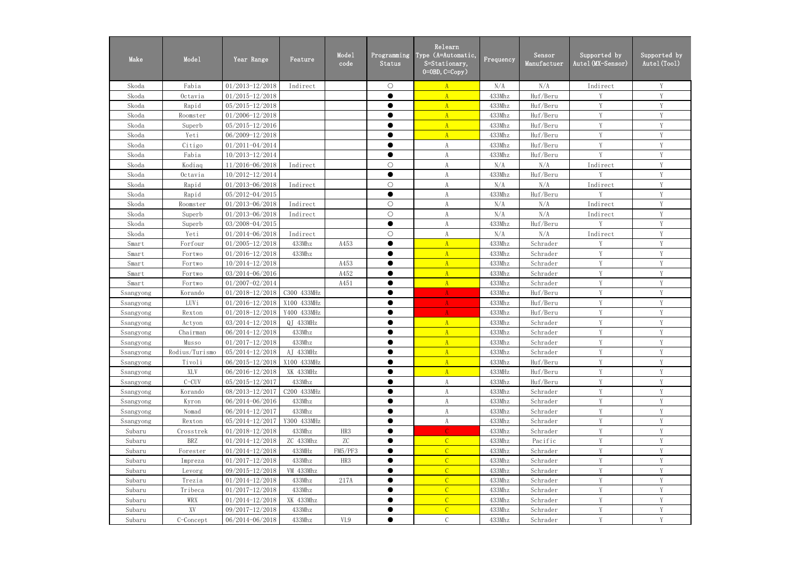| Make      | Mode1          | Year Range          | Feature     | Mode1<br>code   | Programming<br>Status | Relearn<br>Type (A=Automatic,<br>S=Stationary,<br>$0=0BD, C=Copy$ ) | Frequency | Sensor<br>Manufactuer | Supported by<br>Autel (MX-Sensor) | Supported by<br>Autel (Tool) |
|-----------|----------------|---------------------|-------------|-----------------|-----------------------|---------------------------------------------------------------------|-----------|-----------------------|-----------------------------------|------------------------------|
| Skoda     | Fabia          | $01/2013 - 12/2018$ | Indirect    |                 | $\bigcirc$            | A                                                                   | N/A       | N/A                   | Indirect                          | Y                            |
| Skoda     | Octavia        | $01/2015 - 12/2018$ |             |                 | ●                     | $\overline{A}$                                                      | 433Mhz    | Huf/Beru              | V                                 | Y                            |
| Skoda     | Rapid          | $05/2015 - 12/2018$ |             |                 | $\bullet$             | A                                                                   | 433Mhz    | Huf/Beru              | Y                                 | Y                            |
| Skoda     | Roomster       | $01/2006 - 12/2018$ |             |                 | $\bullet$             | $\mathbf{A}$                                                        | 433Mhz    | Huf/Beru              | Y                                 | Y                            |
| Skoda     | Superb         | $05/2015 - 12/2016$ |             |                 | $\bullet$             | A                                                                   | 433Mhz    | Huf/Beru              | Y                                 | Y                            |
| Skoda     | Yeti           | 06/2009-12/2018     |             |                 | ●                     | $\overline{A}$                                                      | 433Mhz    | Huf/Beru              | Y                                 | Y                            |
| Skoda     | Citigo         | 01/2011-04/2014     |             |                 | ●                     | A                                                                   | 433Mhz    | Huf/Beru              | Y                                 | Y                            |
| Skoda     | Fabia          | 10/2013-12/2014     |             |                 | $\bullet$             | A                                                                   | 433Mhz    | Huf/Beru              | Y                                 | Y                            |
| Skoda     | Kodiaq         | 11/2016-06/2018     | Indirect    |                 | $\bigcirc$            | $\rm A$                                                             | N/A       | N/A                   | Indirect                          | Y                            |
| Skoda     | Octavia        | 10/2012-12/2014     |             |                 | $\bullet$             | A                                                                   | 433Mhz    | Huf/Beru              | V                                 | Y                            |
| Skoda     | Rapid          | 01/2013-06/2018     | Indirect    |                 | $\bigcirc$            | A                                                                   | N/A       | N/A                   | Indirect                          | V                            |
| Skoda     | Rapid          | 05/2012-04/2015     |             |                 | $\bullet$             | A                                                                   | 433Mhz    | Huf/Beru              | V                                 | Y                            |
| Skoda     | Roomster       | $01/2013 - 06/2018$ | Indirect    |                 | $\bigcirc$            | A                                                                   | N/A       | N/A                   | Indirect                          | Y                            |
| Skoda     | Superb         | $01/2013 - 06/2018$ | Indirect    |                 | $\bigcirc$            | A                                                                   | N/A       | N/A                   | Indirect                          | $\mathbf Y$                  |
| Skoda     | Superb         | 03/2008-04/2015     |             |                 | $\bullet$             | A                                                                   | 433Mhz    | Huf/Beru              | Y                                 | Y                            |
| Skoda     | Yeti           | $01/2014 - 06/2018$ | Indirect    |                 | $\bigcirc$            | A                                                                   | N/A       | N/A                   | Indirect                          | Y                            |
| Smart     | Forfour        | $01/2005 - 12/2018$ | 433Mhz      | A453            | $\bullet$             | $\overline{A}$                                                      | 433Mhz    | Schrader              | Y                                 | Y                            |
| Smart     | Fortwo         | $01/2016 - 12/2018$ | 433Mhz      |                 | $\bullet$             | $\mathbf{A}$                                                        | 433Mhz    | Schrader              | Y                                 | Y                            |
| Smart     | Fortwo         | $10/2014 - 12/2018$ |             | A453            | $\bullet$             | $\mathbf{A}$                                                        | 433Mhz    | Schrader              | Y                                 | Y                            |
| Smart     | Fortwo         | 03/2014-06/2016     |             | A452            | $\bullet$             | $\mathbf{A}$                                                        | 433Mhz    | Schrader              | $\mathbf{V}$                      | V                            |
| Smart     | Fortwo         | 01/2007-02/2014     |             | A451            | $\bullet$             | $\mathbf{A}$                                                        | 433Mhz    | Schrader              | Y                                 | Y                            |
| Ssangyong | Korando        | $01/2018 - 12/2018$ | C300 433MHz |                 | $\bullet$             | $\mathbf{A}$                                                        | 433Mhz    | Huf/Beru              | Y                                 | Y                            |
| Ssangyong | LUVi           | $01/2016 - 12/2018$ | X100 433MHz |                 | ●                     | A                                                                   | 433Mhz    | Huf/Beru              | Y                                 | Y                            |
| Ssangyong | Rexton         | $01/2018 - 12/2018$ | Y400 433MHz |                 | $\bullet$             | A                                                                   | 433Mhz    | Huf/Beru              | Y                                 | Y                            |
| Ssangyong | Actyon         | 03/2014-12/2018     | QJ 433MHz   |                 |                       | $\mathbf{A}$                                                        | 433Mhz    | Schrader              | Y                                 | Y                            |
| Ssangyong | Chairman       | 06/2014-12/2018     | 433Mhz      |                 | $\bullet$             | A                                                                   | 433Mhz    | Schrader              | Y                                 | $\mathbf Y$                  |
| Ssangyong | Musso          | $01/2017 - 12/2018$ | 433Mhz      |                 |                       | $\mathbf{A}$                                                        | 433Mhz    | Schrader              | Y                                 | Y                            |
| Ssangyong | Rodius/Turismo | $05/2014 - 12/2018$ | AJ 433MHz   |                 |                       | $\mathbf{A}$                                                        | 433Mhz    | Schrader              | V                                 | Y                            |
| Ssangyong | Tivoli         | $06/2015 - 12/2018$ | X100 433MHz |                 |                       | $\mathbf{A}$                                                        | 433Mhz    | Huf/Beru              | Y                                 | V                            |
| Ssangyong | XLV            | 06/2016-12/2018     | XK 433MHz   |                 | $\bullet$             | A                                                                   | 433MHz    | Huf/Beru              | Y                                 | Y                            |
| Ssangyong | $C-CUV$        | 05/2015-12/2017     | 433Mhz      |                 | $\bullet$             | A                                                                   | 433Mhz    | Huf/Beru              | Y                                 | Y                            |
| Ssangyong | Korando        | 08/2013-12/2017     | C200 433MHz |                 |                       | A                                                                   | 433Mhz    | Schrader              | Y                                 | Y                            |
| Ssangyong | Kyron          | 06/2014-06/2016     | 433Mhz      |                 | $\bullet$             | A                                                                   | 433Mhz    | Schrader              | Y                                 | Y                            |
| Ssangyong | Nomad          | 06/2014-12/2017     | 433Mhz      |                 | $\bullet$             | A                                                                   | 433Mhz    | Schrader              | Y                                 | Y                            |
| Ssangyong | Rexton         | 05/2014-12/2017     | Y300 433MHz |                 | $\bullet$             | A                                                                   | 433Mhz    | Schrader              | Y                                 | $\mathbf Y$                  |
| Subaru    | Crosstrek      | $01/2018 - 12/2018$ | 433Mhz      | HR <sub>3</sub> | $\bullet$             | $\mathcal{C}$                                                       | 433Mhz    | Schrader              | Y                                 | Y                            |
| Subaru    | BRZ            | $01/2014 - 12/2018$ | ZC 433Mhz   | ZC              | ●                     | $\mathcal{C}$                                                       | 433Mhz    | Pacific               | Y                                 | Y                            |
| Subaru    | Forester       | $01/2014 - 12/2018$ | 433MHz      | FM5/PF3         |                       | $\mathcal{C}$                                                       | 433Mhz    | Schrader              | Y                                 | V                            |
| Subaru    | Impreza        | $01/2017 - 12/2018$ | 433Mhz      | HR <sub>3</sub> | $\bullet$             | $\mathcal{C}$                                                       | 433Mhz    | Schrader              | Y                                 | Y                            |
| Subaru    | Levorg         | 09/2015-12/2018     | VM 433Mhz   |                 | $\bullet$             | $\mathcal{C}$                                                       | 433Mhz    | Schrader              | Y                                 | Y                            |
| Subaru    | Trezia         | $01/2014 - 12/2018$ | 433Mhz      | 217A            |                       | $\overline{C}$                                                      | 433Mhz    | Schrader              | Y                                 | Y                            |
| Subaru    | Tribeca        | $01/2017 - 12/2018$ | 433Mhz      |                 | $\bullet$             | $\overline{C}$                                                      | 433Mhz    | Schrader              | Y                                 | Y                            |
| Subaru    | WRX            | $01/2014 - 12/2018$ | XK 433Mhz   |                 | $\bullet$             | $\overline{C}$                                                      | 433Mhz    | Schrader              | Y                                 | Y                            |
| Subaru    | XV             | 09/2017-12/2018     | 433Mhz      |                 | $\bullet$             | $\mathcal{C}$                                                       | 433Mhz    | Schrader              | Y                                 | Y                            |
| Subaru    | C-Concept      | 06/2014-06/2018     | 433Mhz      | VL9             | $\bullet$             | $\mathcal{C}$                                                       | 433Mhz    | Schrader              | Y                                 | V                            |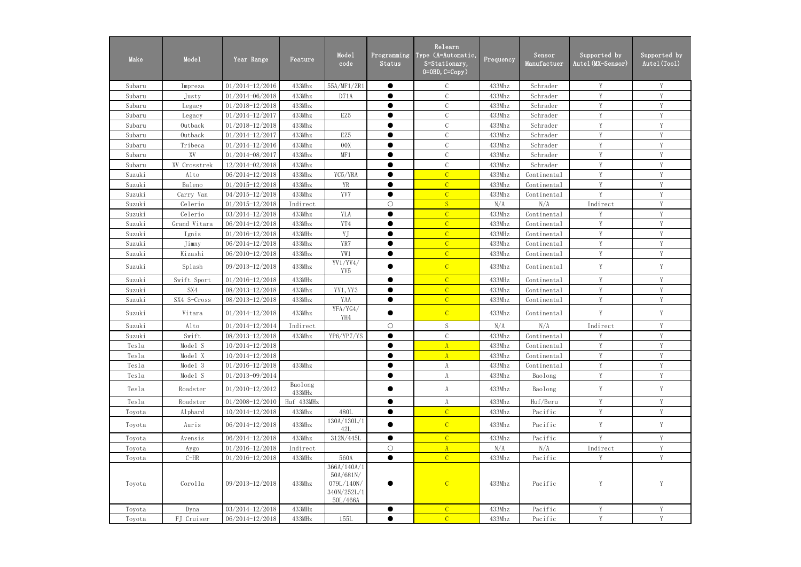| Make   | Mode1        | Year Range          | Feature           | Mode1<br>code                                                     | Programming<br>Status | Relearn<br>Type (A=Automatic,<br>S=Stationary,<br>$0=0$ BD, $C=Copy$ ) | Frequency | Sensor<br>Manufactuer | Supported by<br>Autel (MX-Sensor) | Supported by<br>Autel (Tool) |
|--------|--------------|---------------------|-------------------|-------------------------------------------------------------------|-----------------------|------------------------------------------------------------------------|-----------|-----------------------|-----------------------------------|------------------------------|
| Subaru | Impreza      | $01/2014 - 12/2016$ | 433Mhz            | 55A/MF1/ZR1                                                       | $\bullet$             | $\mathcal{C}$                                                          | 433Mhz    | Schrader              | Y                                 | Y                            |
| Subaru | Justy        | 01/2014-06/2018     | 433Mhz            | D71A                                                              | $\bullet$             | $\mathcal{C}$                                                          | 433Mhz    | Schrader              | Y                                 | Y                            |
| Subaru | Legacy       | $01/2018 - 12/2018$ | 433Mhz            |                                                                   | ●                     | $\mathsf C$                                                            | 433Mhz    | Schrader              | Y                                 | Y                            |
| Subaru | Legacy       | 01/2014-12/2017     | 433Mhz            | EZ5                                                               | $\bullet$             | $\mathbf C$                                                            | 433Mhz    | Schrader              | $\mathbf{V}$                      | Y                            |
| Subaru | Outback      | $01/2018 - 12/2018$ | 433Mhz            |                                                                   | $\bullet$             | $\mathcal{C}$                                                          | 433Mhz    | Schrader              | Y                                 | Y                            |
| Subaru | Outback      | $01/2014 - 12/2017$ | 433Mhz            | EZ5                                                               | $\bullet$             | $\mathcal{C}$                                                          | 433Mhz    | Schrader              | Y                                 | Y                            |
| Subaru | Tribeca      | $01/2014 - 12/2016$ | 433Mhz            | 00X                                                               |                       | $\mathcal{C}$                                                          | 433Mhz    | Schrader              | Y                                 | Y                            |
| Subaru | XV           | 01/2014-08/2017     | 433Mhz            | MF1                                                               | $\bullet$             | $\mathbf C$                                                            | 433Mhz    | Schrader              | Y                                 | Y                            |
| Subaru | XV Crosstrek | 12/2014-02/2018     | 433Mhz            |                                                                   |                       | $\mathbf C$                                                            | 433Mhz    | Schrader              | Y                                 | Y                            |
| Suzuki | Alto         | 06/2014-12/2018     | 433Mhz            | YC5/YRA                                                           | $\bullet$             | $\overline{C}$                                                         | 433Mhz    | Continental           | Y                                 | Y                            |
| Suzuki | Baleno       | $01/2015 - 12/2018$ | 433Mhz            | YR                                                                | $\bullet$             | $\overline{C}$                                                         | 433Mhz    | Continental           | Y                                 | Y                            |
| Suzuki | Carry Van    | $04/2015 - 12/2018$ | 433Mhz            | YV7                                                               | $\bullet$             | $\mathcal{C}$                                                          | 433Mhz    | Continental           | Y                                 | Y                            |
| Suzuki | Celerio      | $01/2015 - 12/2018$ | Indirect          |                                                                   | $\bigcirc$            | S                                                                      | N/A       | N/A                   | Indirect                          | Y                            |
| Suzuki | Celerio      | 03/2014-12/2018     | 433Mhz            | YLA                                                               | $\bullet$             | $\overline{C}$                                                         | 433Mhz    | Continental           | Y                                 | Y                            |
| Suzuki | Grand Vitara | 06/2014-12/2018     | 433Mhz            | YT4                                                               | $\bullet$             | $\mathcal{C}$                                                          | 433Mhz    | Continental           | Y                                 | Y                            |
| Suzuki | Ignis        | $01/2016 - 12/2018$ | 433MHz            | YJ                                                                |                       | $\overline{C}$                                                         | 433MHz    | Continental           | Y                                 | Y                            |
| Suzuki | Jimny        | 06/2014-12/2018     | 433Mhz            | YR7                                                               | $\bullet$             | $\mathcal{C}$                                                          | 433Mhz    | Continental           | Y                                 | Y                            |
| Suzuki | Kizashi      | 06/2010-12/2018     | 433Mhz            | YW1                                                               | $\bullet$             | $\overline{C}$                                                         | 433Mhz    | Continental           | Y                                 | Y                            |
| Suzuki | Splash       | 09/2013-12/2018     | 433Mhz            | YY1/YV4/<br>YV5                                                   |                       | $\mathcal{C}$                                                          | 433Mhz    | Continental           | Y                                 | Y                            |
| Suzuki | Swift Sport  | 01/2016-12/2018     | 433MHz            |                                                                   | $\bullet$             | $\overline{C}$                                                         | 433MHz    | Continental           | Y                                 | Y                            |
| Suzuki | SX4          | 08/2013-12/2018     | 433Mhz            | YY1, YY3                                                          | $\bullet$             | $\overline{C}$                                                         | 433Mhz    | Continental           | Y                                 | Y                            |
| Suzuki | SX4 S-Cross  | 08/2013-12/2018     | 433Mhz            | YAA                                                               | $\bullet$             | $\overline{C}$                                                         | 433Mhz    | Continental           | Y                                 | Y                            |
| Suzuki | Vitara       | $01/2014 - 12/2018$ | 433Mhz            | YFA/YG4/<br>YH4                                                   | $\bullet$             | $\mathcal{C}$                                                          | 433Mhz    | Continental           | Y                                 | Y                            |
| Suzuki | Alto         | 01/2014-12/2014     | Indirect          |                                                                   | $\bigcirc$            | S                                                                      | N/A       | N/A                   | Indirect                          | Y                            |
| Suzuki | Swift        | 08/2013-12/2018     | 433Mhz            | YP6/YP7/YS                                                        |                       | $\mathsf C$                                                            | 433Mhz    | Continental           | Y                                 | Y                            |
| Tesla  | Model S      | $10/2014 - 12/2018$ |                   |                                                                   | $\bullet$             | $\mathbf{A}$                                                           | 433Mhz    | Continental           | Y                                 | Y                            |
| Tesla  | Model X      | $10/2014 - 12/2018$ |                   |                                                                   | $\bullet$             | $\mathbf{A}$                                                           | 433Mhz    | Continental           | Y                                 |                              |
| Tesla  | Model 3      | $01/2016 - 12/2018$ | 433Mhz            |                                                                   | $\bullet$             | $\mathbf{A}$                                                           | 433Mhz    | Continental           | Y                                 | Y                            |
| Tesla  | Model S      | 01/2013-09/2014     |                   |                                                                   | $\bullet$             | A                                                                      | 433Mhz    | Baolong               | Y                                 | Y                            |
| Tesla  | Roadster     | $01/2010 - 12/2012$ | Baolong<br>433MHz |                                                                   | $\bullet$             | A                                                                      | 433Mhz    | Baolong               | Y                                 | Y                            |
| Tesla  | Roadster     | $01/2008 - 12/2010$ | Huf 433MHz        |                                                                   | $\bullet$             | A                                                                      | 433Mhz    | Huf/Beru              | Y                                 | Y                            |
| Toyota | Alphard      | 10/2014-12/2018     | 433Mhz            | 480L                                                              | $\bullet$             | $\overline{C}$                                                         | 433Mhz    | Pacific               | Y                                 | $\mathbf Y$                  |
| Toyota | Auris        | 06/2014-12/2018     | 433Mhz            | 130A/130L/1<br>42L                                                |                       | $\mathcal{C}$                                                          | 433Mhz    | Pacific               | Y                                 | Y                            |
| Toyota | Avensis      | 06/2014-12/2018     | 433Mhz            | 312N/445L                                                         | $\bullet$             | $\overline{C}$                                                         | 433Mhz    | Pacific               | Y                                 | Y                            |
| Toyota | Aygo         | $01/2016 - 12/2018$ | Indirect          |                                                                   | $\bigcirc$            | A                                                                      | N/A       | N/A                   | Indirect                          | $\mathbf Y$                  |
| Toyota | $C-HR$       | 01/2016-12/2018     | 433MHz            | 560A                                                              | $\bullet$             | $\overline{C}$                                                         | 433Mhz    | Pacific               | Y                                 | $\mathbf Y$                  |
| Toyota | Corolla      | 09/2013-12/2018     | 433Mhz            | 366A/140A/1<br>50A/681N/<br>079L/140N/<br>340N/252L/1<br>50L/466A |                       | $\overline{C}$                                                         | 433Mhz    | Pacific               | Y                                 | Y                            |
| Toyota | Dyna         | $03/2014 - 12/2018$ | 433MHz            |                                                                   | $\bullet$             | $\mathcal{C}$                                                          | 433Mhz    | Pacific               | Y                                 | Y                            |
| Toyota | FJ Cruiser   | $06/2014 - 12/2018$ | 433MHz            | 155L                                                              | $\bullet$             | $\overline{C}$                                                         | 433Mhz    | Pacific               | $\mathbf Y$                       | $\mathbf Y$                  |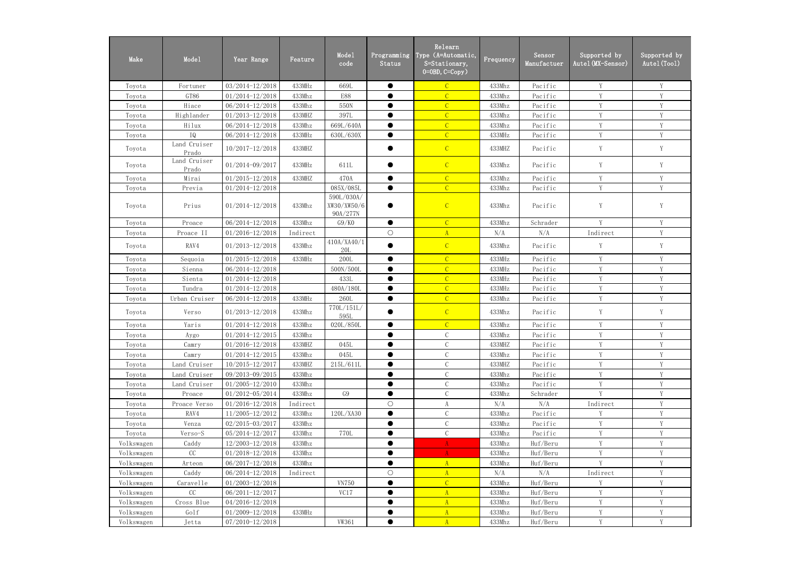| Make       | Mode1                 | Year Range          | Feature  | Mode1<br>code                         | Programming<br>Status | Relearn<br>Type (A=Automatic,<br>S=Stationary,<br>$0=0$ BD, $C=Copy$ ) | Frequency | Sensor<br>Manufactuer | Supported by<br>Autel (MX-Sensor) | Supported by<br>Autel (Tool) |
|------------|-----------------------|---------------------|----------|---------------------------------------|-----------------------|------------------------------------------------------------------------|-----------|-----------------------|-----------------------------------|------------------------------|
| Toyota     | Fortuner              | 03/2014-12/2018     | 433MHz   | 669L                                  | $\bullet$             | $\overline{C}$                                                         | 433Mhz    | Pacific               | Y                                 | Y                            |
| Toyota     | GT86                  | $01/2014 - 12/2018$ | 433Mhz   | <b>E88</b>                            |                       |                                                                        | 433Mhz    | Pacific               | Y                                 | Y                            |
| Toyota     | Hiace                 | 06/2014-12/2018     | 433Mhz   | 550N                                  | $\bullet$             | $\overline{C}$                                                         | 433Mhz    | Pacific               | Y                                 | Y                            |
| Toyota     | Highlander            | $01/2013 - 12/2018$ | 433MHZ   | 397L                                  | $\bullet$             | $\overline{C}$                                                         | 433Mhz    | Pacific               | Y                                 | Y                            |
| Toyota     | Hilux                 | 06/2014-12/2018     | 433Mhz   | 669L/640A                             | $\bullet$             | $\overline{C}$                                                         | 433Mhz    | Pacific               | Y                                 | Y                            |
| Toyota     | IQ                    | 06/2014-12/2018     | 433MHz   | 630L/630X                             | $\bullet$             | $\overline{C}$                                                         | 433MHz    | Pacific               | V                                 | V                            |
| Toyota     | Land Cruiser<br>Prado | 10/2017-12/2018     | 433MHZ   |                                       |                       | $\mathcal{C}$                                                          | 433MHZ    | Pacific               | Y                                 | $\mathbf Y$                  |
| Toyota     | Land Cruiser<br>Prado | 01/2014-09/2017     | 433MHz   | 611L                                  |                       | $\mathcal{C}$                                                          | 433Mhz    | Pacific               | Y                                 | Y                            |
| Toyota     | Mirai                 | $01/2015 - 12/2018$ | 433MHZ   | 470A                                  | $\bullet$             | $\mathcal{C}$                                                          | 433Mhz    | Pacific               | Y                                 | Y                            |
| Toyota     | Previa                | $01/2014 - 12/2018$ |          | 085X/085L                             | $\bullet$             | $\overline{C}$                                                         | 433Mhz    | Pacific               | V                                 | V                            |
| Toyota     | Prius                 | $01/2014 - 12/2018$ | 433Mhz   | 590L/030A/<br>XW30/XW50/6<br>90A/277N |                       | $\mathcal{C}$                                                          | 433Mhz    | Pacific               | Y                                 | Y                            |
| Toyota     | Proace                | 06/2014-12/2018     | 433Mhz   | G9/K0                                 | $\bullet$             | $\mathcal{C}$                                                          | 433Mhz    | Schrader              | Y                                 | Y                            |
| Toyota     | Proace II             | $01/2016 - 12/2018$ | Indirect |                                       | $\bigcirc$            | A                                                                      | N/A       | N/A                   | Indirect                          | Y                            |
| Toyota     | RAV4                  | $01/2013 - 12/2018$ | 433Mhz   | 410A/XA40/1<br>20L                    |                       | $\overline{C}$                                                         | 433Mhz    | Pacific               | Y                                 | Y                            |
| Toyota     | Sequoia               | $01/2015 - 12/2018$ | 433MHz   | 200L                                  | $\bullet$             | $\overline{C}$                                                         | 433MHz    | Pacific               | Y                                 | Y                            |
| Toyota     | Sienna                | 06/2014-12/2018     |          | 500N/500L                             | $\bullet$             | $\overline{C}$                                                         | 433MHz    | Pacific               | Y                                 | Y                            |
| Toyota     | Sienta                | $01/2014 - 12/2018$ |          | 433L                                  | $\bullet$             | $\mathcal{C}$                                                          | 433MHz    | Pacific               | V                                 | Y                            |
| Toyota     | Tundra                | 01/2014-12/2018     |          | 480A/180L                             | $\bullet$             | $\overline{C}$                                                         | 433MHz    | Pacific               | V                                 | V                            |
| Toyota     | Urban Cruiser         | 06/2014-12/2018     | 433MHz   | 260L                                  | $\bullet$             | $\overline{C}$                                                         | 433Mhz    | Pacific               | Y                                 | Y                            |
| Toyota     | Verso                 | $01/2013 - 12/2018$ | 433Mhz   | 770L/151L/<br>595L                    |                       | $\mathcal{C}$                                                          | 433Mhz    | Pacific               | Y                                 | Y                            |
| Toyota     | Yaris                 | $01/2014 - 12/2018$ | 433Mhz   | 020L/850L                             |                       | $\overline{C}$                                                         | 433Mhz    | Pacific               | Y                                 | Y                            |
| Toyota     | Aygo                  | $01/2014 - 12/2015$ | 433Mhz   |                                       |                       |                                                                        | 433Mhz    | Pacific               | V                                 | V                            |
| Toyota     | Camry                 | 01/2016-12/2018     | 433MHZ   | 045L                                  | $\bullet$             | $\mathcal{C}$                                                          | 433MHZ    | Pacific               | Y                                 | Y                            |
| Toyota     | Camry                 | $01/2014 - 12/2015$ | 433Mhz   | 045L                                  | $\bullet$             | $\mathbf C$                                                            | 433Mhz    | Pacific               | Y                                 | Y                            |
| Toyota     | Land Cruiser          | 10/2015-12/2017     | 433MHZ   | 215L/611L                             | $\bullet$             | $\mathcal{C}$                                                          | 433MHZ    | Pacific               | Y                                 | Y                            |
| Toyota     | Land Cruiser          | 09/2013-09/2015     | 433Mhz   |                                       | $\bullet$             | $\mathcal{C}$                                                          | 433Mhz    | Pacific               | Y                                 | Y                            |
| Toyota     | Land Cruiser          | $01/2005 - 12/2010$ | 433Mhz   |                                       | $\bullet$             | $\mathcal{C}$                                                          | 433Mhz    | Pacific               | Y                                 | Y                            |
| Toyota     | Proace                | 01/2012-05/2014     | 433Mhz   | G9                                    | $\bullet$             | $\mathsf C$                                                            | 433Mhz    | Schrader              | V                                 | Y                            |
| Toyota     | Proace Verso          | $01/2016 - 12/2018$ | Indirect |                                       | $\bigcirc$            | A                                                                      | N/A       | N/A                   | Indirect                          | Y                            |
| Toyota     | RAV4                  | 11/2005-12/2012     | 433Mhz   | 120L/XA30                             | $\bullet$             | $\mathcal{C}$                                                          | 433Mhz    | Pacific               | V                                 | Y                            |
| Toyota     | Venza                 | 02/2015-03/2017     | 433Mhz   |                                       |                       | $\mathcal{C}$                                                          | 433Mhz    | Pacific               | Y                                 | Y                            |
| Toyota     | Verso-S               | 05/2014-12/2017     | 433Mhz   | 770L                                  | $\bullet$             | $\mathcal{C}$                                                          | 433Mhz    | Pacific               | Y                                 | Y                            |
| Volkswagen | Caddy                 | 12/2003-12/2018     | 433Mhz   |                                       | $\bullet$             | A                                                                      | 433Mhz    | Huf/Beru              | Y                                 | Y                            |
| Volkswagen | CC                    | $01/2018 - 12/2018$ | 433Mhz   |                                       | $\bullet$             | A                                                                      | 433Mhz    | Huf/Beru              | Y                                 | Y                            |
| Volkswagen | Arteon                | 06/2017-12/2018     | 433Mhz   |                                       | $\bullet$             | A                                                                      | 433Mhz    | Huf/Beru              | V                                 | Y                            |
| Volkswagen | Caddy                 | 06/2014-12/2018     | Indirect |                                       | $\bigcirc$            | A                                                                      | N/A       | N/A                   | Indirect                          | Y                            |
| Volkswagen | Caravelle             | $01/2003 - 12/2018$ |          | <b>VN750</b>                          | $\bullet$             | $\overline{C}$                                                         | 433Mhz    | Huf/Beru              | $\mathbf{V}$                      | V                            |
| Volkswagen | CC                    | 06/2011-12/2017     |          | VC17                                  | $\bullet$             | A                                                                      | 433Mhz    | Huf/Beru              | Y                                 | Y                            |
| Volkswagen | Cross Blue            | 04/2016-12/2018     |          |                                       | $\bullet$             | A                                                                      | 433Mhz    | Huf/Beru              | Y                                 | Y                            |
| Volkswagen | Golf                  | $01/2009 - 12/2018$ | 433MHz   |                                       |                       | A                                                                      | 433Mhz    | Huf/Beru              | Y                                 | Y                            |
| Volkswagen | Jetta                 | 07/2010-12/2018     |          | VW361                                 | $\bullet$             | A                                                                      | 433Mhz    | Huf/Beru              | $\mathbf Y$                       | $\mathbf Y$                  |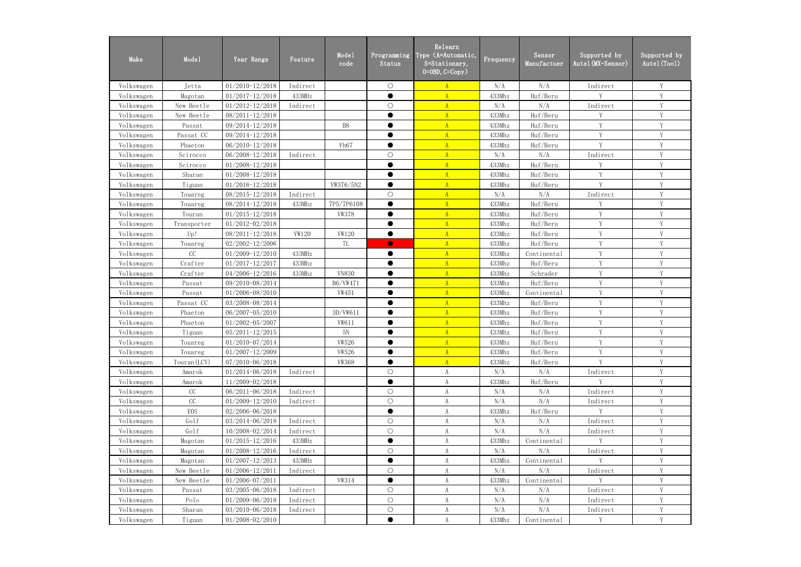| Make       | Mode1        | Year Range          | Feature      | Mode1<br>code    | Programming<br>Status | Relearn<br>Type (A=Automatic,<br>S=Stationary,<br>$0=0$ BD, $C=Copy$ ) | Frequency | Sensor<br>Manufactuer | Supported by<br>Autel (MX-Sensor) | Supported by<br>Autel (Tool) |
|------------|--------------|---------------------|--------------|------------------|-----------------------|------------------------------------------------------------------------|-----------|-----------------------|-----------------------------------|------------------------------|
| Volkswagen | Jetta        | $01/2010 - 12/2018$ | Indirect     |                  | $\bigcirc$            | $\mathbf{A}$                                                           | N/A       | N/A                   | Indirect                          | Y                            |
| Volkswagen | Magotan      | $01/2017 - 12/2018$ | 433MHz       |                  | ●                     | $\overline{A}$                                                         | 433Mhz    | Huf/Beru              | $\mathbf{V}$                      | V                            |
| Volkswagen | New Beetle   | $01/2012 - 12/2018$ | Indirect     |                  | $\bigcirc$            | $\mathbf{A}$                                                           | N/A       | N/A                   | Indirect                          | V                            |
| Volkswagen | New Beetle   | 08/2011-12/2018     |              |                  | $\bullet$             | $\mathbf{A}$                                                           | 433Mhz    | Huf/Beru              | V                                 | V                            |
| Volkswagen | Passat       | 09/2014-12/2018     |              | B <sub>8</sub>   | $\bullet$             | A                                                                      | 433Mhz    | Huf/Beru              | Y                                 | Y                            |
| Volkswagen | Passat CC    | 09/2014-12/2018     |              |                  | $\bullet$             | $\overline{A}$                                                         | 433Mhz    | Huf/Beru              | Y                                 | Y                            |
| Volkswagen | Phaeton      | 06/2010-12/2018     |              | Vh <sub>67</sub> | $\bullet$             | $\mathbf{A}$                                                           | 433Mhz    | Huf/Beru              | V                                 | Y                            |
| Volkswagen | Scirocco     | 06/2008-12/2018     | Indirect     |                  | $\bigcirc$            | $\mathbf{A}$                                                           | N/A       | N/A                   | Indirect                          | Y                            |
| Volkswagen | Scirocco     | 01/2008-12/2018     |              |                  | $\bullet$             | $\mathbf{A}$                                                           | 433Mhz    | Huf/Beru              | Y                                 | Y                            |
| Volkswagen | Sharan       | 01/2008-12/2018     |              |                  | ●                     | $\mathbf{A}$                                                           | 433Mhz    | Huf/Beru              | Y                                 | Y                            |
| Volkswagen | Tiguan       | $01/2016 - 12/2018$ |              | VW376/5N2        | ●                     | $\mathbf{A}$                                                           | 433Mhz    | Huf/Beru              | $\mathbf{V}$                      | V                            |
| Volkswagen | Touareg      | 08/2015-12/2018     | Indirect     |                  | $\bigcirc$            | $\mathbf{A}$                                                           | N/A       | N/A                   | Indirect                          | V                            |
| Volkswagen | Touareg      | 08/2014-12/2018     | 433Mhz       | 7P5/7P6108       | $\bullet$             | $\mathbf{A}$                                                           | 433Mhz    | Huf/Beru              | Y                                 | Y                            |
| Volkswagen | Touran       | $01/2015 - 12/2018$ |              | <b>VW378</b>     | $\bullet$             | $\mathbf{A}$                                                           | 433Mhz    | Huf/Beru              | Y                                 | Y                            |
| Volkswagen | Transporter  | 01/2012-02/2018     |              |                  | $\bullet$             | $\mathbf{A}$                                                           | 433Mhz    | Huf/Beru              | Y                                 | $\mathbf Y$                  |
| Volkswagen | Up!          | $08/2011 - 12/2018$ | <b>VW120</b> | <b>VW120</b>     | $\bullet$             | $\mathbf{A}$                                                           | 433Mhz    | Huf/Beru              | Y                                 | Y                            |
| Volkswagen | Touareg      | 02/2002-12/2006     |              | 7L               | $\bullet$             | $\mathbf{A}$                                                           | 433Mhz    | Huf/Beru              | Y                                 | Y                            |
| Volkswagen | CC           | 01/2009-12/2010     | 433MHz       |                  | $\bullet$             | $\mathbf{A}$                                                           | 433Mhz    | Continental           | Y                                 | Y                            |
| Volkswagen | Crafter      | $01/2017 - 12/2017$ | 433Mhz       |                  | ●                     | $\mathbf{A}$                                                           | 433Mhz    | Huf/Beru              | V                                 | Y                            |
| Volkswagen | Crafter      | 04/2006-12/2016     | 433Mhz       | <b>VN830</b>     | ●                     | $\mathbf{A}$                                                           | 433Mhz    | Schrader              | $\mathbf{V}$                      | $\mathbf{V}$                 |
| Volkswagen | Passat       | 09/2010-08/2014     |              | B6/VW471         | ●                     | $\mathbf{A}$                                                           | 433Mhz    | Huf/Beru              | V                                 | V                            |
| Volkswagen | Passat       | 01/2006-08/2010     |              | <b>VW451</b>     | $\bullet$             | $\mathbf{A}$                                                           | 433Mhz    | Continental           | Y                                 | Y                            |
| Volkswagen | Passat CC    | 03/2008-08/2014     |              |                  |                       | $\mathbf{A}$                                                           | 433Mhz    | Huf/Beru              | Y                                 | Y                            |
| Volkswagen | Phaeton      | 06/2007-05/2010     |              | 3D/VW611         | $\bullet$             | $\mathbf{A}$                                                           | 433Mhz    | Huf/Beru              | Y                                 | Y                            |
| Volkswagen | Phaeton      | 01/2002-05/2007     |              | VW611            |                       | $\overline{A}$                                                         | 433Mhz    | Huf/Beru              | Y                                 | Y                            |
| Volkswagen | Tiguan       | 05/2011-12/2015     |              | 5N               | $\bullet$             | $\mathbf{A}$                                                           | 433Mhz    | Huf/Beru              | Y                                 | Y                            |
| Volkswagen | Touareg      | $01/2010 - 07/2014$ |              | <b>VW526</b>     | $\bullet$             | $\mathbf{A}$                                                           | 433Mhz    | Huf/Beru              | Y                                 | Y                            |
| Volkswagen | Touareg      | $01/2007 - 12/2009$ |              | <b>VW526</b>     |                       | $\mathbf{A}$                                                           | 433Mhz    | Huf/Beru              | V                                 | Y                            |
| Volkswagen | Touran (LCV) | 07/2010-06/2018     |              | <b>VW368</b>     | $\bullet$             | $\mathbf{A}$                                                           | 433Mhz    | Huf/Beru              | V                                 | V                            |
| Volkswagen | Amarok       | $01/2014 - 06/2018$ | Indirect     |                  | $\bigcirc$            | A                                                                      | N/A       | N/A                   | Indirect                          | Y                            |
| Volkswagen | Amarok       | 11/2009-02/2018     |              |                  | $\bullet$             | A                                                                      | 433Mhz    | Huf/Beru              | Y                                 | Y                            |
| Volkswagen | CC           | 06/2011-06/2018     | Indirect     |                  | $\bigcirc$            | A                                                                      | N/A       | N/A                   | Indirect                          | Y                            |
| Volkswagen | CC           | 01/2009-12/2010     | Indirect     |                  | $\bigcirc$            | A                                                                      | N/A       | N/A                   | Indirect                          | Y                            |
| Volkswagen | <b>EOS</b>   | $02/2006 - 06/2018$ |              |                  | $\bullet$             | A                                                                      | 433Mhz    | Huf/Beru              | Y                                 | $\mathbf Y$                  |
| Volkswagen | Golf         | 03/2014-06/2018     | Indirect     |                  | $\bigcirc$            | A                                                                      | N/A       | N/A                   | Indirect                          | Y                            |
| Volkswagen | Golf         | 10/2008-02/2014     | Indirect     |                  | $\bigcirc$            | $\rm A$                                                                | N/A       | N/A                   | Indirect                          | Y                            |
| Volkswagen | Magotan      | $01/2015 - 12/2016$ | 433MHz       |                  | $\bullet$             | A                                                                      | 433Mhz    | Continental           | V                                 | Y                            |
| Volkswagen | Magotan      | 01/2008-12/2016     | Indirect     |                  | $\bigcirc$            | A                                                                      | N/A       | N/A                   | Indirect                          | Y                            |
| Volkswagen | Magotan      | $01/2007 - 12/2013$ | 433MHz       |                  | $\bullet$             | A                                                                      | 433Mhz    | Continental           | Y                                 | Y                            |
| Volkswagen | New Beetle   | 01/2006-12/2011     | Indirect     |                  | $\bigcirc$            | A                                                                      | N/A       | N/A                   | Indirect                          | Y                            |
| Volkswagen | New Beetle   | 01/2006-07/2011     |              | <b>VW314</b>     | $\bullet$             | A                                                                      | 433Mhz    | Continental           | V                                 | Y                            |
| Volkswagen | Passat       | 03/2005-06/2018     | Indirect     |                  | $\bigcirc$            | A                                                                      | N/A       | N/A                   | Indirect                          | Y                            |
| Volkswagen | Polo         | 01/2009-06/2018     | Indirect     |                  | $\bigcirc$            | A                                                                      | N/A       | N/A                   | Indirect                          | $\mathbf Y$                  |
| Volkswagen | Sharan       | 03/2010-06/2018     | Indirect     |                  | $\bigcirc$            | A                                                                      | N/A       | N/A                   | Indirect                          | Y                            |
| Volkswagen | Tiguan       | $01/2008 - 02/2010$ |              |                  | $\bullet$             | A                                                                      | 433Mhz    | Continental           | Y                                 | V                            |